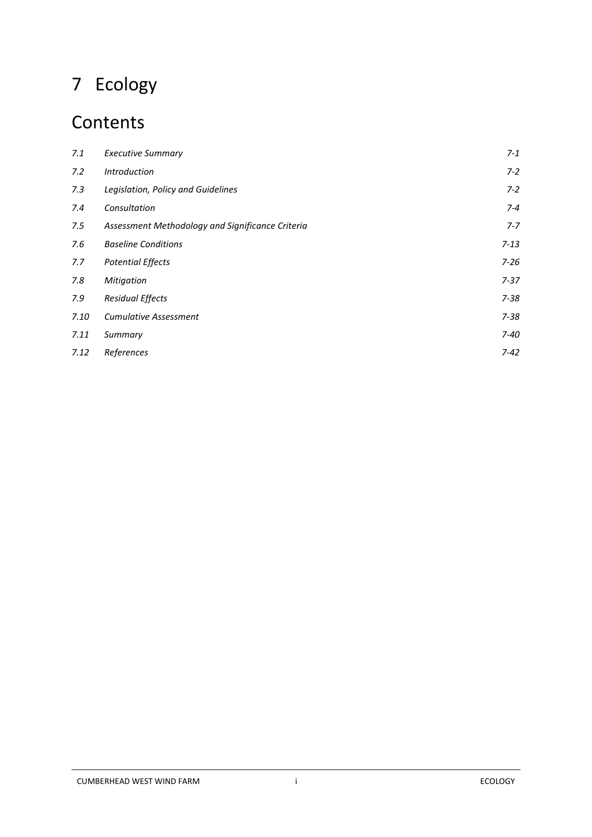# 7 Ecology

# **Contents**

| 7.1  | <b>Executive Summary</b>                         | $7 - 1$  |
|------|--------------------------------------------------|----------|
| 7.2  | <b>Introduction</b>                              | $7 - 2$  |
| 7.3  | Legislation, Policy and Guidelines               | $7 - 2$  |
| 7.4  | Consultation                                     | $7 - 4$  |
| 7.5  | Assessment Methodology and Significance Criteria | $7 - 7$  |
| 7.6  | <b>Baseline Conditions</b>                       | $7 - 13$ |
| 7.7  | <b>Potential Effects</b>                         | $7 - 26$ |
| 7.8  | Mitigation                                       | $7 - 37$ |
| 7.9  | <b>Residual Effects</b>                          | $7 - 38$ |
| 7.10 | <b>Cumulative Assessment</b>                     | 7-38     |
| 7.11 | Summary                                          | $7 - 40$ |
| 7.12 | References                                       | $7 - 42$ |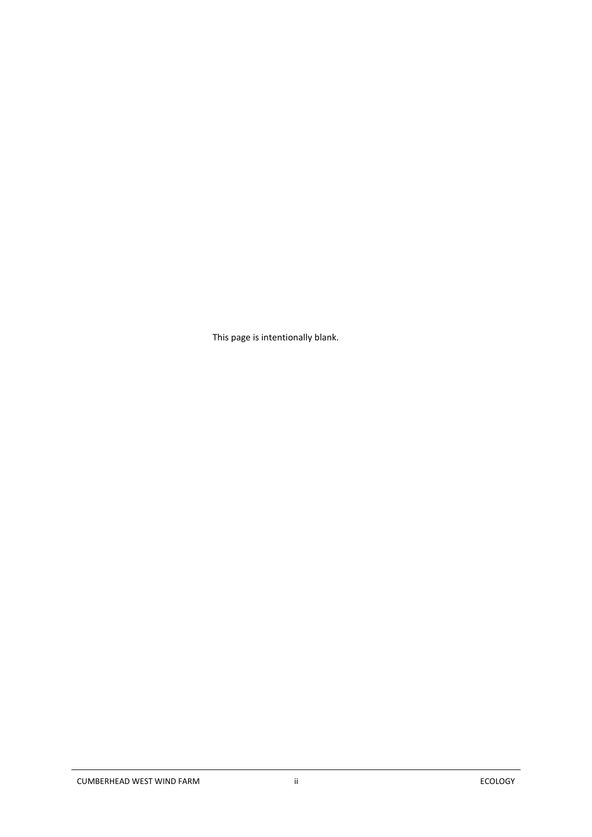This page is intentionally blank.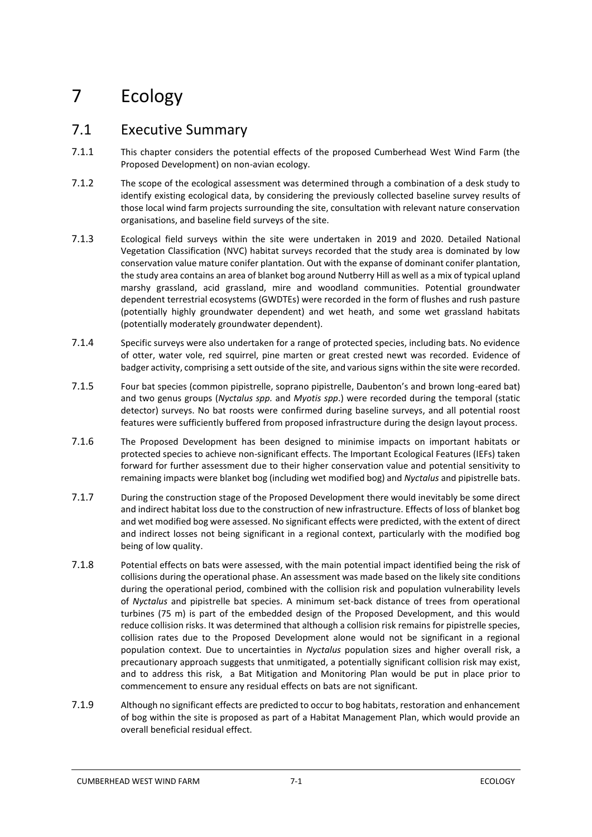# 7 Ecology

# <span id="page-2-0"></span>7.1 Executive Summary

- 7.1.1 This chapter considers the potential effects of the proposed Cumberhead West Wind Farm (the Proposed Development) on non-avian ecology.
- 7.1.2 The scope of the ecological assessment was determined through a combination of a desk study to identify existing ecological data, by considering the previously collected baseline survey results of those local wind farm projects surrounding the site, consultation with relevant nature conservation organisations, and baseline field surveys of the site.
- 7.1.3 Ecological field surveys within the site were undertaken in 2019 and 2020. Detailed National Vegetation Classification (NVC) habitat surveys recorded that the study area is dominated by low conservation value mature conifer plantation. Out with the expanse of dominant conifer plantation, the study area contains an area of blanket bog around Nutberry Hill as well as a mix of typical upland marshy grassland, acid grassland, mire and woodland communities. Potential groundwater dependent terrestrial ecosystems (GWDTEs) were recorded in the form of flushes and rush pasture (potentially highly groundwater dependent) and wet heath, and some wet grassland habitats (potentially moderately groundwater dependent).
- 7.1.4 Specific surveys were also undertaken for a range of protected species, including bats. No evidence of otter, water vole, red squirrel, pine marten or great crested newt was recorded. Evidence of badger activity, comprising a sett outside of the site, and various signs within the site were recorded.
- 7.1.5 Four bat species (common pipistrelle, soprano pipistrelle, Daubenton's and brown long-eared bat) and two genus groups (*Nyctalus spp.* and *Myotis spp*.) were recorded during the temporal (static detector) surveys. No bat roosts were confirmed during baseline surveys, and all potential roost features were sufficiently buffered from proposed infrastructure during the design layout process.
- 7.1.6 The Proposed Development has been designed to minimise impacts on important habitats or protected species to achieve non-significant effects. The Important Ecological Features (IEFs) taken forward for further assessment due to their higher conservation value and potential sensitivity to remaining impacts were blanket bog (including wet modified bog) and *Nyctalus* and pipistrelle bats.
- 7.1.7 During the construction stage of the Proposed Development there would inevitably be some direct and indirect habitat loss due to the construction of new infrastructure. Effects of loss of blanket bog and wet modified bog were assessed. No significant effects were predicted, with the extent of direct and indirect losses not being significant in a regional context, particularly with the modified bog being of low quality.
- 7.1.8 Potential effects on bats were assessed, with the main potential impact identified being the risk of collisions during the operational phase. An assessment was made based on the likely site conditions during the operational period, combined with the collision risk and population vulnerability levels of *Nyctalus* and pipistrelle bat species. A minimum set-back distance of trees from operational turbines (75 m) is part of the embedded design of the Proposed Development, and this would reduce collision risks. It was determined that although a collision risk remains for pipistrelle species, collision rates due to the Proposed Development alone would not be significant in a regional population context. Due to uncertainties in *Nyctalus* population sizes and higher overall risk, a precautionary approach suggests that unmitigated, a potentially significant collision risk may exist, and to address this risk, a Bat Mitigation and Monitoring Plan would be put in place prior to commencement to ensure any residual effects on bats are not significant.
- 7.1.9 Although no significant effects are predicted to occur to bog habitats, restoration and enhancement of bog within the site is proposed as part of a Habitat Management Plan, which would provide an overall beneficial residual effect.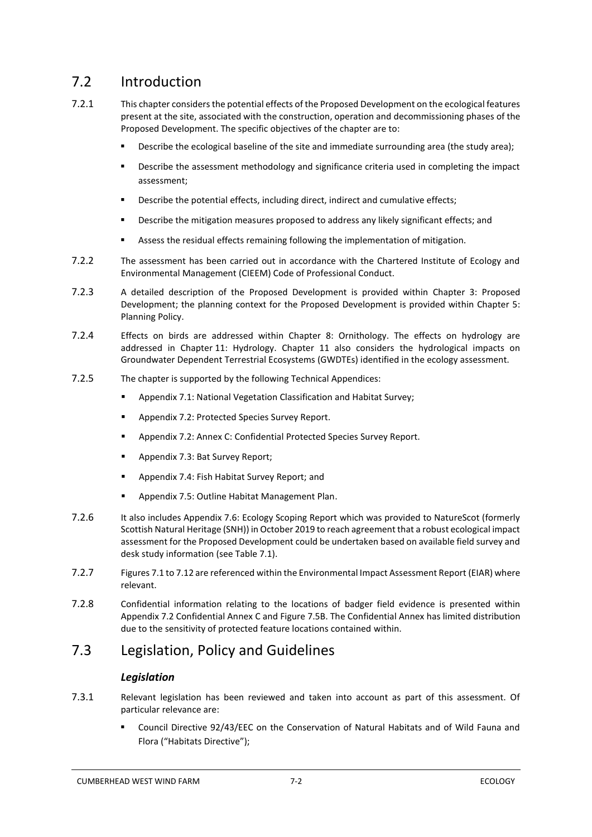# <span id="page-3-0"></span>7.2 Introduction

- 7.2.1 This chapter considers the potential effects of the Proposed Development on the ecological features present at the site, associated with the construction, operation and decommissioning phases of the Proposed Development. The specific objectives of the chapter are to:
	- **•** Describe the ecological baseline of the site and immediate surrounding area (the study area);
	- **•** Describe the assessment methodology and significance criteria used in completing the impact assessment;
	- Describe the potential effects, including direct, indirect and cumulative effects;
	- Describe the mitigation measures proposed to address any likely significant effects; and
	- Assess the residual effects remaining following the implementation of mitigation.
- 7.2.2 The assessment has been carried out in accordance with the Chartered Institute of Ecology and Environmental Management (CIEEM) Code of Professional Conduct.
- 7.2.3 A detailed description of the Proposed Development is provided within Chapter 3: Proposed Development; the planning context for the Proposed Development is provided within Chapter 5: Planning Policy.
- 7.2.4 Effects on birds are addressed within Chapter 8: Ornithology. The effects on hydrology are addressed in Chapter 11: Hydrology. Chapter 11 also considers the hydrological impacts on Groundwater Dependent Terrestrial Ecosystems (GWDTEs) identified in the ecology assessment.
- 7.2.5 The chapter is supported by the following Technical Appendices:
	- Appendix 7.1: National Vegetation Classification and Habitat Survey;
	- Appendix 7.2: Protected Species Survey Report.
	- Appendix 7.2: Annex C: Confidential Protected Species Survey Report.
	- Appendix 7.3: Bat Survey Report;
	- Appendix 7.4: Fish Habitat Survey Report; and
	- Appendix 7.5: Outline Habitat Management Plan.
- 7.2.6 It also includes Appendix 7.6: Ecology Scoping Report which was provided to NatureScot (formerly Scottish Natural Heritage (SNH)) in October 2019 to reach agreement that a robust ecological impact assessment for the Proposed Development could be undertaken based on available field survey and desk study information (see Table 7.1).
- 7.2.7 Figures 7.1 to 7.12 are referenced within the Environmental Impact Assessment Report (EIAR) where relevant.
- 7.2.8 Confidential information relating to the locations of badger field evidence is presented within Appendix 7.2 Confidential Annex C and Figure 7.5B. The Confidential Annex has limited distribution due to the sensitivity of protected feature locations contained within.

# <span id="page-3-1"></span>7.3 Legislation, Policy and Guidelines

# *Legislation*

- 7.3.1 Relevant legislation has been reviewed and taken into account as part of this assessment. Of particular relevance are:
	- Council Directive 92/43/EEC on the Conservation of Natural Habitats and of Wild Fauna and Flora ("Habitats Directive");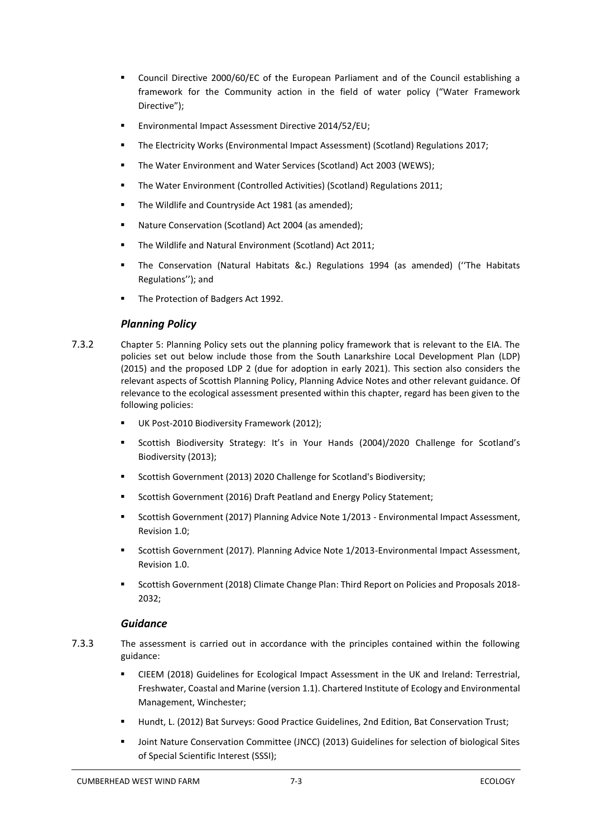- Council Directive 2000/60/EC of the European Parliament and of the Council establishing a framework for the Community action in the field of water policy ("Water Framework Directive");
- Environmental Impact Assessment Directive 2014/52/EU;
- The Electricity Works (Environmental Impact Assessment) (Scotland) Regulations 2017;
- The Water Environment and Water Services (Scotland) Act 2003 (WEWS);
- The Water Environment (Controlled Activities) (Scotland) Regulations 2011;
- The Wildlife and Countryside Act 1981 (as amended);
- Nature Conservation (Scotland) Act 2004 (as amended);
- The Wildlife and Natural Environment (Scotland) Act 2011;
- The Conservation (Natural Habitats &c.) Regulations 1994 (as amended) (''The Habitats Regulations''); and
- The Protection of Badgers Act 1992.

# *Planning Policy*

- 7.3.2 Chapter 5: Planning Policy sets out the planning policy framework that is relevant to the EIA. The policies set out below include those from the South Lanarkshire Local Development Plan (LDP) (2015) and the proposed LDP 2 (due for adoption in early 2021). This section also considers the relevant aspects of Scottish Planning Policy, Planning Advice Notes and other relevant guidance. Of relevance to the ecological assessment presented within this chapter, regard has been given to the following policies:
	- UK Post-2010 Biodiversity Framework (2012);
	- Scottish Biodiversity Strategy: It's in Your Hands (2004)/2020 Challenge for Scotland's Biodiversity (2013);
	- Scottish Government (2013) 2020 Challenge for Scotland's Biodiversity;
	- Scottish Government (2016) Draft Peatland and Energy Policy Statement;
	- Scottish Government (2017) Planning Advice Note 1/2013 Environmental Impact Assessment, Revision 1.0;
	- Scottish Government (2017). Planning Advice Note 1/2013-Environmental Impact Assessment, Revision 1.0.
	- Scottish Government (2018) Climate Change Plan: Third Report on Policies and Proposals 2018- 2032;

# *Guidance*

- 7.3.3 The assessment is carried out in accordance with the principles contained within the following guidance:
	- CIEEM (2018) Guidelines for Ecological Impact Assessment in the UK and Ireland: Terrestrial, Freshwater, Coastal and Marine (version 1.1). Chartered Institute of Ecology and Environmental Management, Winchester;
	- Hundt, L. (2012) Bat Surveys: Good Practice Guidelines, 2nd Edition, Bat Conservation Trust;
	- **■** Joint Nature Conservation Committee (JNCC) (2013) Guidelines for selection of biological Sites of Special Scientific Interest (SSSI);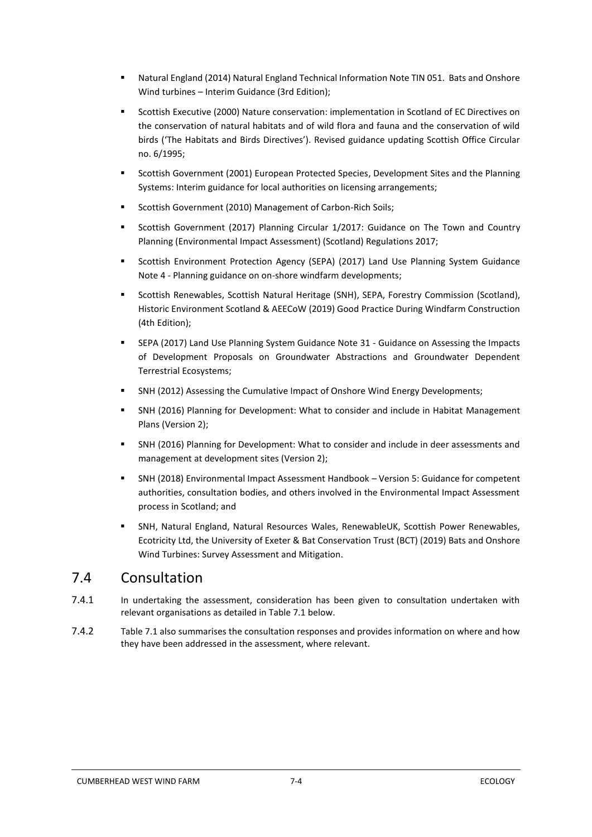- Natural England (2014) Natural England Technical Information Note TIN 051. Bats and Onshore Wind turbines – Interim Guidance (3rd Edition);
- Scottish Executive (2000) Nature conservation: implementation in Scotland of EC Directives on the conservation of natural habitats and of wild flora and fauna and the conservation of wild birds ('The Habitats and Birds Directives'). Revised guidance updating Scottish Office Circular no. 6/1995;
- Scottish Government (2001) European Protected Species, Development Sites and the Planning Systems: Interim guidance for local authorities on licensing arrangements;
- Scottish Government (2010) Management of Carbon-Rich Soils;
- Scottish Government (2017) Planning Circular 1/2017: Guidance on The Town and Country Planning (Environmental Impact Assessment) (Scotland) Regulations 2017;
- **•** Scottish Environment Protection Agency (SEPA) (2017) Land Use Planning System Guidance Note 4 - Planning guidance on on-shore windfarm developments;
- Scottish Renewables, Scottish Natural Heritage (SNH), SEPA, Forestry Commission (Scotland), Historic Environment Scotland & AEECoW (2019) Good Practice During Windfarm Construction (4th Edition);
- **EXE** SEPA (2017) Land Use Planning System Guidance Note 31 Guidance on Assessing the Impacts of Development Proposals on Groundwater Abstractions and Groundwater Dependent Terrestrial Ecosystems;
- SNH (2012) Assessing the Cumulative Impact of Onshore Wind Energy Developments;
- SNH (2016) Planning for Development: What to consider and include in Habitat Management Plans (Version 2);
- SNH (2016) Planning for Development: What to consider and include in deer assessments and management at development sites (Version 2);
- SNH (2018) Environmental Impact Assessment Handbook Version 5: Guidance for competent authorities, consultation bodies, and others involved in the Environmental Impact Assessment process in Scotland; and
- SNH, Natural England, Natural Resources Wales, RenewableUK, Scottish Power Renewables, Ecotricity Ltd, the University of Exeter & Bat Conservation Trust (BCT) (2019) Bats and Onshore Wind Turbines: Survey Assessment and Mitigation.

# <span id="page-5-0"></span>7.4 Consultation

- 7.4.1 In undertaking the assessment, consideration has been given to consultation undertaken with relevant organisations as detailed in Table 7.1 below.
- 7.4.2 Table 7.1 also summarises the consultation responses and provides information on where and how they have been addressed in the assessment, where relevant.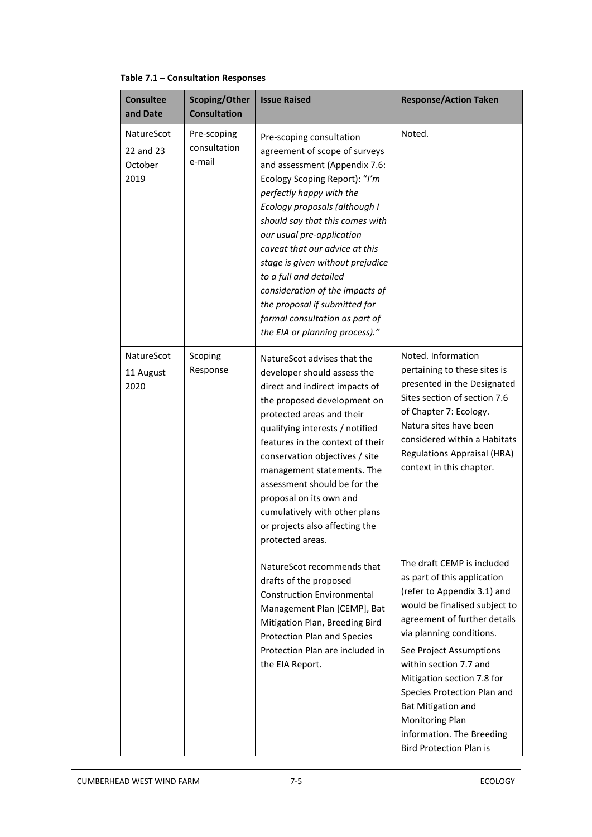| <b>Consultee</b><br>and Date               | <b>Scoping/Other</b><br><b>Consultation</b> | <b>Issue Raised</b>                                                                                                                                                                                                                                                                                                                                                                                                                                                                              | <b>Response/Action Taken</b>                                                                                                                                                                                                                                                                                                                                                                                                  |
|--------------------------------------------|---------------------------------------------|--------------------------------------------------------------------------------------------------------------------------------------------------------------------------------------------------------------------------------------------------------------------------------------------------------------------------------------------------------------------------------------------------------------------------------------------------------------------------------------------------|-------------------------------------------------------------------------------------------------------------------------------------------------------------------------------------------------------------------------------------------------------------------------------------------------------------------------------------------------------------------------------------------------------------------------------|
| NatureScot<br>22 and 23<br>October<br>2019 | Pre-scoping<br>consultation<br>e-mail       | Pre-scoping consultation<br>agreement of scope of surveys<br>and assessment (Appendix 7.6:<br>Ecology Scoping Report): "I'm<br>perfectly happy with the<br>Ecology proposals (although I<br>should say that this comes with<br>our usual pre-application<br>caveat that our advice at this<br>stage is given without prejudice<br>to a full and detailed<br>consideration of the impacts of<br>the proposal if submitted for<br>formal consultation as part of<br>the EIA or planning process)." | Noted.                                                                                                                                                                                                                                                                                                                                                                                                                        |
| NatureScot<br>11 August<br>2020            | Scoping<br>Response                         | NatureScot advises that the<br>developer should assess the<br>direct and indirect impacts of<br>the proposed development on<br>protected areas and their<br>qualifying interests / notified<br>features in the context of their<br>conservation objectives / site<br>management statements. The<br>assessment should be for the<br>proposal on its own and<br>cumulatively with other plans<br>or projects also affecting the<br>protected areas.                                                | Noted. Information<br>pertaining to these sites is<br>presented in the Designated<br>Sites section of section 7.6<br>of Chapter 7: Ecology.<br>Natura sites have been<br>considered within a Habitats<br><b>Regulations Appraisal (HRA)</b><br>context in this chapter.                                                                                                                                                       |
|                                            |                                             | NatureScot recommends that<br>drafts of the proposed<br><b>Construction Environmental</b><br>Management Plan [CEMP], Bat<br>Mitigation Plan, Breeding Bird<br>Protection Plan and Species<br>Protection Plan are included in<br>the EIA Report.                                                                                                                                                                                                                                                  | The draft CEMP is included<br>as part of this application<br>(refer to Appendix 3.1) and<br>would be finalised subject to<br>agreement of further details<br>via planning conditions.<br>See Project Assumptions<br>within section 7.7 and<br>Mitigation section 7.8 for<br>Species Protection Plan and<br><b>Bat Mitigation and</b><br><b>Monitoring Plan</b><br>information. The Breeding<br><b>Bird Protection Plan is</b> |

# **Table 7.1 – Consultation Responses**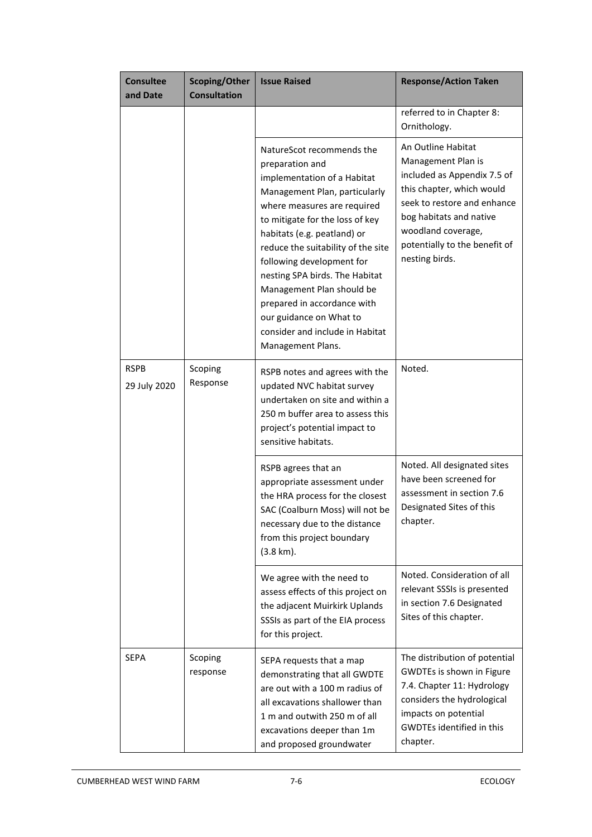| <b>Consultee</b><br>and Date | <b>Scoping/Other</b><br><b>Consultation</b> | <b>Issue Raised</b>                                                                                                                                                                                                                                                                                                                                                                                                                                               | <b>Response/Action Taken</b>                                                                                                                                                                                                            |
|------------------------------|---------------------------------------------|-------------------------------------------------------------------------------------------------------------------------------------------------------------------------------------------------------------------------------------------------------------------------------------------------------------------------------------------------------------------------------------------------------------------------------------------------------------------|-----------------------------------------------------------------------------------------------------------------------------------------------------------------------------------------------------------------------------------------|
|                              |                                             |                                                                                                                                                                                                                                                                                                                                                                                                                                                                   | referred to in Chapter 8:<br>Ornithology.                                                                                                                                                                                               |
|                              |                                             | NatureScot recommends the<br>preparation and<br>implementation of a Habitat<br>Management Plan, particularly<br>where measures are required<br>to mitigate for the loss of key<br>habitats (e.g. peatland) or<br>reduce the suitability of the site<br>following development for<br>nesting SPA birds. The Habitat<br>Management Plan should be<br>prepared in accordance with<br>our guidance on What to<br>consider and include in Habitat<br>Management Plans. | An Outline Habitat<br>Management Plan is<br>included as Appendix 7.5 of<br>this chapter, which would<br>seek to restore and enhance<br>bog habitats and native<br>woodland coverage,<br>potentially to the benefit of<br>nesting birds. |
| <b>RSPB</b><br>29 July 2020  | Scoping<br>Response                         | RSPB notes and agrees with the<br>updated NVC habitat survey<br>undertaken on site and within a<br>250 m buffer area to assess this<br>project's potential impact to<br>sensitive habitats.                                                                                                                                                                                                                                                                       | Noted.                                                                                                                                                                                                                                  |
|                              |                                             | RSPB agrees that an<br>appropriate assessment under<br>the HRA process for the closest<br>SAC (Coalburn Moss) will not be<br>necessary due to the distance<br>from this project boundary<br>$(3.8 \text{ km}).$                                                                                                                                                                                                                                                   | Noted. All designated sites<br>have been screened for<br>assessment in section 7.6<br>Designated Sites of this<br>chapter.                                                                                                              |
|                              |                                             | We agree with the need to<br>assess effects of this project on<br>the adjacent Muirkirk Uplands<br>SSSIs as part of the EIA process<br>for this project.                                                                                                                                                                                                                                                                                                          | Noted. Consideration of all<br>relevant SSSIs is presented<br>in section 7.6 Designated<br>Sites of this chapter.                                                                                                                       |
| <b>SEPA</b>                  | Scoping<br>response                         | SEPA requests that a map<br>demonstrating that all GWDTE<br>are out with a 100 m radius of<br>all excavations shallower than<br>1 m and outwith 250 m of all<br>excavations deeper than 1m<br>and proposed groundwater                                                                                                                                                                                                                                            | The distribution of potential<br>GWDTEs is shown in Figure<br>7.4. Chapter 11: Hydrology<br>considers the hydrological<br>impacts on potential<br>GWDTEs identified in this<br>chapter.                                                 |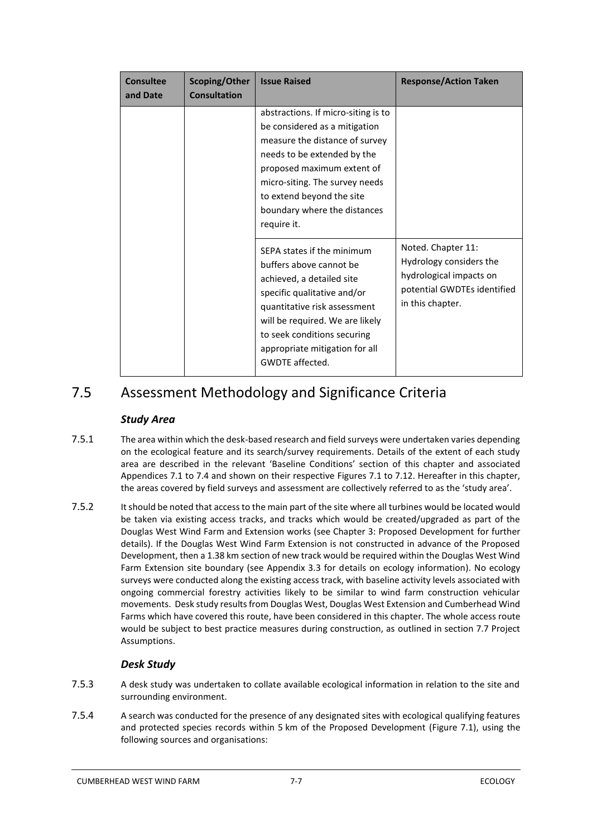| <b>Consultee</b><br>and Date | Scoping/Other<br><b>Consultation</b> | <b>Issue Raised</b>                                                                                                                                                                                                                                                               | <b>Response/Action Taken</b>                                                                                                |
|------------------------------|--------------------------------------|-----------------------------------------------------------------------------------------------------------------------------------------------------------------------------------------------------------------------------------------------------------------------------------|-----------------------------------------------------------------------------------------------------------------------------|
|                              |                                      | abstractions. If micro-siting is to<br>be considered as a mitigation<br>measure the distance of survey<br>needs to be extended by the<br>proposed maximum extent of<br>micro-siting. The survey needs<br>to extend beyond the site<br>boundary where the distances<br>require it. |                                                                                                                             |
|                              |                                      | SEPA states if the minimum<br>buffers above cannot be<br>achieved, a detailed site<br>specific qualitative and/or<br>quantitative risk assessment<br>will be required. We are likely<br>to seek conditions securing<br>appropriate mitigation for all<br><b>GWDTE</b> affected.   | Noted. Chapter 11:<br>Hydrology considers the<br>hydrological impacts on<br>potential GWDTEs identified<br>in this chapter. |

# <span id="page-8-0"></span>7.5 Assessment Methodology and Significance Criteria

# *Study Area*

- 7.5.1 The area within which the desk-based research and field surveys were undertaken varies depending on the ecological feature and its search/survey requirements. Details of the extent of each study area are described in the relevant 'Baseline Conditions' section of this chapter and associated Appendices 7.1 to 7.4 and shown on their respective Figures 7.1 to 7.12. Hereafter in this chapter, the areas covered by field surveys and assessment are collectively referred to as the 'study area'.
- 7.5.2 It should be noted that access to the main part of the site where all turbines would be located would be taken via existing access tracks, and tracks which would be created/upgraded as part of the Douglas West Wind Farm and Extension works (see Chapter 3: Proposed Development for further details). If the Douglas West Wind Farm Extension is not constructed in advance of the Proposed Development, then a 1.38 km section of new track would be required within the Douglas West Wind Farm Extension site boundary (see Appendix 3.3 for details on ecology information). No ecology surveys were conducted along the existing access track, with baseline activity levels associated with ongoing commercial forestry activities likely to be similar to wind farm construction vehicular movements. Desk study results from Douglas West, Douglas West Extension and Cumberhead Wind Farms which have covered this route, have been considered in this chapter. The whole access route would be subject to best practice measures during construction, as outlined in section 7.7 Project Assumptions.

# *Desk Study*

- 7.5.3 A desk study was undertaken to collate available ecological information in relation to the site and surrounding environment.
- 7.5.4 A search was conducted for the presence of any designated sites with ecological qualifying features and protected species records within 5 km of the Proposed Development (Figure 7.1), using the following sources and organisations: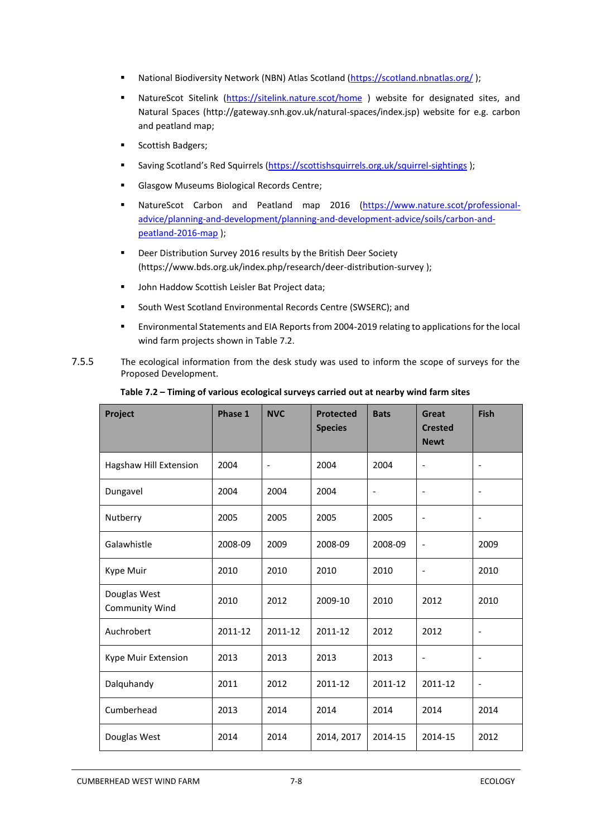- National Biodiversity Network (NBN) Atlas Scotland [\(https://scotland.nbnatlas.org/](https://scotland.nbnatlas.org/));
- NatureScot Sitelink [\(https://sitelink.nature.scot/home](https://sitelink.nature.scot/home) ) website for designated sites, and Natural Spaces (http://gateway.snh.gov.uk/natural-spaces/index.jsp) website for e.g. carbon and peatland map;
- Scottish Badgers;
- Saving Scotland's Red Squirrels [\(https://scottishsquirrels.org.uk/squirrel-sightings](https://scottishsquirrels.org.uk/squirrel-sightings));
- Glasgow Museums Biological Records Centre;
- NatureScot Carbon and Peatland map 2016 [\(https://www.nature.scot/professional](https://www.nature.scot/professional-advice/planning-and-development/planning-and-development-advice/soils/carbon-and-peatland-2016-map)[advice/planning-and-development/planning-and-development-advice/soils/carbon-and](https://www.nature.scot/professional-advice/planning-and-development/planning-and-development-advice/soils/carbon-and-peatland-2016-map)[peatland-2016-map](https://www.nature.scot/professional-advice/planning-and-development/planning-and-development-advice/soils/carbon-and-peatland-2016-map) );
- Deer Distribution Survey 2016 results by the British Deer Society [\(https://www.bds.org.uk/index.php/research/deer-distribution-survey](https://www.bds.org.uk/index.php/research/deer-distribution-survey) );
- John Haddow Scottish Leisler Bat Project data;
- South West Scotland Environmental Records Centre (SWSERC); and
- Environmental Statements and EIA Reports from 2004-2019 relating to applications for the local wind farm projects shown in Table 7.2.
- 7.5.5 The ecological information from the desk study was used to inform the scope of surveys for the Proposed Development.

| Project                        | Phase 1 | <b>NVC</b>                   | <b>Protected</b><br><b>Species</b> | <b>Bats</b>              | Great<br><b>Crested</b><br><b>Newt</b> | <b>Fish</b>                  |
|--------------------------------|---------|------------------------------|------------------------------------|--------------------------|----------------------------------------|------------------------------|
| Hagshaw Hill Extension         | 2004    | $\qquad \qquad \blacksquare$ | 2004                               | 2004                     |                                        |                              |
| Dungavel                       | 2004    | 2004                         | 2004                               | $\overline{\phantom{a}}$ |                                        | $\overline{\phantom{a}}$     |
| Nutberry                       | 2005    | 2005                         | 2005                               | 2005                     | $\overline{\phantom{a}}$               | $\overline{\phantom{a}}$     |
| Galawhistle                    | 2008-09 | 2009                         | 2008-09                            | 2008-09                  | $\overline{\phantom{a}}$               | 2009                         |
| Kype Muir                      | 2010    | 2010                         | 2010                               | 2010                     |                                        | 2010                         |
| Douglas West<br>Community Wind | 2010    | 2012                         | 2009-10                            | 2010                     | 2012                                   | 2010                         |
| Auchrobert                     | 2011-12 | 2011-12                      | 2011-12                            | 2012                     | 2012                                   |                              |
| Kype Muir Extension            | 2013    | 2013                         | 2013                               | 2013                     | $\overline{\phantom{a}}$               | $\overline{\phantom{a}}$     |
| Dalquhandy                     | 2011    | 2012                         | 2011-12                            | 2011-12                  | 2011-12                                | $\qquad \qquad \blacksquare$ |
| Cumberhead                     | 2013    | 2014                         | 2014                               | 2014                     | 2014                                   | 2014                         |
| Douglas West                   | 2014    | 2014                         | 2014, 2017                         | 2014-15                  | 2014-15                                | 2012                         |

**Table 7.2 – Timing of various ecological surveys carried out at nearby wind farm sites**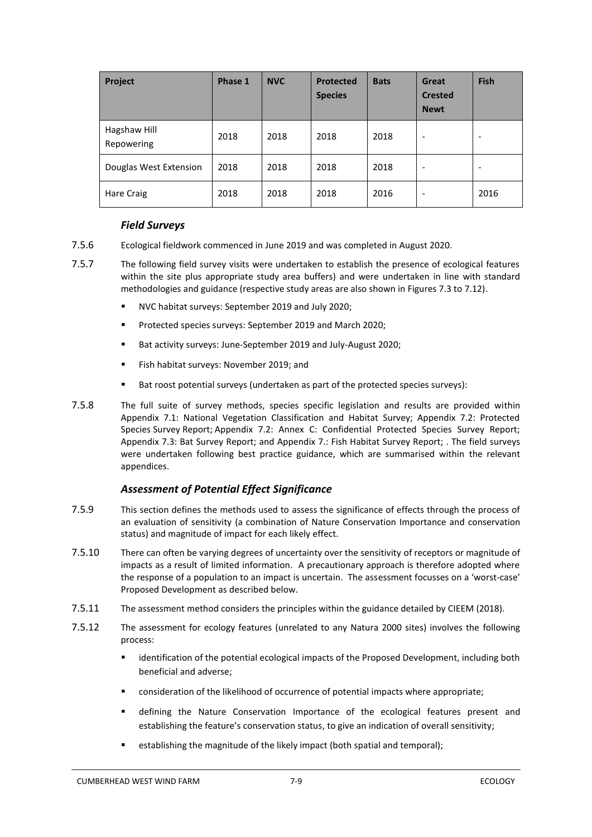| Project                    | Phase 1 | <b>NVC</b> | <b>Protected</b><br><b>Species</b> | <b>Bats</b> | Great<br><b>Crested</b><br><b>Newt</b> | <b>Fish</b> |
|----------------------------|---------|------------|------------------------------------|-------------|----------------------------------------|-------------|
| Hagshaw Hill<br>Repowering | 2018    | 2018       | 2018                               | 2018        | -                                      | -           |
| Douglas West Extension     | 2018    | 2018       | 2018                               | 2018        |                                        | -           |
| Hare Craig                 | 2018    | 2018       | 2018                               | 2016        |                                        | 2016        |

# *Field Surveys*

- 7.5.6 Ecological fieldwork commenced in June 2019 and was completed in August 2020.
- 7.5.7 The following field survey visits were undertaken to establish the presence of ecological features within the site plus appropriate study area buffers) and were undertaken in line with standard methodologies and guidance (respective study areas are also shown in Figures 7.3 to 7.12).
	- NVC habitat surveys: September 2019 and July 2020;
	- Protected species surveys: September 2019 and March 2020;
	- Bat activity surveys: June-September 2019 and July-August 2020;
	- Fish habitat surveys: November 2019; and
	- Bat roost potential surveys (undertaken as part of the protected species surveys):
- 7.5.8 The full suite of survey methods, species specific legislation and results are provided within Appendix 7.1: National Vegetation Classification and Habitat Survey; Appendix 7.2: Protected Species Survey Report; Appendix 7.2: Annex C: Confidential Protected Species Survey Report; Appendix 7.3: Bat Survey Report; and Appendix 7.: Fish Habitat Survey Report; . The field surveys were undertaken following best practice guidance, which are summarised within the relevant appendices.

# *Assessment of Potential Effect Significance*

- 7.5.9 This section defines the methods used to assess the significance of effects through the process of an evaluation of sensitivity (a combination of Nature Conservation Importance and conservation status) and magnitude of impact for each likely effect.
- 7.5.10 There can often be varying degrees of uncertainty over the sensitivity of receptors or magnitude of impacts as a result of limited information. A precautionary approach is therefore adopted where the response of a population to an impact is uncertain. The assessment focusses on a 'worst-case' Proposed Development as described below.
- 7.5.11 The assessment method considers the principles within the guidance detailed by CIEEM (2018).
- 7.5.12 The assessment for ecology features (unrelated to any Natura 2000 sites) involves the following process:
	- identification of the potential ecological impacts of the Proposed Development, including both beneficial and adverse;
	- consideration of the likelihood of occurrence of potential impacts where appropriate;
	- **■** defining the Nature Conservation Importance of the ecological features present and establishing the feature's conservation status, to give an indication of overall sensitivity;
	- establishing the magnitude of the likely impact (both spatial and temporal);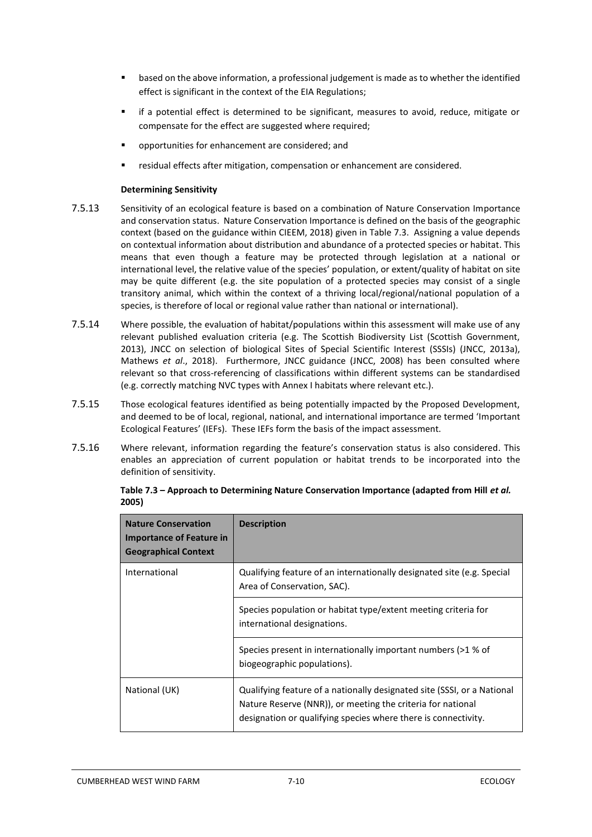- based on the above information, a professional judgement is made as to whether the identified effect is significant in the context of the EIA Regulations;
- if a potential effect is determined to be significant, measures to avoid, reduce, mitigate or compensate for the effect are suggested where required;
- opportunities for enhancement are considered; and
- residual effects after mitigation, compensation or enhancement are considered.

#### **Determining Sensitivity**

- 7.5.13 Sensitivity of an ecological feature is based on a combination of Nature Conservation Importance and conservation status. Nature Conservation Importance is defined on the basis of the geographic context (based on the guidance within CIEEM, 2018) given in Table 7.3. Assigning a value depends on contextual information about distribution and abundance of a protected species or habitat. This means that even though a feature may be protected through legislation at a national or international level, the relative value of the species' population, or extent/quality of habitat on site may be quite different (e.g. the site population of a protected species may consist of a single transitory animal, which within the context of a thriving local/regional/national population of a species, is therefore of local or regional value rather than national or international).
- 7.5.14 Where possible, the evaluation of habitat/populations within this assessment will make use of any relevant published evaluation criteria (e.g. The Scottish Biodiversity List (Scottish Government, 2013), JNCC on selection of biological Sites of Special Scientific Interest (SSSIs) (JNCC, 2013a), Mathews *et al*., 2018). Furthermore, JNCC guidance (JNCC, 2008) has been consulted where relevant so that cross-referencing of classifications within different systems can be standardised (e.g. correctly matching NVC types with Annex I habitats where relevant etc.).
- 7.5.15 Those ecological features identified as being potentially impacted by the Proposed Development, and deemed to be of local, regional, national, and international importance are termed 'Important Ecological Features' (IEFs). These IEFs form the basis of the impact assessment.
- 7.5.16 Where relevant, information regarding the feature's conservation status is also considered. This enables an appreciation of current population or habitat trends to be incorporated into the definition of sensitivity.

| <b>Nature Conservation</b><br><b>Importance of Feature in</b><br><b>Geographical Context</b> | <b>Description</b>                                                                                                                                                                                      |
|----------------------------------------------------------------------------------------------|---------------------------------------------------------------------------------------------------------------------------------------------------------------------------------------------------------|
| International                                                                                | Qualifying feature of an internationally designated site (e.g. Special<br>Area of Conservation, SAC).                                                                                                   |
|                                                                                              | Species population or habitat type/extent meeting criteria for<br>international designations.                                                                                                           |
|                                                                                              | Species present in internationally important numbers (>1 % of<br>biogeographic populations).                                                                                                            |
| National (UK)                                                                                | Qualifying feature of a nationally designated site (SSSI, or a National<br>Nature Reserve (NNR), or meeting the criteria for national<br>designation or qualifying species where there is connectivity. |

**Table 7.3 – Approach to Determining Nature Conservation Importance (adapted from Hill** *et al.*  **2005)**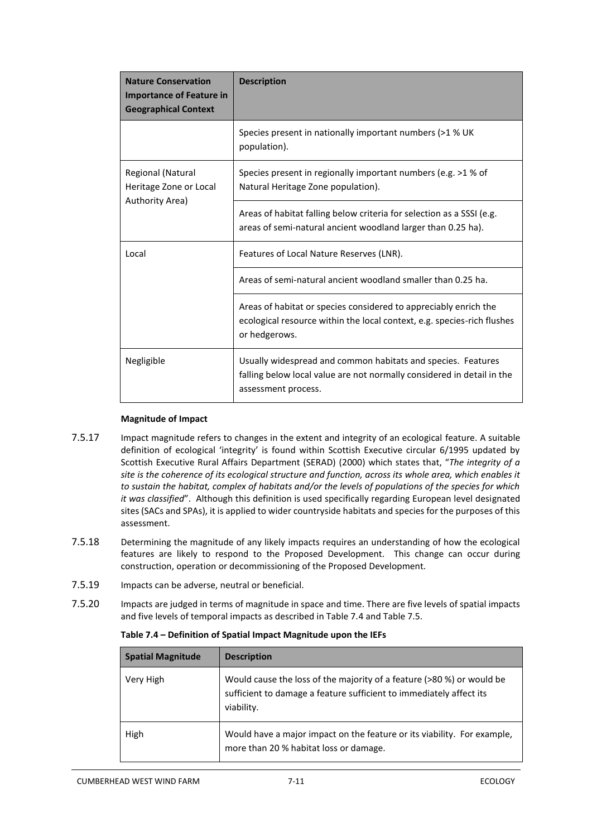| <b>Nature Conservation</b><br><b>Importance of Feature in</b><br><b>Geographical Context</b> | <b>Description</b>                                                                                                                                            |
|----------------------------------------------------------------------------------------------|---------------------------------------------------------------------------------------------------------------------------------------------------------------|
|                                                                                              | Species present in nationally important numbers (>1 % UK<br>population).                                                                                      |
| Regional (Natural<br>Heritage Zone or Local                                                  | Species present in regionally important numbers (e.g. >1 % of<br>Natural Heritage Zone population).                                                           |
| Authority Area)                                                                              | Areas of habitat falling below criteria for selection as a SSSI (e.g.<br>areas of semi-natural ancient woodland larger than 0.25 ha).                         |
| Local                                                                                        | Features of Local Nature Reserves (LNR).                                                                                                                      |
|                                                                                              | Areas of semi-natural ancient woodland smaller than 0.25 ha.                                                                                                  |
|                                                                                              | Areas of habitat or species considered to appreciably enrich the<br>ecological resource within the local context, e.g. species-rich flushes<br>or hedgerows.  |
| Negligible                                                                                   | Usually widespread and common habitats and species. Features<br>falling below local value are not normally considered in detail in the<br>assessment process. |

#### **Magnitude of Impact**

- 7.5.17 Impact magnitude refers to changes in the extent and integrity of an ecological feature. A suitable definition of ecological 'integrity' is found within Scottish Executive circular 6/1995 updated by Scottish Executive Rural Affairs Department (SERAD) (2000) which states that, "*The integrity of a site is the coherence of its ecological structure and function, across its whole area, which enables it to sustain the habitat, complex of habitats and/or the levels of populations of the species for which it was classified*". Although this definition is used specifically regarding European level designated sites (SACs and SPAs), it is applied to wider countryside habitats and species for the purposes of this assessment.
- 7.5.18 Determining the magnitude of any likely impacts requires an understanding of how the ecological features are likely to respond to the Proposed Development. This change can occur during construction, operation or decommissioning of the Proposed Development.
- 7.5.19 Impacts can be adverse, neutral or beneficial.
- 7.5.20 Impacts are judged in terms of magnitude in space and time. There are five levels of spatial impacts and five levels of temporal impacts as described in Table 7.4 and Table 7.5.

| <b>Spatial Magnitude</b> | <b>Description</b>                                                                                                                                         |
|--------------------------|------------------------------------------------------------------------------------------------------------------------------------------------------------|
| Very High                | Would cause the loss of the majority of a feature (>80 %) or would be<br>sufficient to damage a feature sufficient to immediately affect its<br>viability. |
| High                     | Would have a major impact on the feature or its viability. For example,<br>more than 20 % habitat loss or damage.                                          |

#### **Table 7.4 – Definition of Spatial Impact Magnitude upon the IEFs**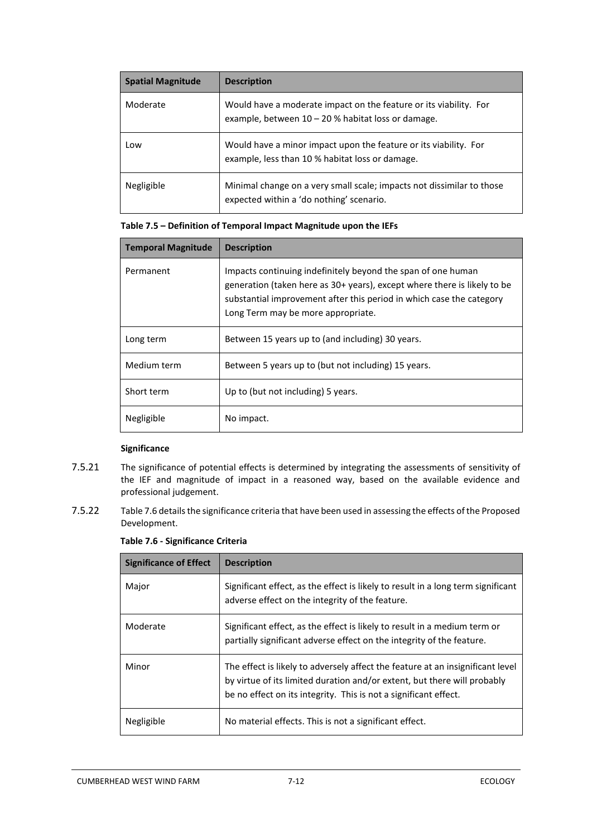| <b>Spatial Magnitude</b> | <b>Description</b>                                                                                                      |
|--------------------------|-------------------------------------------------------------------------------------------------------------------------|
| Moderate                 | Would have a moderate impact on the feature or its viability. For<br>example, between 10 - 20 % habitat loss or damage. |
| Low                      | Would have a minor impact upon the feature or its viability. For<br>example, less than 10 % habitat loss or damage.     |
| Negligible               | Minimal change on a very small scale; impacts not dissimilar to those<br>expected within a 'do nothing' scenario.       |

**Table 7.5 – Definition of Temporal Impact Magnitude upon the IEFs**

| <b>Temporal Magnitude</b> | <b>Description</b>                                                                                                                                                                                                                                     |
|---------------------------|--------------------------------------------------------------------------------------------------------------------------------------------------------------------------------------------------------------------------------------------------------|
| Permanent                 | Impacts continuing indefinitely beyond the span of one human<br>generation (taken here as 30+ years), except where there is likely to be<br>substantial improvement after this period in which case the category<br>Long Term may be more appropriate. |
| Long term                 | Between 15 years up to (and including) 30 years.                                                                                                                                                                                                       |
| Medium term               | Between 5 years up to (but not including) 15 years.                                                                                                                                                                                                    |
| Short term                | Up to (but not including) 5 years.                                                                                                                                                                                                                     |
| Negligible                | No impact.                                                                                                                                                                                                                                             |

## **Significance**

- 7.5.21 The significance of potential effects is determined by integrating the assessments of sensitivity of the IEF and magnitude of impact in a reasoned way, based on the available evidence and professional judgement.
- 7.5.22 Table 7.6 details the significance criteria that have been used in assessing the effects of the Proposed Development.

| Table 7.6 - Significance Criteria |  |  |
|-----------------------------------|--|--|
|-----------------------------------|--|--|

| <b>Significance of Effect</b> | <b>Description</b>                                                                                                                                                                                                             |
|-------------------------------|--------------------------------------------------------------------------------------------------------------------------------------------------------------------------------------------------------------------------------|
| Major                         | Significant effect, as the effect is likely to result in a long term significant<br>adverse effect on the integrity of the feature.                                                                                            |
| Moderate                      | Significant effect, as the effect is likely to result in a medium term or<br>partially significant adverse effect on the integrity of the feature.                                                                             |
| Minor                         | The effect is likely to adversely affect the feature at an insignificant level<br>by virtue of its limited duration and/or extent, but there will probably<br>be no effect on its integrity. This is not a significant effect. |
| Negligible                    | No material effects. This is not a significant effect.                                                                                                                                                                         |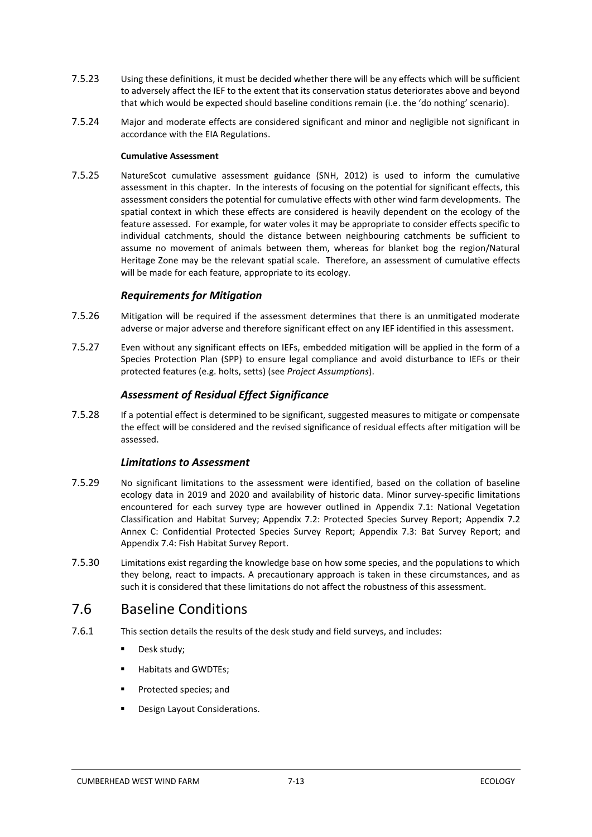- 7.5.23 Using these definitions, it must be decided whether there will be any effects which will be sufficient to adversely affect the IEF to the extent that its conservation status deteriorates above and beyond that which would be expected should baseline conditions remain (i.e. the 'do nothing' scenario).
- 7.5.24 Major and moderate effects are considered significant and minor and negligible not significant in accordance with the EIA Regulations.

#### **Cumulative Assessment**

7.5.25 NatureScot cumulative assessment guidance (SNH, 2012) is used to inform the cumulative assessment in this chapter. In the interests of focusing on the potential for significant effects, this assessment considers the potential for cumulative effects with other wind farm developments. The spatial context in which these effects are considered is heavily dependent on the ecology of the feature assessed. For example, for water voles it may be appropriate to consider effects specific to individual catchments, should the distance between neighbouring catchments be sufficient to assume no movement of animals between them, whereas for blanket bog the region/Natural Heritage Zone may be the relevant spatial scale. Therefore, an assessment of cumulative effects will be made for each feature, appropriate to its ecology.

## *Requirements for Mitigation*

- 7.5.26 Mitigation will be required if the assessment determines that there is an unmitigated moderate adverse or major adverse and therefore significant effect on any IEF identified in this assessment.
- 7.5.27 Even without any significant effects on IEFs, embedded mitigation will be applied in the form of a Species Protection Plan (SPP) to ensure legal compliance and avoid disturbance to IEFs or their protected features (e.g. holts, setts) (see *Project Assumptions*).

# *Assessment of Residual Effect Significance*

7.5.28 If a potential effect is determined to be significant, suggested measures to mitigate or compensate the effect will be considered and the revised significance of residual effects after mitigation will be assessed.

## *Limitations to Assessment*

- 7.5.29 No significant limitations to the assessment were identified, based on the collation of baseline ecology data in 2019 and 2020 and availability of historic data. Minor survey-specific limitations encountered for each survey type are however outlined in Appendix 7.1: National Vegetation Classification and Habitat Survey; Appendix 7.2: Protected Species Survey Report; Appendix 7.2 Annex C: Confidential Protected Species Survey Report; Appendix 7.3: Bat Survey Report; and Appendix 7.4: Fish Habitat Survey Report.
- 7.5.30 Limitations exist regarding the knowledge base on how some species, and the populations to which they belong, react to impacts. A precautionary approach is taken in these circumstances, and as such it is considered that these limitations do not affect the robustness of this assessment.

# <span id="page-14-0"></span>7.6 Baseline Conditions

- 7.6.1 This section details the results of the desk study and field surveys, and includes:
	- Desk study;
	- Habitats and GWDTEs;
	- Protected species; and
	- Design Layout Considerations.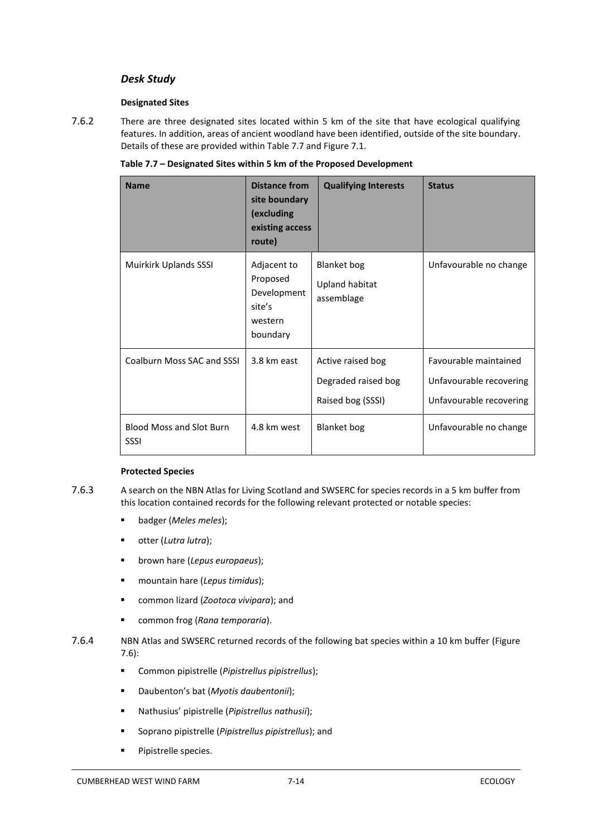# *Desk Study*

#### **Designated Sites**

7.6.2 There are three designated sites located within 5 km of the site that have ecological qualifying features. In addition, areas of ancient woodland have been identified, outside of the site boundary. Details of these are provided within Table 7.7 and Figure 7.1.

**Table 7.7 – Designated Sites within 5 km of the Proposed Development**

| <b>Name</b>                                    | <b>Distance from</b><br>site boundary<br>(excluding<br>existing access<br>route) | <b>Qualifying Interests</b>                                   | <b>Status</b>                                                               |
|------------------------------------------------|----------------------------------------------------------------------------------|---------------------------------------------------------------|-----------------------------------------------------------------------------|
| Muirkirk Uplands SSSI                          | Adjacent to<br>Proposed<br>Development<br>site's<br>western<br>boundary          | <b>Blanket</b> bog<br>Upland habitat<br>assemblage            | Unfavourable no change                                                      |
| Coalburn Moss SAC and SSSI                     | 3.8 km east                                                                      | Active raised bog<br>Degraded raised bog<br>Raised bog (SSSI) | Favourable maintained<br>Unfavourable recovering<br>Unfavourable recovering |
| <b>Blood Moss and Slot Burn</b><br><b>SSSI</b> | 4.8 km west                                                                      | <b>Blanket</b> bog                                            | Unfavourable no change                                                      |

## **Protected Species**

- 7.6.3 A search on the NBN Atlas for Living Scotland and SWSERC for species records in a 5 km buffer from this location contained records for the following relevant protected or notable species:
	- badger (*Meles meles*);
	- otter (*Lutra lutra*);
	- brown hare (*Lepus europaeus*);
	- mountain hare (*Lepus timidus*);
	- common lizard (*Zootoca vivipara*); and
	- common frog (*Rana temporaria*).
- 7.6.4 NBN Atlas and SWSERC returned records of the following bat species within a 10 km buffer (Figure 7.6):
	- Common pipistrelle (*Pipistrellus pipistrellus*);
	- Daubenton's bat (*Myotis daubentonii*);
	- Nathusius' pipistrelle (*Pipistrellus nathusii*);
	- Soprano pipistrelle (*Pipistrellus pipistrellus*); and
	- Pipistrelle species.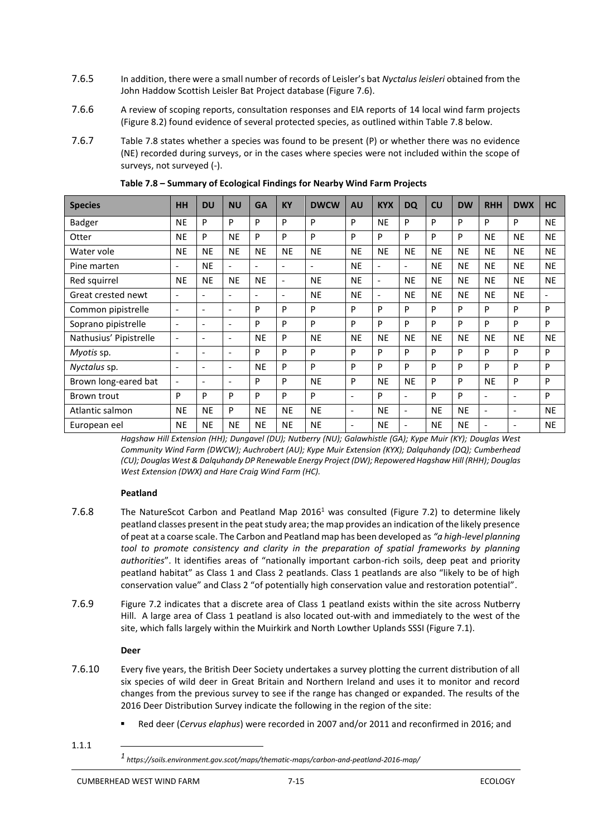- 7.6.5 In addition, there were a small number of records of Leisler's bat *Nyctalus leisleri* obtained from the John Haddow Scottish Leisler Bat Project database (Figure 7.6).
- 7.6.6 A review of scoping reports, consultation responses and EIA reports of 14 local wind farm projects (Figure 8.2) found evidence of several protected species, as outlined within Table 7.8 below.
- 7.6.7 Table 7.8 states whether a species was found to be present (P) or whether there was no evidence (NE) recorded during surveys, or in the cases where species were not included within the scope of surveys, not surveyed (-).

| <b>Species</b>         | <b>HH</b>                | <b>DU</b>                | <b>NU</b>                | <b>GA</b>                | <b>KY</b>                | <b>DWCW</b>              | <b>AU</b>                | <b>KYX</b>               | <b>DQ</b>                | CU        | <b>DW</b> | <b>RHH</b>               | <b>DWX</b>               | <b>HC</b>                |
|------------------------|--------------------------|--------------------------|--------------------------|--------------------------|--------------------------|--------------------------|--------------------------|--------------------------|--------------------------|-----------|-----------|--------------------------|--------------------------|--------------------------|
| Badger                 | <b>NE</b>                | P                        | Þ                        | P                        | P                        | P                        | P                        | <b>NE</b>                | P                        | P         | P         | P                        | P                        | <b>NE</b>                |
| Otter                  | <b>NE</b>                | P                        | <b>NE</b>                | P                        | P                        | P                        | P                        | P                        | P                        | P         | P         | <b>NE</b>                | <b>NE</b>                | <b>NE</b>                |
| Water vole             | <b>NE</b>                | <b>NE</b>                | <b>NE</b>                | <b>NE</b>                | <b>NE</b>                | <b>NE</b>                | <b>NE</b>                | <b>NE</b>                | <b>NE</b>                | <b>NE</b> | <b>NE</b> | <b>NE</b>                | <b>NE</b>                | <b>NE</b>                |
| Pine marten            | $\overline{\phantom{0}}$ | <b>NE</b>                | $\overline{\phantom{a}}$ | $\overline{\phantom{a}}$ | $\overline{\phantom{a}}$ | $\overline{\phantom{a}}$ | <b>NE</b>                | ۰                        | $\overline{\phantom{0}}$ | <b>NE</b> | <b>NE</b> | <b>NE</b>                | <b>NE</b>                | <b>NE</b>                |
| Red squirrel           | <b>NE</b>                | <b>NE</b>                | <b>NE</b>                | <b>NE</b>                |                          | <b>NE</b>                | <b>NE</b>                | $\overline{\phantom{0}}$ | <b>NE</b>                | <b>NE</b> | <b>NE</b> | <b>NE</b>                | <b>NE</b>                | <b>NE</b>                |
| Great crested newt     | ۰                        | $\overline{\phantom{a}}$ | $\overline{\phantom{a}}$ | $\overline{\phantom{a}}$ |                          | <b>NE</b>                | <b>NE</b>                | $\overline{\phantom{0}}$ | <b>NE</b>                | <b>NE</b> | <b>NE</b> | <b>NE</b>                | <b>NE</b>                | $\overline{\phantom{0}}$ |
| Common pipistrelle     | $\overline{\phantom{a}}$ | $\overline{\phantom{a}}$ | $\overline{\phantom{0}}$ | P                        | P                        | P                        | P                        | P                        | P                        | P         | P         | P                        | P                        | P                        |
| Soprano pipistrelle    | $\overline{\phantom{0}}$ | $\overline{\phantom{a}}$ | $\overline{\phantom{a}}$ | P                        | P                        | P                        | Þ                        | P                        | P                        | P         | P         | P                        | P                        | P                        |
| Nathusius' Pipistrelle | $\overline{\phantom{0}}$ | $\overline{\phantom{a}}$ | $\overline{\phantom{a}}$ | <b>NE</b>                | P                        | <b>NE</b>                | <b>NE</b>                | <b>NE</b>                | <b>NE</b>                | <b>NE</b> | <b>NE</b> | <b>NE</b>                | <b>NE</b>                | <b>NE</b>                |
| Myotis sp.             | ٠                        | $\overline{\phantom{a}}$ | $\overline{\phantom{a}}$ | P                        | P                        | P                        | P                        | P                        | P                        | P         | P         | P                        | P                        | P                        |
| Nyctalus sp.           | $\overline{\phantom{0}}$ | $\overline{\phantom{a}}$ | $\overline{\phantom{a}}$ | <b>NE</b>                | P                        | P                        | P                        | P                        | P                        | P         | P         | P                        | P                        | P                        |
| Brown long-eared bat   | $\overline{\phantom{0}}$ | $\overline{\phantom{a}}$ |                          | P                        | P                        | <b>NE</b>                | P                        | <b>NE</b>                | <b>NE</b>                | P         | P         | <b>NE</b>                | P                        | P                        |
| Brown trout            | P                        | P                        | P                        | P                        | P                        | P                        | $\overline{\phantom{0}}$ | P                        | $\overline{\phantom{0}}$ | P         | P         | $\overline{\phantom{0}}$ | $\overline{\phantom{a}}$ | P                        |
| Atlantic salmon        | <b>NE</b>                | <b>NE</b>                | P                        | <b>NE</b>                | <b>NE</b>                | <b>NE</b>                | $\overline{\phantom{a}}$ | <b>NE</b>                | $\overline{\phantom{0}}$ | <b>NE</b> | <b>NE</b> | $\overline{\phantom{0}}$ | $\overline{\phantom{0}}$ | <b>NE</b>                |
| European eel           | <b>NE</b>                | <b>NE</b>                | <b>NE</b>                | <b>NE</b>                | <b>NE</b>                | <b>NE</b>                | $\overline{\phantom{0}}$ | <b>NE</b>                |                          | <b>NE</b> | <b>NE</b> |                          | $\overline{\phantom{0}}$ | <b>NE</b>                |

**Table 7.8 – Summary of Ecological Findings for Nearby Wind Farm Projects**

*Hagshaw Hill Extension (HH); Dungavel (DU); Nutberry (NU); Galawhistle (GA); Kype Muir (KY); Douglas West Community Wind Farm (DWCW); Auchrobert (AU); Kype Muir Extension (KYX); Dalquhandy (DQ); Cumberhead (CU); Douglas West & Dalquhandy DP Renewable Energy Project (DW); Repowered Hagshaw Hill (RHH); Douglas West Extension (DWX) and Hare Craig Wind Farm (HC).*

## **Peatland**

- 7.6.8 The NatureScot Carbon and Peatland Map 2016<sup>1</sup> was consulted (Figure 7.2) to determine likely peatland classes present in the peat study area; the map provides an indication of the likely presence of peat at a coarse scale. The Carbon and Peatland map has been developed as *"a high-level planning tool to promote consistency and clarity in the preparation of spatial frameworks by planning authorities*". It identifies areas of "nationally important carbon-rich soils, deep peat and priority peatland habitat" as Class 1 and Class 2 peatlands. Class 1 peatlands are also "likely to be of high conservation value" and Class 2 "of potentially high conservation value and restoration potential".
- 7.6.9 Figure 7.2 indicates that a discrete area of Class 1 peatland exists within the site across Nutberry Hill. A large area of Class 1 peatland is also located out-with and immediately to the west of the site, which falls largely within the Muirkirk and North Lowther Uplands SSSI (Figure 7.1).

# **Deer**

- 7.6.10 Every five years, the British Deer Society undertakes a survey plotting the current distribution of all six species of wild deer in Great Britain and Northern Ireland and uses it to monitor and record changes from the previous survey to see if the range has changed or expanded. The results of the 2016 Deer Distribution Survey indicate the following in the region of the site:
	- Red deer (*Cervus elaphus*) were recorded in 2007 and/or 2011 and reconfirmed in 2016; and
- 1.1.1

*<sup>1</sup> https://soils.environment.gov.scot/maps/thematic-maps/carbon-and-peatland-2016-map/*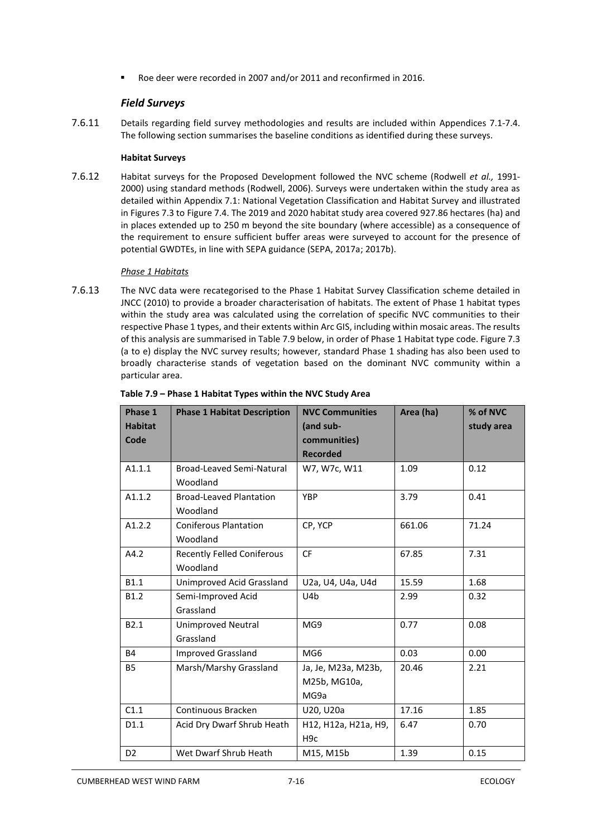Roe deer were recorded in 2007 and/or 2011 and reconfirmed in 2016.

## *Field Surveys*

7.6.11 Details regarding field survey methodologies and results are included within Appendices 7.1-7.4. The following section summarises the baseline conditions as identified during these surveys.

#### **Habitat Surveys**

7.6.12 Habitat surveys for the Proposed Development followed the NVC scheme (Rodwell *et al.,* 1991- 2000) using standard methods (Rodwell, 2006). Surveys were undertaken within the study area as detailed within Appendix 7.1: National Vegetation Classification and Habitat Survey and illustrated in Figures 7.3 to Figure 7.4. The 2019 and 2020 habitat study area covered 927.86 hectares (ha) and in places extended up to 250 m beyond the site boundary (where accessible) as a consequence of the requirement to ensure sufficient buffer areas were surveyed to account for the presence of potential GWDTEs, in line with SEPA guidance (SEPA, 2017a; 2017b).

#### *Phase 1 Habitats*

7.6.13 The NVC data were recategorised to the Phase 1 Habitat Survey Classification scheme detailed in JNCC (2010) to provide a broader characterisation of habitats. The extent of Phase 1 habitat types within the study area was calculated using the correlation of specific NVC communities to their respective Phase 1 types, and their extents within Arc GIS, including within mosaic areas. The results of this analysis are summarised in Table 7.9 below, in order of Phase 1 Habitat type code. Figure 7.3 (a to e) display the NVC survey results; however, standard Phase 1 shading has also been used to broadly characterise stands of vegetation based on the dominant NVC community within a particular area.

| Phase 1        | <b>Phase 1 Habitat Description</b> | <b>NVC Communities</b> | Area (ha) | % of NVC   |
|----------------|------------------------------------|------------------------|-----------|------------|
| <b>Habitat</b> |                                    | (and sub-              |           | study area |
| Code           |                                    | communities)           |           |            |
|                |                                    | <b>Recorded</b>        |           |            |
| A1.1.1         | <b>Broad-Leaved Semi-Natural</b>   | W7, W7c, W11           | 1.09      | 0.12       |
|                | Woodland                           |                        |           |            |
| A1.1.2         | <b>Broad-Leaved Plantation</b>     | <b>YBP</b>             | 3.79      | 0.41       |
|                | Woodland                           |                        |           |            |
| A1.2.2         | <b>Coniferous Plantation</b>       | CP, YCP                | 661.06    | 71.24      |
|                | Woodland                           |                        |           |            |
| A4.2           | <b>Recently Felled Coniferous</b>  | <b>CF</b>              | 67.85     | 7.31       |
|                | Woodland                           |                        |           |            |
| <b>B1.1</b>    | Unimproved Acid Grassland          | U2a, U4, U4a, U4d      | 15.59     | 1.68       |
| B1.2           | Semi-Improved Acid                 | U4b                    | 2.99      | 0.32       |
|                | Grassland                          |                        |           |            |
| B2.1           | <b>Unimproved Neutral</b>          | MG9                    | 0.77      | 0.08       |
|                | Grassland                          |                        |           |            |
| <b>B4</b>      | Improved Grassland                 | MG6                    | 0.03      | 0.00       |
| <b>B5</b>      | Marsh/Marshy Grassland             | Ja, Je, M23a, M23b,    | 20.46     | 2.21       |
|                |                                    | M25b, MG10a,           |           |            |
|                |                                    | MG9a                   |           |            |
| C1.1           | Continuous Bracken                 | U20, U20a              | 17.16     | 1.85       |
| D1.1           | Acid Dry Dwarf Shrub Heath         | H12, H12a, H21a, H9,   | 6.47      | 0.70       |
|                |                                    | H <sub>9c</sub>        |           |            |
| D <sub>2</sub> | Wet Dwarf Shrub Heath              | M15, M15b              | 1.39      | 0.15       |

#### **Table 7.9 – Phase 1 Habitat Types within the NVC Study Area**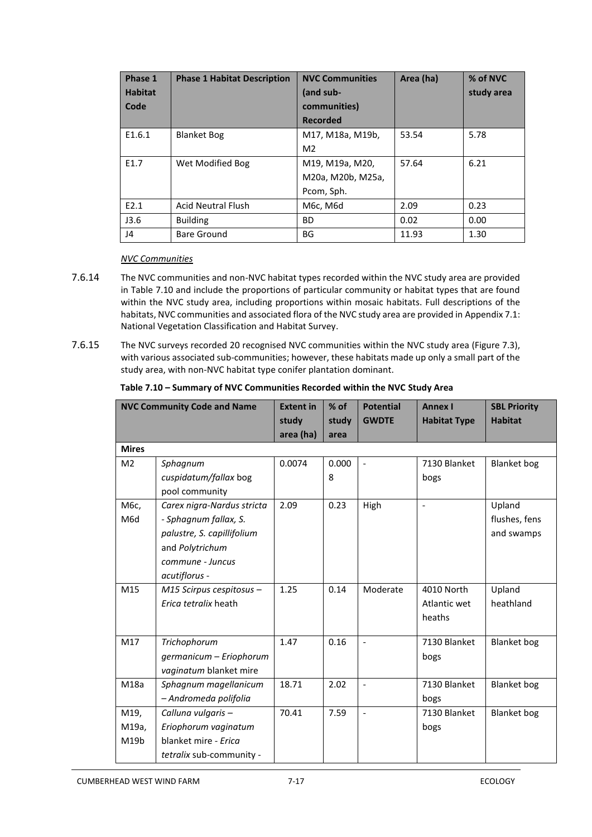| Phase 1<br><b>Habitat</b><br>Code | <b>Phase 1 Habitat Description</b> | <b>NVC Communities</b><br>(and sub-<br>communities)<br><b>Recorded</b> | Area (ha) | % of NVC<br>study area |
|-----------------------------------|------------------------------------|------------------------------------------------------------------------|-----------|------------------------|
| E1.6.1                            | <b>Blanket Bog</b>                 | M17, M18a, M19b,<br>M <sub>2</sub>                                     | 53.54     | 5.78                   |
| E1.7                              | Wet Modified Bog                   | M19, M19a, M20,<br>M20a, M20b, M25a,<br>Pcom, Sph.                     | 57.64     | 6.21                   |
| E2.1                              | <b>Acid Neutral Flush</b>          | M6c, M6d                                                               | 2.09      | 0.23                   |
| J3.6                              | <b>Building</b>                    | <b>BD</b>                                                              | 0.02      | 0.00                   |
| J4                                | <b>Bare Ground</b>                 | BG                                                                     | 11.93     | 1.30                   |

#### *NVC Communities*

- 7.6.14 The NVC communities and non-NVC habitat types recorded within the NVC study area are provided in Table 7.10 and include the proportions of particular community or habitat types that are found within the NVC study area, including proportions within mosaic habitats. Full descriptions of the habitats, NVC communities and associated flora of the NVC study area are provided in Appendix 7.1: National Vegetation Classification and Habitat Survey.
- 7.6.15 The NVC surveys recorded 20 recognised NVC communities within the NVC study area (Figure 7.3), with various associated sub-communities; however, these habitats made up only a small part of the study area, with non-NVC habitat type conifer plantation dominant.

| <b>NVC Community Code and Name</b> |                            | <b>Extent in</b> | % of  | <b>Potential</b>         | <b>Annex I</b>      | <b>SBL Priority</b> |
|------------------------------------|----------------------------|------------------|-------|--------------------------|---------------------|---------------------|
|                                    |                            | study            | study | <b>GWDTE</b>             | <b>Habitat Type</b> | <b>Habitat</b>      |
|                                    |                            | area (ha)        | area  |                          |                     |                     |
| <b>Mires</b>                       |                            |                  |       |                          |                     |                     |
| M <sub>2</sub>                     | Sphagnum                   | 0.0074           | 0.000 | $\overline{\phantom{a}}$ | 7130 Blanket        | <b>Blanket</b> bog  |
|                                    | cuspidatum/fallax bog      |                  | 8     |                          | bogs                |                     |
|                                    | pool community             |                  |       |                          |                     |                     |
| M6c,                               | Carex nigra-Nardus stricta | 2.09             | 0.23  | High                     | $\overline{a}$      | Upland              |
| M6d                                | - Sphagnum fallax, S.      |                  |       |                          |                     | flushes, fens       |
|                                    | palustre, S. capillifolium |                  |       |                          |                     | and swamps          |
|                                    | and Polytrichum            |                  |       |                          |                     |                     |
|                                    | commune - Juncus           |                  |       |                          |                     |                     |
|                                    | acutiflorus -              |                  |       |                          |                     |                     |
| M15                                | M15 Scirpus cespitosus -   | 1.25             | 0.14  | Moderate                 | 4010 North          | Upland              |
|                                    | Erica tetralix heath       |                  |       |                          | Atlantic wet        | heathland           |
|                                    |                            |                  |       |                          | heaths              |                     |
|                                    |                            |                  |       |                          |                     |                     |
| M17                                | Trichophorum               | 1.47             | 0.16  |                          | 7130 Blanket        | <b>Blanket</b> bog  |
|                                    | germanicum - Eriophorum    |                  |       |                          | bogs                |                     |
|                                    | vaginatum blanket mire     |                  |       |                          |                     |                     |
| M18a                               | Sphagnum magellanicum      | 18.71            | 2.02  | $\overline{\phantom{a}}$ | 7130 Blanket        | <b>Blanket</b> bog  |
|                                    | - Andromeda polifolia      |                  |       |                          | bogs                |                     |
| M19,                               | Calluna vulgaris-          | 70.41            | 7.59  | $\overline{\phantom{a}}$ | 7130 Blanket        | <b>Blanket</b> bog  |
| M19a,                              | Eriophorum vaginatum       |                  |       |                          | bogs                |                     |
| M <sub>19</sub> b                  | blanket mire - Erica       |                  |       |                          |                     |                     |
|                                    | tetralix sub-community -   |                  |       |                          |                     |                     |

**Table 7.10 – Summary of NVC Communities Recorded within the NVC Study Area**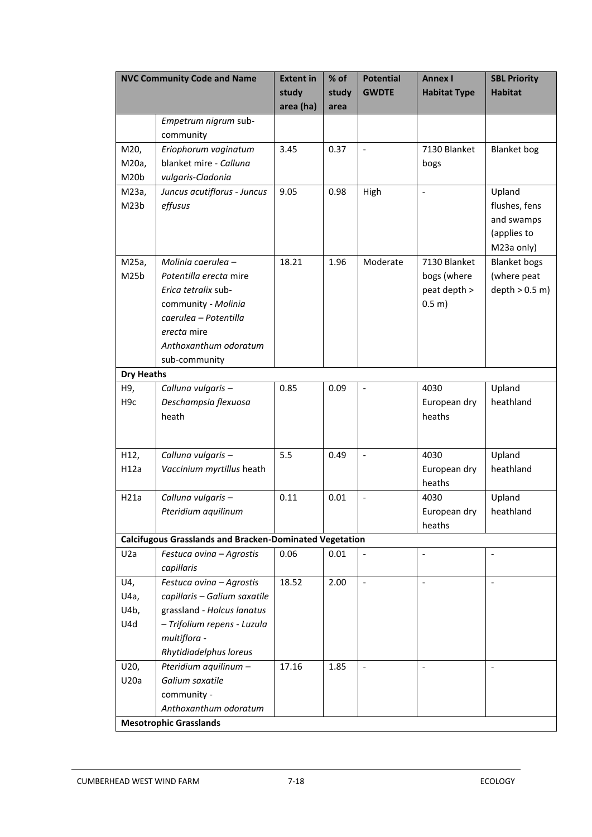|                   | <b>NVC Community Code and Name</b>                             | <b>Extent in</b><br>study | % of<br>study | <b>Potential</b><br><b>GWDTE</b> | <b>Annex I</b><br><b>Habitat Type</b> | <b>SBL Priority</b><br><b>Habitat</b> |
|-------------------|----------------------------------------------------------------|---------------------------|---------------|----------------------------------|---------------------------------------|---------------------------------------|
|                   |                                                                | area (ha)                 | area          |                                  |                                       |                                       |
|                   | Empetrum nigrum sub-                                           |                           |               |                                  |                                       |                                       |
|                   | community                                                      |                           |               |                                  |                                       |                                       |
| M20,              | Eriophorum vaginatum                                           | 3.45                      | 0.37          | $\qquad \qquad -$                | 7130 Blanket                          | <b>Blanket</b> bog                    |
| M20a,             | blanket mire - Calluna                                         |                           |               |                                  | bogs                                  |                                       |
| M20b              | vulgaris-Cladonia                                              |                           |               |                                  |                                       |                                       |
| M23a,             | Juncus acutiflorus - Juncus                                    | 9.05                      | 0.98          | High                             | $\overline{\phantom{a}}$              | Upland                                |
| M23b              | effusus                                                        |                           |               |                                  |                                       | flushes, fens                         |
|                   |                                                                |                           |               |                                  |                                       | and swamps                            |
|                   |                                                                |                           |               |                                  |                                       | (applies to                           |
|                   |                                                                |                           |               |                                  |                                       | M23a only)                            |
| M25a,             | Molinia caerulea -                                             | 18.21                     | 1.96          | Moderate                         | 7130 Blanket                          | <b>Blanket bogs</b>                   |
| M25b              | Potentilla erecta mire<br>Erica tetralix sub-                  |                           |               |                                  | bogs (where<br>peat depth >           | (where peat<br>depth > 0.5 m)         |
|                   | community - Molinia                                            |                           |               |                                  | 0.5 m)                                |                                       |
|                   | caerulea - Potentilla                                          |                           |               |                                  |                                       |                                       |
|                   | erecta mire                                                    |                           |               |                                  |                                       |                                       |
|                   | Anthoxanthum odoratum                                          |                           |               |                                  |                                       |                                       |
|                   | sub-community                                                  |                           |               |                                  |                                       |                                       |
| <b>Dry Heaths</b> |                                                                |                           |               |                                  |                                       |                                       |
| H9,               | Calluna vulgaris-                                              | 0.85                      | 0.09          | $\qquad \qquad \blacksquare$     | 4030                                  | Upland                                |
| H <sub>9c</sub>   | Deschampsia flexuosa                                           |                           |               |                                  | European dry                          | heathland                             |
|                   | heath                                                          |                           |               |                                  | heaths                                |                                       |
|                   |                                                                |                           |               |                                  |                                       |                                       |
| H12,              | Calluna vulgaris-                                              | 5.5                       | 0.49          | $\overline{\phantom{a}}$         | 4030                                  | Upland                                |
| H12a              | Vaccinium myrtillus heath                                      |                           |               |                                  | European dry                          | heathland                             |
|                   |                                                                |                           |               |                                  | heaths                                |                                       |
| H21a              | Calluna vulgaris-                                              | 0.11                      | 0.01          |                                  | 4030                                  | Upland                                |
|                   | Pteridium aguilinum                                            |                           |               |                                  | European dry                          | heathland                             |
|                   |                                                                |                           |               |                                  | heaths                                |                                       |
|                   | <b>Calcifugous Grasslands and Bracken-Dominated Vegetation</b> |                           |               |                                  |                                       |                                       |
| U <sub>2</sub> a  | Festuca ovina – Agrostis<br>capillaris                         | 0.06                      | 0.01          | $\overline{\phantom{a}}$         | $\qquad \qquad \blacksquare$          |                                       |
| U4,               | Festuca ovina - Agrostis                                       | 18.52                     | 2.00          |                                  |                                       |                                       |
| U4a,              | capillaris - Galium saxatile                                   |                           |               |                                  |                                       |                                       |
| U4b,              | grassland - Holcus lanatus                                     |                           |               |                                  |                                       |                                       |
| U4d               | - Trifolium repens - Luzula                                    |                           |               |                                  |                                       |                                       |
|                   | multiflora -                                                   |                           |               |                                  |                                       |                                       |
|                   | Rhytidiadelphus loreus                                         |                           |               |                                  |                                       |                                       |
| U20,              | Pteridium aquilinum -                                          | 17.16                     | 1.85          |                                  | $\blacksquare$                        |                                       |
| U20a              | Galium saxatile                                                |                           |               |                                  |                                       |                                       |
|                   | community -                                                    |                           |               |                                  |                                       |                                       |
|                   | Anthoxanthum odoratum                                          |                           |               |                                  |                                       |                                       |
|                   | <b>Mesotrophic Grasslands</b>                                  |                           |               |                                  |                                       |                                       |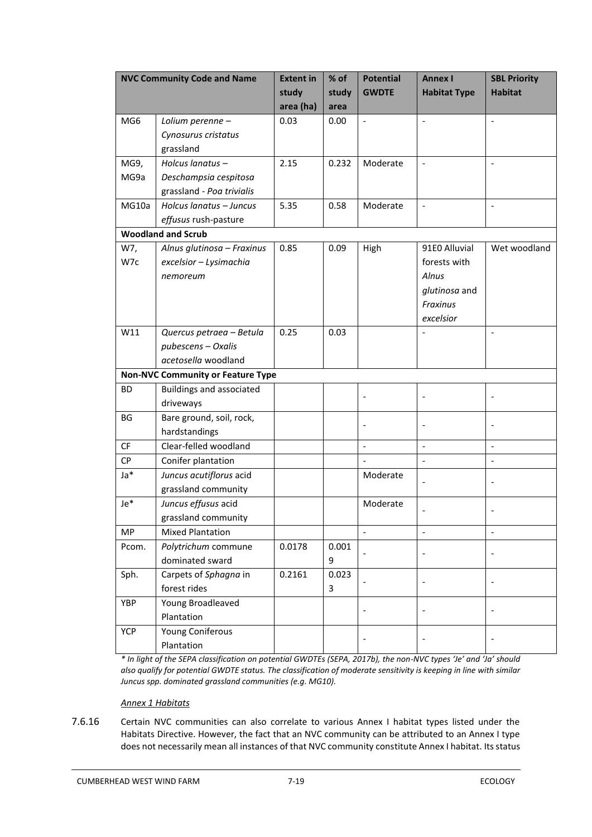|            | <b>NVC Community Code and Name</b>       | <b>Extent in</b> | % of  | <b>Potential</b> | <b>Annex I</b>           | <b>SBL Priority</b>      |
|------------|------------------------------------------|------------------|-------|------------------|--------------------------|--------------------------|
|            |                                          | study            | study | <b>GWDTE</b>     | <b>Habitat Type</b>      | <b>Habitat</b>           |
|            |                                          | area (ha)        | area  |                  |                          |                          |
| MG6        | Lolium perenne -                         | 0.03             | 0.00  | $\overline{a}$   |                          | $\overline{a}$           |
|            | Cynosurus cristatus                      |                  |       |                  |                          |                          |
|            | grassland                                |                  |       |                  |                          |                          |
| MG9,       | Holcus lanatus -                         | 2.15             | 0.232 | Moderate         |                          |                          |
| MG9a       | Deschampsia cespitosa                    |                  |       |                  |                          |                          |
|            | grassland - Poa trivialis                |                  |       |                  |                          |                          |
| MG10a      | Holcus lanatus - Juncus                  | 5.35             | 0.58  | Moderate         |                          |                          |
|            | effusus rush-pasture                     |                  |       |                  |                          |                          |
|            | <b>Woodland and Scrub</b>                |                  |       |                  |                          |                          |
| W7,        | Alnus glutinosa - Fraxinus               | 0.85             | 0.09  | High             | 91E0 Alluvial            | Wet woodland             |
| W7c        | excelsior - Lysimachia                   |                  |       |                  | forests with             |                          |
|            | nemoreum                                 |                  |       |                  | Alnus                    |                          |
|            |                                          |                  |       |                  | glutinosa and            |                          |
|            |                                          |                  |       |                  | Fraxinus                 |                          |
|            |                                          |                  |       |                  | excelsior                |                          |
| W11        | Quercus petraea - Betula                 | 0.25             | 0.03  |                  |                          | $\overline{\phantom{a}}$ |
|            | pubescens - Oxalis                       |                  |       |                  |                          |                          |
|            | acetosella woodland                      |                  |       |                  |                          |                          |
|            | <b>Non-NVC Community or Feature Type</b> |                  |       |                  |                          |                          |
| <b>BD</b>  | <b>Buildings and associated</b>          |                  |       |                  |                          |                          |
|            | driveways                                |                  |       |                  |                          |                          |
| BG         | Bare ground, soil, rock,                 |                  |       |                  |                          |                          |
|            | hardstandings                            |                  |       |                  |                          |                          |
| <b>CF</b>  | Clear-felled woodland                    |                  |       |                  |                          |                          |
| CP         | Conifer plantation                       |                  |       |                  | $\frac{1}{2}$            | $\overline{\phantom{a}}$ |
| Ja*        | Juncus acutiflorus acid                  |                  |       | Moderate         |                          | $\overline{\phantom{a}}$ |
|            | grassland community                      |                  |       |                  |                          |                          |
| Je*        | Juncus effusus acid                      |                  |       | Moderate         |                          |                          |
|            | grassland community                      |                  |       |                  |                          |                          |
| <b>MP</b>  | <b>Mixed Plantation</b>                  |                  |       | $\overline{a}$   | $\frac{1}{2}$            |                          |
| Pcom.      | Polytrichum commune                      | 0.0178           | 0.001 |                  | $\overline{\phantom{a}}$ |                          |
|            | dominated sward                          |                  | 9     |                  |                          |                          |
| Sph.       | Carpets of Sphagna in                    | 0.2161           | 0.023 |                  |                          |                          |
|            | forest rides                             |                  | 3     |                  |                          |                          |
| YBP        | Young Broadleaved                        |                  |       |                  |                          |                          |
|            | Plantation                               |                  |       |                  |                          |                          |
| <b>YCP</b> | Young Coniferous                         |                  |       |                  |                          |                          |
|            | Plantation                               |                  |       |                  |                          |                          |

*\* In light of the SEPA classification on potential GWDTEs (SEPA, 2017b), the non-NVC types 'Je' and 'Ja' should also qualify for potential GWDTE status. The classification of moderate sensitivity is keeping in line with similar Juncus spp. dominated grassland communities (e.g. MG10).*

#### *Annex 1 Habitats*

7.6.16 Certain NVC communities can also correlate to various Annex I habitat types listed under the Habitats Directive. However, the fact that an NVC community can be attributed to an Annex I type does not necessarily mean all instances of that NVC community constitute Annex I habitat. Its status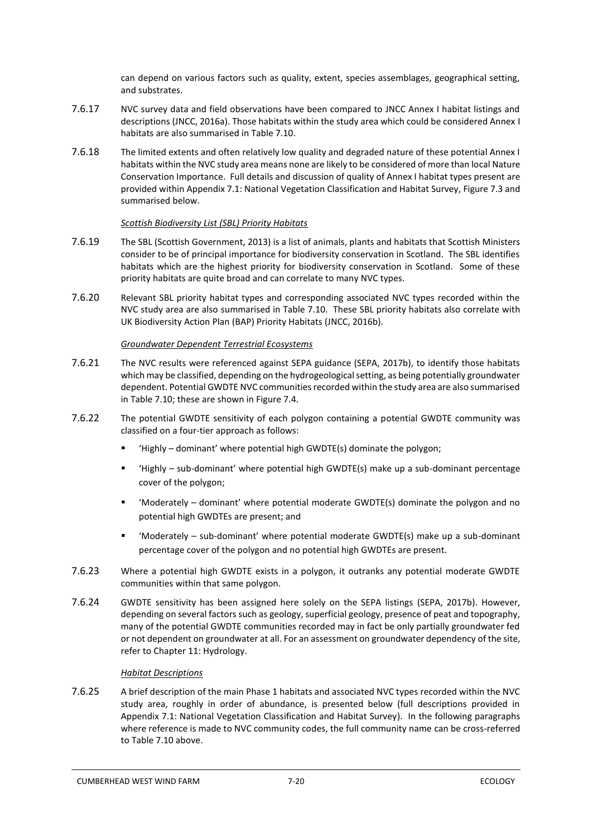can depend on various factors such as quality, extent, species assemblages, geographical setting, and substrates.

- 7.6.17 NVC survey data and field observations have been compared to JNCC Annex I habitat listings and descriptions (JNCC, 2016a). Those habitats within the study area which could be considered Annex I habitats are also summarised in Table 7.10.
- 7.6.18 The limited extents and often relatively low quality and degraded nature of these potential Annex I habitats within the NVC study area means none are likely to be considered of more than local Nature Conservation Importance. Full details and discussion of quality of Annex I habitat types present are provided within Appendix 7.1: National Vegetation Classification and Habitat Survey, Figure 7.3 and summarised below.

#### *Scottish Biodiversity List (SBL) Priority Habitats*

- 7.6.19 The SBL (Scottish Government, 2013) is a list of animals, plants and habitats that Scottish Ministers consider to be of principal importance for biodiversity conservation in Scotland. The SBL identifies habitats which are the highest priority for biodiversity conservation in Scotland. Some of these priority habitats are quite broad and can correlate to many NVC types.
- 7.6.20 Relevant SBL priority habitat types and corresponding associated NVC types recorded within the NVC study area are also summarised in Table 7.10. These SBL priority habitats also correlate with UK Biodiversity Action Plan (BAP) Priority Habitats (JNCC, 2016b).

#### *Groundwater Dependent Terrestrial Ecosystems*

- 7.6.21 The NVC results were referenced against SEPA guidance (SEPA, 2017b), to identify those habitats which may be classified, depending on the hydrogeological setting, as being potentially groundwater dependent. Potential GWDTE NVC communities recorded within the study area are also summarised in Table 7.10; these are shown in Figure 7.4.
- 7.6.22 The potential GWDTE sensitivity of each polygon containing a potential GWDTE community was classified on a four-tier approach as follows:
	- 'Highly dominant' where potential high GWDTE(s) dominate the polygon;
	- 'Highly sub-dominant' where potential high GWDTE(s) make up a sub-dominant percentage cover of the polygon;
	- 'Moderately dominant' where potential moderate GWDTE(s) dominate the polygon and no potential high GWDTEs are present; and
	- 'Moderately sub-dominant' where potential moderate GWDTE(s) make up a sub-dominant percentage cover of the polygon and no potential high GWDTEs are present.
- 7.6.23 Where a potential high GWDTE exists in a polygon, it outranks any potential moderate GWDTE communities within that same polygon.
- 7.6.24 GWDTE sensitivity has been assigned here solely on the SEPA listings (SEPA, 2017b). However, depending on several factors such as geology, superficial geology, presence of peat and topography, many of the potential GWDTE communities recorded may in fact be only partially groundwater fed or not dependent on groundwater at all. For an assessment on groundwater dependency of the site, refer to Chapter 11: Hydrology.

#### *Habitat Descriptions*

7.6.25 A brief description of the main Phase 1 habitats and associated NVC types recorded within the NVC study area, roughly in order of abundance, is presented below (full descriptions provided in Appendix 7.1: National Vegetation Classification and Habitat Survey). In the following paragraphs where reference is made to NVC community codes, the full community name can be cross-referred to Table 7.10 above.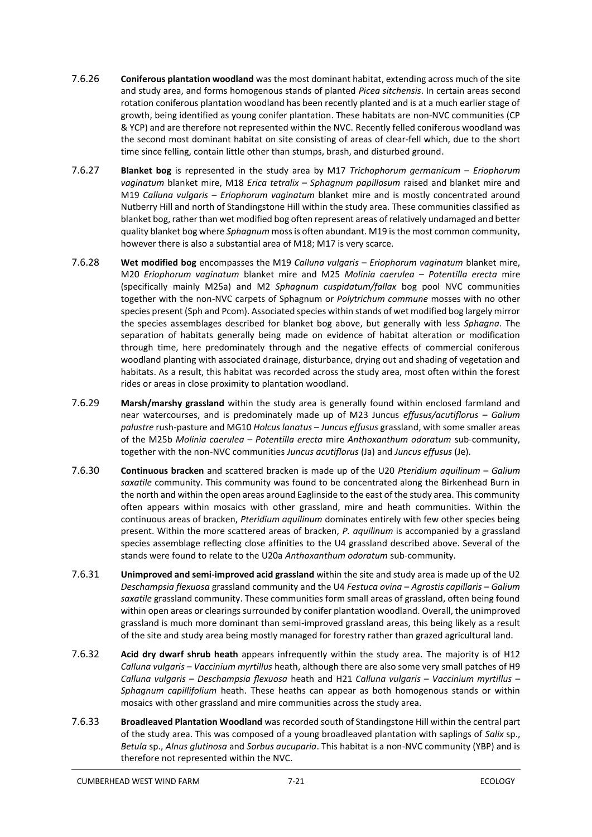- 7.6.26 **Coniferous plantation woodland** was the most dominant habitat, extending across much of the site and study area, and forms homogenous stands of planted *Picea sitchensis*. In certain areas second rotation coniferous plantation woodland has been recently planted and is at a much earlier stage of growth, being identified as young conifer plantation. These habitats are non-NVC communities (CP & YCP) and are therefore not represented within the NVC. Recently felled coniferous woodland was the second most dominant habitat on site consisting of areas of clear-fell which, due to the short time since felling, contain little other than stumps, brash, and disturbed ground.
- 7.6.27 **Blanket bog** is represented in the study area by M17 *Trichophorum germanicum Eriophorum vaginatum* blanket mire, M18 *Erica tetralix* – *Sphagnum papillosum* raised and blanket mire and M19 *Calluna vulgaris* – *Eriophorum vaginatum* blanket mire and is mostly concentrated around Nutberry Hill and north of Standingstone Hill within the study area. These communities classified as blanket bog, rather than wet modified bog often represent areas of relatively undamaged and better quality blanket bog where *Sphagnum* moss is often abundant. M19 is the most common community, however there is also a substantial area of M18; M17 is very scarce.
- 7.6.28 **Wet modified bog** encompasses the M19 *Calluna vulgaris Eriophorum vaginatum* blanket mire, M20 *Eriophorum vaginatum* blanket mire and M25 *Molinia caerulea* – *Potentilla erecta* mire (specifically mainly M25a) and M2 *Sphagnum cuspidatum/fallax* bog pool NVC communities together with the non-NVC carpets of Sphagnum or *Polytrichum commune* mosses with no other species present (Sph and Pcom). Associated species within stands of wet modified bog largely mirror the species assemblages described for blanket bog above, but generally with less *Sphagna*. The separation of habitats generally being made on evidence of habitat alteration or modification through time, here predominately through and the negative effects of commercial coniferous woodland planting with associated drainage, disturbance, drying out and shading of vegetation and habitats. As a result, this habitat was recorded across the study area, most often within the forest rides or areas in close proximity to plantation woodland.
- 7.6.29 **Marsh/marshy grassland** within the study area is generally found within enclosed farmland and near watercourses, and is predominately made up of M23 Juncus *effusus/acutiflorus* – *Galium palustre* rush-pasture and MG10 *Holcus lanatus* – *Juncus effusus* grassland, with some smaller areas of the M25b *Molinia caerulea* – *Potentilla erecta* mire *Anthoxanthum odoratum* sub-community, together with the non-NVC communities *Juncus acutiflorus* (Ja) and *Juncus effusus* (Je).
- 7.6.30 **Continuous bracken** and scattered bracken is made up of the U20 *Pteridium aquilinum – Galium saxatile* community. This community was found to be concentrated along the Birkenhead Burn in the north and within the open areas around Eaglinside to the east of the study area. This community often appears within mosaics with other grassland, mire and heath communities. Within the continuous areas of bracken, *Pteridium aquilinum* dominates entirely with few other species being present. Within the more scattered areas of bracken, *P. aquilinum* is accompanied by a grassland species assemblage reflecting close affinities to the U4 grassland described above. Several of the stands were found to relate to the U20a *Anthoxanthum odoratum* sub-community.
- 7.6.31 **Unimproved and semi-improved acid grassland** within the site and study area is made up of the U2 *Deschampsia flexuosa* grassland community and the U4 *Festuca ovina* – *Agrostis capillaris* – *Galium saxatile* grassland community. These communities form small areas of grassland, often being found within open areas or clearings surrounded by conifer plantation woodland. Overall, the unimproved grassland is much more dominant than semi-improved grassland areas, this being likely as a result of the site and study area being mostly managed for forestry rather than grazed agricultural land.
- 7.6.32 **Acid dry dwarf shrub heath** appears infrequently within the study area. The majority is of H12 *Calluna vulgaris* – *Vaccinium myrtillus* heath, although there are also some very small patches of H9 *Calluna vulgaris* – *Deschampsia flexuosa* heath and H21 *Calluna vulgaris* – *Vaccinium myrtillus* – *Sphagnum capillifolium* heath. These heaths can appear as both homogenous stands or within mosaics with other grassland and mire communities across the study area.
- 7.6.33 **Broadleaved Plantation Woodland** was recorded south of Standingstone Hill within the central part of the study area. This was composed of a young broadleaved plantation with saplings of *Salix* sp., *Betula* sp., *Alnus glutinosa* and *Sorbus aucuparia*. This habitat is a non-NVC community (YBP) and is therefore not represented within the NVC.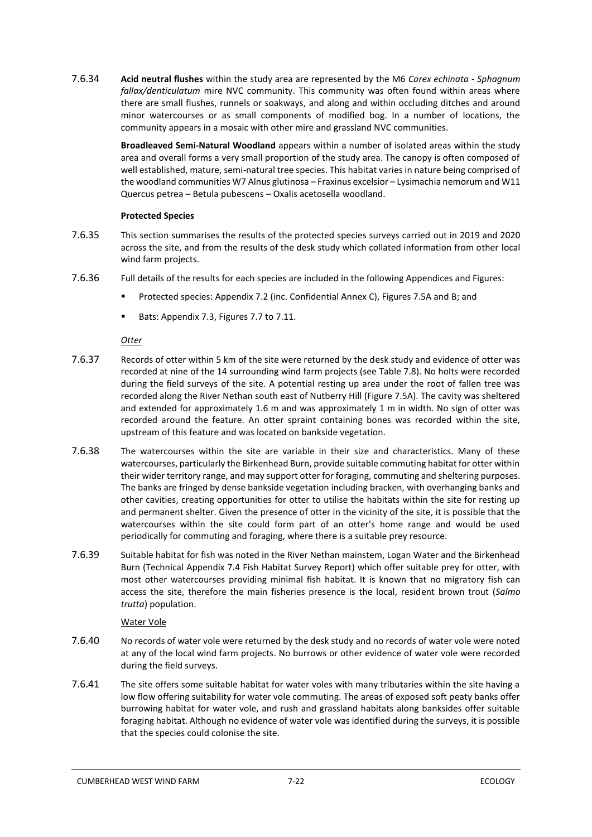7.6.34 **Acid neutral flushes** within the study area are represented by the M6 *Carex echinata* - *Sphagnum fallax/denticulatum* mire NVC community. This community was often found within areas where there are small flushes, runnels or soakways, and along and within occluding ditches and around minor watercourses or as small components of modified bog. In a number of locations, the community appears in a mosaic with other mire and grassland NVC communities.

> **Broadleaved Semi-Natural Woodland** appears within a number of isolated areas within the study area and overall forms a very small proportion of the study area. The canopy is often composed of well established, mature, semi-natural tree species. This habitat varies in nature being comprised of the woodland communities W7 Alnus glutinosa – Fraxinus excelsior – Lysimachia nemorum and W11 Quercus petrea – Betula pubescens – Oxalis acetosella woodland.

## **Protected Species**

- 7.6.35 This section summarises the results of the protected species surveys carried out in 2019 and 2020 across the site, and from the results of the desk study which collated information from other local wind farm projects.
- 7.6.36 Full details of the results for each species are included in the following Appendices and Figures:
	- Protected species: Appendix 7.2 (inc. Confidential Annex C), Figures 7.5A and B; and
	- Bats: Appendix 7.3, Figures 7.7 to 7.11.

#### *Otter*

- 7.6.37 Records of otter within 5 km of the site were returned by the desk study and evidence of otter was recorded at nine of the 14 surrounding wind farm projects (see Table 7.8). No holts were recorded during the field surveys of the site. A potential resting up area under the root of fallen tree was recorded along the River Nethan south east of Nutberry Hill (Figure 7.5A). The cavity was sheltered and extended for approximately 1.6 m and was approximately 1 m in width. No sign of otter was recorded around the feature. An otter spraint containing bones was recorded within the site, upstream of this feature and was located on bankside vegetation.
- 7.6.38 The watercourses within the site are variable in their size and characteristics. Many of these watercourses, particularly the Birkenhead Burn, provide suitable commuting habitat for otter within their wider territory range, and may support otter for foraging, commuting and sheltering purposes. The banks are fringed by dense bankside vegetation including bracken, with overhanging banks and other cavities, creating opportunities for otter to utilise the habitats within the site for resting up and permanent shelter. Given the presence of otter in the vicinity of the site, it is possible that the watercourses within the site could form part of an otter's home range and would be used periodically for commuting and foraging, where there is a suitable prey resource.
- 7.6.39 Suitable habitat for fish was noted in the River Nethan mainstem, Logan Water and the Birkenhead Burn (Technical Appendix 7.4 Fish Habitat Survey Report) which offer suitable prey for otter, with most other watercourses providing minimal fish habitat. It is known that no migratory fish can access the site, therefore the main fisheries presence is the local, resident brown trout (*Salmo trutta*) population.

## Water Vole

- 7.6.40 No records of water vole were returned by the desk study and no records of water vole were noted at any of the local wind farm projects. No burrows or other evidence of water vole were recorded during the field surveys.
- 7.6.41 The site offers some suitable habitat for water voles with many tributaries within the site having a low flow offering suitability for water vole commuting. The areas of exposed soft peaty banks offer burrowing habitat for water vole, and rush and grassland habitats along banksides offer suitable foraging habitat. Although no evidence of water vole was identified during the surveys, it is possible that the species could colonise the site.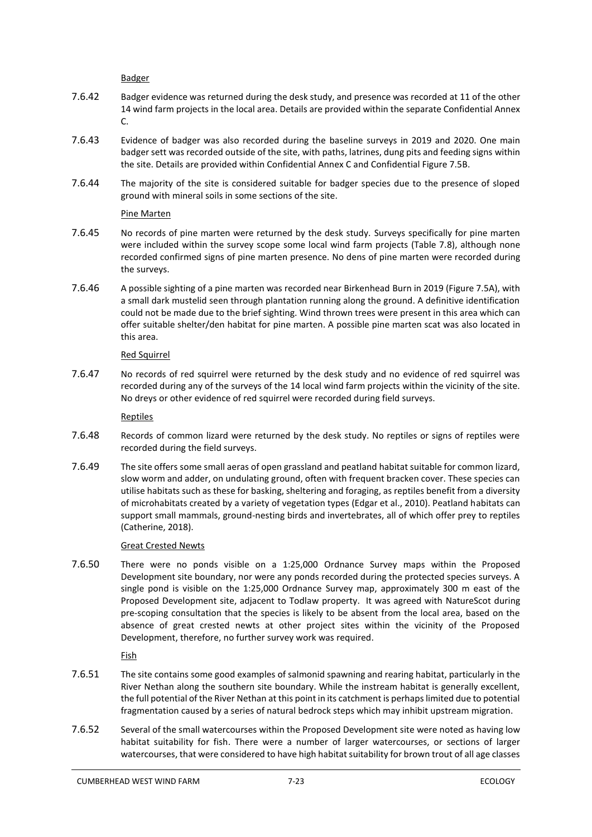Badger

- 7.6.42 Badger evidence was returned during the desk study, and presence was recorded at 11 of the other 14 wind farm projects in the local area. Details are provided within the separate Confidential Annex C.
- 7.6.43 Evidence of badger was also recorded during the baseline surveys in 2019 and 2020. One main badger sett was recorded outside of the site, with paths, latrines, dung pits and feeding signs within the site. Details are provided within Confidential Annex C and Confidential Figure 7.5B.
- 7.6.44 The majority of the site is considered suitable for badger species due to the presence of sloped ground with mineral soils in some sections of the site.

#### Pine Marten

- 7.6.45 No records of pine marten were returned by the desk study. Surveys specifically for pine marten were included within the survey scope some local wind farm projects (Table 7.8), although none recorded confirmed signs of pine marten presence. No dens of pine marten were recorded during the surveys.
- 7.6.46 A possible sighting of a pine marten was recorded near Birkenhead Burn in 2019 (Figure 7.5A), with a small dark mustelid seen through plantation running along the ground. A definitive identification could not be made due to the brief sighting. Wind thrown trees were present in this area which can offer suitable shelter/den habitat for pine marten. A possible pine marten scat was also located in this area.

## Red Squirrel

7.6.47 No records of red squirrel were returned by the desk study and no evidence of red squirrel was recorded during any of the surveys of the 14 local wind farm projects within the vicinity of the site. No dreys or other evidence of red squirrel were recorded during field surveys.

Reptiles

- 7.6.48 Records of common lizard were returned by the desk study. No reptiles or signs of reptiles were recorded during the field surveys.
- 7.6.49 The site offers some small aeras of open grassland and peatland habitat suitable for common lizard, slow worm and adder, on undulating ground, often with frequent bracken cover. These species can utilise habitats such as these for basking, sheltering and foraging, as reptiles benefit from a diversity of microhabitats created by a variety of vegetation types (Edgar et al., 2010). Peatland habitats can support small mammals, ground-nesting birds and invertebrates, all of which offer prey to reptiles (Catherine, 2018).

## Great Crested Newts

7.6.50 There were no ponds visible on a 1:25,000 Ordnance Survey maps within the Proposed Development site boundary, nor were any ponds recorded during the protected species surveys. A single pond is visible on the 1:25,000 Ordnance Survey map, approximately 300 m east of the Proposed Development site, adjacent to Todlaw property. It was agreed with NatureScot during pre-scoping consultation that the species is likely to be absent from the local area, based on the absence of great crested newts at other project sites within the vicinity of the Proposed Development, therefore, no further survey work was required.

Fish

- 7.6.51 The site contains some good examples of salmonid spawning and rearing habitat, particularly in the River Nethan along the southern site boundary. While the instream habitat is generally excellent, the full potential of the River Nethan at this point in its catchment is perhaps limited due to potential fragmentation caused by a series of natural bedrock steps which may inhibit upstream migration.
- 7.6.52 Several of the small watercourses within the Proposed Development site were noted as having low habitat suitability for fish. There were a number of larger watercourses, or sections of larger watercourses, that were considered to have high habitat suitability for brown trout of all age classes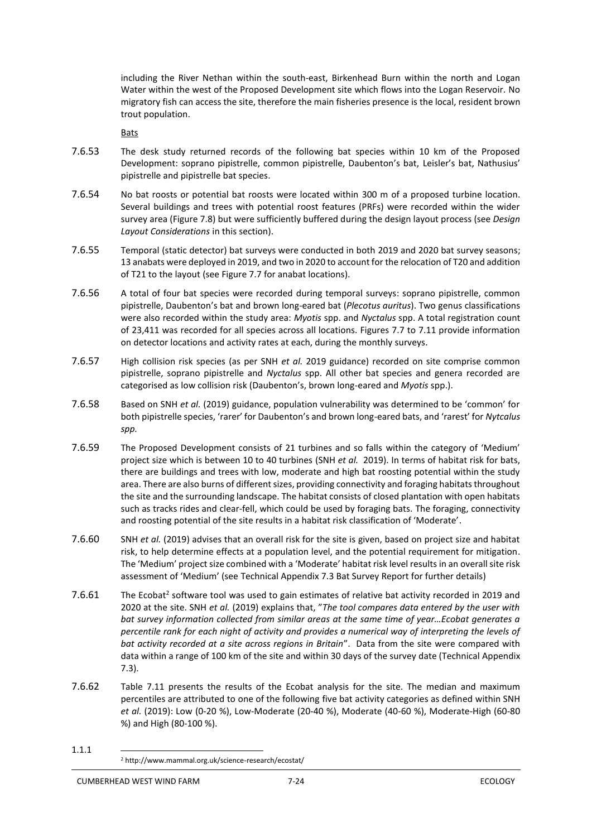including the River Nethan within the south-east, Birkenhead Burn within the north and Logan Water within the west of the Proposed Development site which flows into the Logan Reservoir. No migratory fish can access the site, therefore the main fisheries presence is the local, resident brown trout population.

Bats

- 7.6.53 The desk study returned records of the following bat species within 10 km of the Proposed Development: soprano pipistrelle, common pipistrelle, Daubenton's bat, Leisler's bat, Nathusius' pipistrelle and pipistrelle bat species.
- 7.6.54 No bat roosts or potential bat roosts were located within 300 m of a proposed turbine location. Several buildings and trees with potential roost features (PRFs) were recorded within the wider survey area (Figure 7.8) but were sufficiently buffered during the design layout process (see *Design Layout Considerations* in this section).
- 7.6.55 Temporal (static detector) bat surveys were conducted in both 2019 and 2020 bat survey seasons; 13 anabats were deployed in 2019, and two in 2020 to account for the relocation of T20 and addition of T21 to the layout (see Figure 7.7 for anabat locations).
- 7.6.56 A total of four bat species were recorded during temporal surveys: soprano pipistrelle, common pipistrelle, Daubenton's bat and brown long-eared bat (*Plecotus auritus*). Two genus classifications were also recorded within the study area: *Myotis* spp. and *Nyctalus* spp. A total registration count of 23,411 was recorded for all species across all locations. Figures 7.7 to 7.11 provide information on detector locations and activity rates at each, during the monthly surveys.
- 7.6.57 High collision risk species (as per SNH *et al.* 2019 guidance) recorded on site comprise common pipistrelle, soprano pipistrelle and *Nyctalus* spp. All other bat species and genera recorded are categorised as low collision risk (Daubenton's, brown long-eared and *Myotis* spp.).
- 7.6.58 Based on SNH *et al.* (2019) guidance, population vulnerability was determined to be 'common' for both pipistrelle species, 'rarer' for Daubenton's and brown long-eared bats, and 'rarest' for *Nytcalus spp.*
- 7.6.59 The Proposed Development consists of 21 turbines and so falls within the category of 'Medium' project size which is between 10 to 40 turbines (SNH *et al.* 2019). In terms of habitat risk for bats, there are buildings and trees with low, moderate and high bat roosting potential within the study area. There are also burns of different sizes, providing connectivity and foraging habitats throughout the site and the surrounding landscape. The habitat consists of closed plantation with open habitats such as tracks rides and clear-fell, which could be used by foraging bats. The foraging, connectivity and roosting potential of the site results in a habitat risk classification of 'Moderate'.
- 7.6.60 SNH *et al.* (2019) advises that an overall risk for the site is given, based on project size and habitat risk, to help determine effects at a population level, and the potential requirement for mitigation. The 'Medium' project size combined with a 'Moderate' habitat risk level results in an overall site risk assessment of 'Medium' (see Technical Appendix 7.3 Bat Survey Report for further details)
- 7.6.61 The Ecobat<sup>2</sup> software tool was used to gain estimates of relative bat activity recorded in 2019 and 2020 at the site. SNH *et al.* (2019) explains that, "*The tool compares data entered by the user with bat survey information collected from similar areas at the same time of year…Ecobat generates a percentile rank for each night of activity and provides a numerical way of interpreting the levels of bat activity recorded at a site across regions in Britain*". Data from the site were compared with data within a range of 100 km of the site and within 30 days of the survey date (Technical Appendix 7.3).
- 7.6.62 Table 7.11 presents the results of the Ecobat analysis for the site. The median and maximum percentiles are attributed to one of the following five bat activity categories as defined within SNH *et al.* (2019): Low (0-20 %), Low-Moderate (20-40 %), Moderate (40-60 %), Moderate-High (60-80 %) and High (80-100 %).
- 1.1.1 <sup>2</sup> http://www.mammal.org.uk/science-research/ecostat/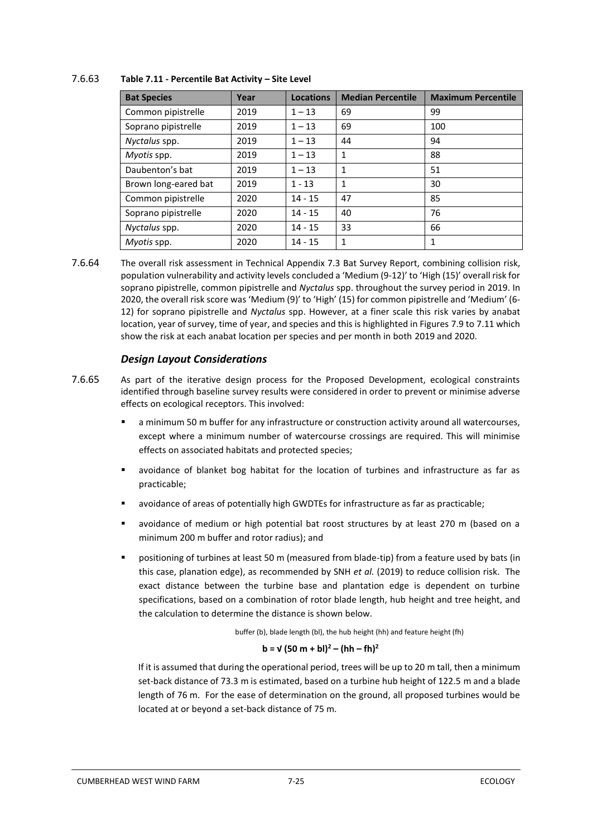| <b>Bat Species</b>   | Year | Locations | <b>Median Percentile</b> | <b>Maximum Percentile</b> |
|----------------------|------|-----------|--------------------------|---------------------------|
| Common pipistrelle   | 2019 | $1 - 13$  | 69                       | 99                        |
| Soprano pipistrelle  | 2019 | $1 - 13$  | 69                       | 100                       |
| Nyctalus spp.        | 2019 | $1 - 13$  | 44                       | 94                        |
| Myotis spp.          | 2019 | $1 - 13$  | 1                        | 88                        |
| Daubenton's bat      | 2019 | $1 - 13$  | $\mathbf{1}$             | 51                        |
| Brown long-eared bat | 2019 | $1 - 13$  | 1                        | 30                        |
| Common pipistrelle   | 2020 | $14 - 15$ | 47                       | 85                        |
| Soprano pipistrelle  | 2020 | $14 - 15$ | 40                       | 76                        |
| Nyctalus spp.        | 2020 | $14 - 15$ | 33                       | 66                        |
| Myotis spp.          | 2020 | $14 - 15$ | 1                        | 1                         |

## 7.6.63 **Table 7.11 - Percentile Bat Activity – Site Level**

7.6.64 The overall risk assessment in Technical Appendix 7.3 Bat Survey Report, combining collision risk, population vulnerability and activity levels concluded a 'Medium (9-12)' to 'High (15)' overall risk for soprano pipistrelle, common pipistrelle and *Nyctalus* spp. throughout the survey period in 2019. In 2020, the overall risk score was 'Medium (9)' to 'High' (15) for common pipistrelle and 'Medium' (6- 12) for soprano pipistrelle and *Nyctalus* spp. However, at a finer scale this risk varies by anabat location, year of survey, time of year, and species and this is highlighted in Figures 7.9 to 7.11 which show the risk at each anabat location per species and per month in both 2019 and 2020.

# *Design Layout Considerations*

- 7.6.65 As part of the iterative design process for the Proposed Development, ecological constraints identified through baseline survey results were considered in order to prevent or minimise adverse effects on ecological receptors. This involved:
	- a minimum 50 m buffer for any infrastructure or construction activity around all watercourses, except where a minimum number of watercourse crossings are required. This will minimise effects on associated habitats and protected species;
	- avoidance of blanket bog habitat for the location of turbines and infrastructure as far as practicable;
	- avoidance of areas of potentially high GWDTEs for infrastructure as far as practicable;
	- avoidance of medium or high potential bat roost structures by at least 270 m (based on a minimum 200 m buffer and rotor radius); and
	- positioning of turbines at least 50 m (measured from blade-tip) from a feature used by bats (in this case, planation edge), as recommended by SNH *et al.* (2019) to reduce collision risk. The exact distance between the turbine base and plantation edge is dependent on turbine specifications, based on a combination of rotor blade length, hub height and tree height, and the calculation to determine the distance is shown below.

buffer (b), blade length (bl), the hub height (hh) and feature height (fh)

# $b = \sqrt{(50 \text{ m} + \text{bl})^2} - (\text{hh} - \text{fh})^2$

If it is assumed that during the operational period, trees will be up to 20 m tall, then a minimum set-back distance of 73.3 m is estimated, based on a turbine hub height of 122.5 m and a blade length of 76 m. For the ease of determination on the ground, all proposed turbines would be located at or beyond a set-back distance of 75 m.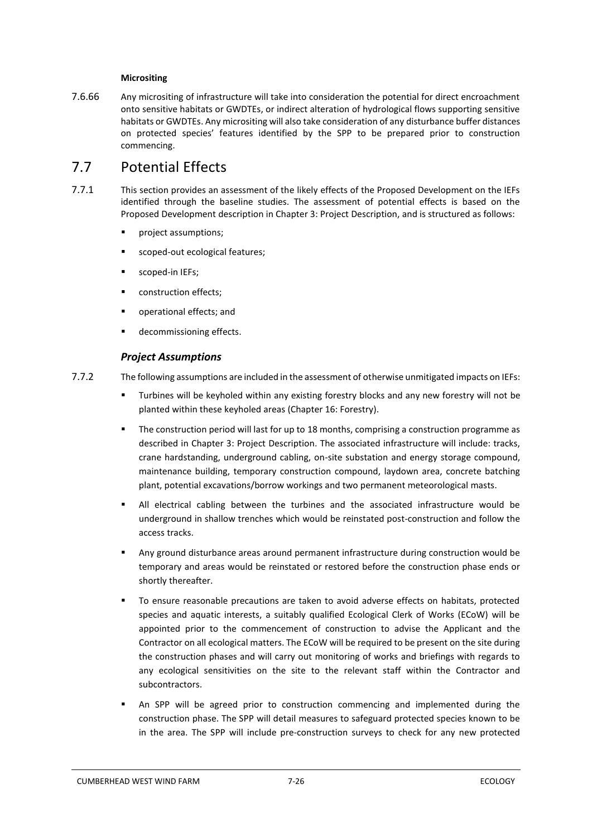#### **Micrositing**

7.6.66 Any micrositing of infrastructure will take into consideration the potential for direct encroachment onto sensitive habitats or GWDTEs, or indirect alteration of hydrological flows supporting sensitive habitats or GWDTEs. Any micrositing will also take consideration of any disturbance buffer distances on protected species' features identified by the SPP to be prepared prior to construction commencing.

# <span id="page-27-0"></span>7.7 Potential Effects

- 7.7.1 This section provides an assessment of the likely effects of the Proposed Development on the IEFs identified through the baseline studies. The assessment of potential effects is based on the Proposed Development description in Chapter 3: Project Description, and is structured as follows:
	- project assumptions;
	- scoped-out ecological features;
	- scoped-in IEFs;
	- construction effects;
	- operational effects; and
	- decommissioning effects.

# *Project Assumptions*

- 7.7.2 The following assumptions are included in the assessment of otherwise unmitigated impacts on IEFs:
	- Turbines will be keyholed within any existing forestry blocks and any new forestry will not be planted within these keyholed areas (Chapter 16: Forestry).
	- The construction period will last for up to 18 months, comprising a construction programme as described in Chapter 3: Project Description. The associated infrastructure will include: tracks, crane hardstanding, underground cabling, on-site substation and energy storage compound, maintenance building, temporary construction compound, laydown area, concrete batching plant, potential excavations/borrow workings and two permanent meteorological masts.
	- All electrical cabling between the turbines and the associated infrastructure would be underground in shallow trenches which would be reinstated post-construction and follow the access tracks.
	- Any ground disturbance areas around permanent infrastructure during construction would be temporary and areas would be reinstated or restored before the construction phase ends or shortly thereafter.
	- To ensure reasonable precautions are taken to avoid adverse effects on habitats, protected species and aquatic interests, a suitably qualified Ecological Clerk of Works (ECoW) will be appointed prior to the commencement of construction to advise the Applicant and the Contractor on all ecological matters. The ECoW will be required to be present on the site during the construction phases and will carry out monitoring of works and briefings with regards to any ecological sensitivities on the site to the relevant staff within the Contractor and subcontractors.
	- An SPP will be agreed prior to construction commencing and implemented during the construction phase. The SPP will detail measures to safeguard protected species known to be in the area. The SPP will include pre-construction surveys to check for any new protected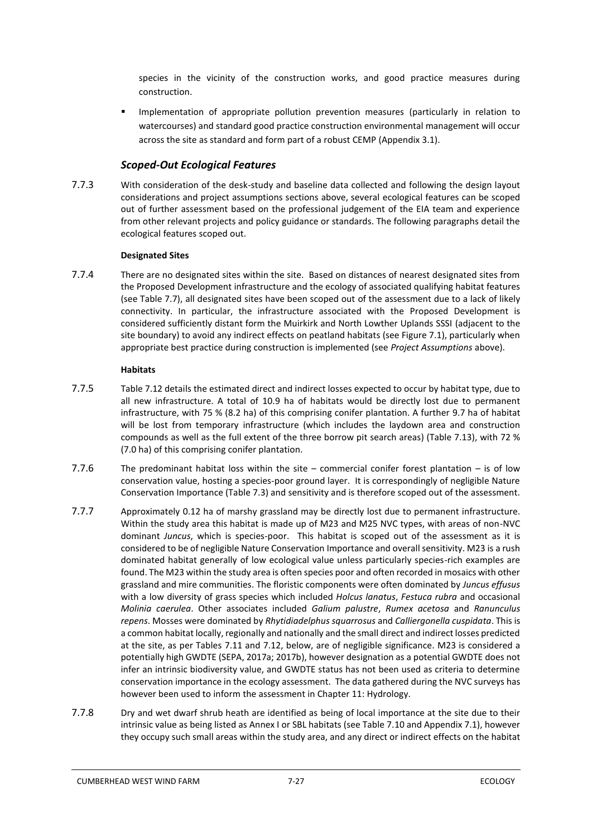species in the vicinity of the construction works, and good practice measures during construction.

Implementation of appropriate pollution prevention measures (particularly in relation to watercourses) and standard good practice construction environmental management will occur across the site as standard and form part of a robust CEMP (Appendix 3.1).

# *Scoped-Out Ecological Features*

7.7.3 With consideration of the desk-study and baseline data collected and following the design layout considerations and project assumptions sections above, several ecological features can be scoped out of further assessment based on the professional judgement of the EIA team and experience from other relevant projects and policy guidance or standards. The following paragraphs detail the ecological features scoped out.

## **Designated Sites**

7.7.4 There are no designated sites within the site. Based on distances of nearest designated sites from the Proposed Development infrastructure and the ecology of associated qualifying habitat features (see Table 7.7), all designated sites have been scoped out of the assessment due to a lack of likely connectivity. In particular, the infrastructure associated with the Proposed Development is considered sufficiently distant form the Muirkirk and North Lowther Uplands SSSI (adjacent to the site boundary) to avoid any indirect effects on peatland habitats (see Figure 7.1), particularly when appropriate best practice during construction is implemented (see *Project Assumptions* above).

## **Habitats**

- 7.7.5 Table 7.12 details the estimated direct and indirect losses expected to occur by habitat type, due to all new infrastructure. A total of 10.9 ha of habitats would be directly lost due to permanent infrastructure, with 75 % (8.2 ha) of this comprising conifer plantation. A further 9.7 ha of habitat will be lost from temporary infrastructure (which includes the laydown area and construction compounds as well as the full extent of the three borrow pit search areas) (Table 7.13), with 72 % (7.0 ha) of this comprising conifer plantation.
- 7.7.6 The predominant habitat loss within the site commercial conifer forest plantation is of low conservation value, hosting a species-poor ground layer. It is correspondingly of negligible Nature Conservation Importance (Table 7.3) and sensitivity and is therefore scoped out of the assessment.
- 7.7.7 Approximately 0.12 ha of marshy grassland may be directly lost due to permanent infrastructure. Within the study area this habitat is made up of M23 and M25 NVC types, with areas of non-NVC dominant *Juncus*, which is species-poor. This habitat is scoped out of the assessment as it is considered to be of negligible Nature Conservation Importance and overall sensitivity. M23 is a rush dominated habitat generally of low ecological value unless particularly species-rich examples are found. The M23 within the study area is often species poor and often recorded in mosaics with other grassland and mire communities. The floristic components were often dominated by *Juncus effusus* with a low diversity of grass species which included *Holcus lanatus*, *Festuca rubra* and occasional *Molinia caerulea*. Other associates included *Galium palustre*, *Rumex acetosa* and *Ranunculus repens*. Mosses were dominated by *Rhytidiadelphus squarrosus* and *Calliergonella cuspidata*. This is a common habitat locally, regionally and nationally and the small direct and indirect losses predicted at the site, as per Tables 7.11 and 7.12, below, are of negligible significance. M23 is considered a potentially high GWDTE (SEPA, 2017a; 2017b), however designation as a potential GWDTE does not infer an intrinsic biodiversity value, and GWDTE status has not been used as criteria to determine conservation importance in the ecology assessment. The data gathered during the NVC surveys has however been used to inform the assessment in Chapter 11: Hydrology.
- 7.7.8 Dry and wet dwarf shrub heath are identified as being of local importance at the site due to their intrinsic value as being listed as Annex I or SBL habitats (see Table 7.10 and Appendix 7.1), however they occupy such small areas within the study area, and any direct or indirect effects on the habitat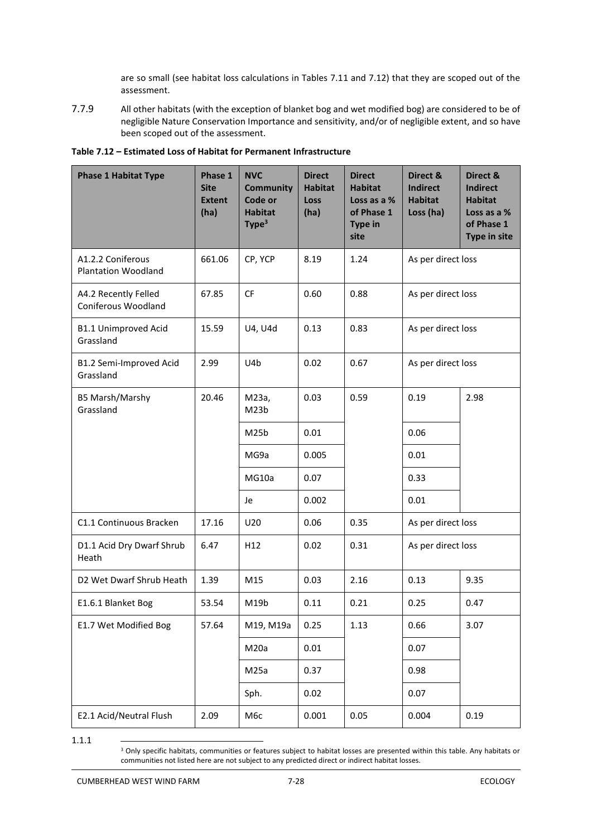are so small (see habitat loss calculations in Tables 7.11 and 7.12) that they are scoped out of the assessment.

7.7.9 All other habitats (with the exception of blanket bog and wet modified bog) are considered to be of negligible Nature Conservation Importance and sensitivity, and/or of negligible extent, and so have been scoped out of the assessment.

| <b>Phase 1 Habitat Type</b>                     | Phase 1<br><b>Site</b><br><b>Extent</b><br>(ha) | <b>NVC</b><br><b>Community</b><br>Code or<br><b>Habitat</b><br>Type <sup>3</sup> | <b>Direct</b><br><b>Habitat</b><br><b>Loss</b><br>(ha) | <b>Direct</b><br><b>Habitat</b><br>Loss as a %<br>of Phase 1<br><b>Type in</b><br>site | Direct &<br><b>Indirect</b><br><b>Habitat</b><br>Loss (ha) | Direct &<br><b>Indirect</b><br><b>Habitat</b><br>Loss as a %<br>of Phase 1<br><b>Type in site</b> |
|-------------------------------------------------|-------------------------------------------------|----------------------------------------------------------------------------------|--------------------------------------------------------|----------------------------------------------------------------------------------------|------------------------------------------------------------|---------------------------------------------------------------------------------------------------|
| A1.2.2 Coniferous<br><b>Plantation Woodland</b> | 661.06                                          | CP, YCP                                                                          | 8.19                                                   | 1.24                                                                                   | As per direct loss                                         |                                                                                                   |
| A4.2 Recently Felled<br>Coniferous Woodland     | 67.85                                           | <b>CF</b>                                                                        | 0.60                                                   | 0.88                                                                                   | As per direct loss                                         |                                                                                                   |
| <b>B1.1 Unimproved Acid</b><br>Grassland        | 15.59                                           | U4, U4d                                                                          | 0.13                                                   | 0.83                                                                                   | As per direct loss                                         |                                                                                                   |
| B1.2 Semi-Improved Acid<br>Grassland            | 2.99                                            | U4b                                                                              | 0.02                                                   | 0.67                                                                                   | As per direct loss                                         |                                                                                                   |
| B5 Marsh/Marshy<br>Grassland                    | 20.46                                           | M23a,<br>M23b                                                                    | 0.03                                                   | 0.59                                                                                   | 0.19                                                       | 2.98                                                                                              |
|                                                 |                                                 | M25b                                                                             | 0.01                                                   |                                                                                        | 0.06                                                       |                                                                                                   |
|                                                 |                                                 | MG9a                                                                             | 0.005                                                  |                                                                                        | 0.01                                                       |                                                                                                   |
|                                                 |                                                 | MG10a                                                                            | 0.07                                                   |                                                                                        | 0.33                                                       |                                                                                                   |
|                                                 |                                                 | Je                                                                               | 0.002                                                  |                                                                                        | 0.01                                                       |                                                                                                   |
| C1.1 Continuous Bracken                         | 17.16                                           | U20                                                                              | 0.06                                                   | 0.35                                                                                   | As per direct loss                                         |                                                                                                   |
| D1.1 Acid Dry Dwarf Shrub<br>Heath              | 6.47                                            | H12                                                                              | 0.02                                                   | 0.31                                                                                   | As per direct loss                                         |                                                                                                   |
| D2 Wet Dwarf Shrub Heath                        | 1.39                                            | M15                                                                              | 0.03                                                   | 2.16                                                                                   | 0.13                                                       | 9.35                                                                                              |
| E1.6.1 Blanket Bog                              | 53.54                                           | M19b                                                                             | 0.11                                                   | 0.21                                                                                   | 0.25                                                       | 0.47                                                                                              |
| E1.7 Wet Modified Bog                           | 57.64                                           | M19, M19a                                                                        | 0.25                                                   | 1.13                                                                                   | 0.66                                                       | 3.07                                                                                              |
|                                                 |                                                 | M <sub>20</sub> a                                                                | 0.01                                                   |                                                                                        | 0.07                                                       |                                                                                                   |
|                                                 |                                                 | M25a                                                                             | 0.37                                                   |                                                                                        | 0.98                                                       |                                                                                                   |
|                                                 |                                                 | Sph.                                                                             | 0.02                                                   |                                                                                        | 0.07                                                       |                                                                                                   |
| E2.1 Acid/Neutral Flush                         | 2.09                                            | М6с                                                                              | 0.001                                                  | 0.05                                                                                   | 0.004                                                      | 0.19                                                                                              |

**Table 7.12 – Estimated Loss of Habitat for Permanent Infrastructure**

<sup>1.1.1</sup>

<sup>&</sup>lt;sup>3</sup> Only specific habitats, communities or features subject to habitat losses are presented within this table. Any habitats or communities not listed here are not subject to any predicted direct or indirect habitat losses.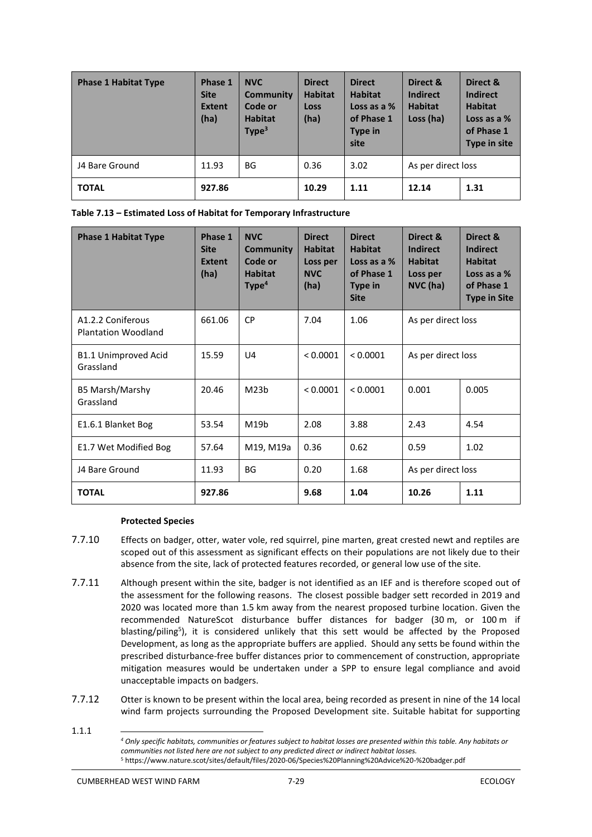| <b>Phase 1 Habitat Type</b> | Phase 1<br><b>Site</b><br><b>Extent</b><br>(ha) | <b>NVC</b><br>Community<br>Code or<br><b>Habitat</b><br>Type $3$ | <b>Direct</b><br><b>Habitat</b><br>Loss<br>(ha) | <b>Direct</b><br><b>Habitat</b><br>Loss as a $%$<br>of Phase 1<br><b>Type in</b><br>site | Direct &<br><b>Indirect</b><br><b>Habitat</b><br>Loss (ha) | Direct &<br><b>Indirect</b><br><b>Habitat</b><br>Loss as a %<br>of Phase 1<br>Type in site |
|-----------------------------|-------------------------------------------------|------------------------------------------------------------------|-------------------------------------------------|------------------------------------------------------------------------------------------|------------------------------------------------------------|--------------------------------------------------------------------------------------------|
| J4 Bare Ground              | 11.93                                           | <b>BG</b>                                                        | 0.36                                            | 3.02                                                                                     | As per direct loss                                         |                                                                                            |
| <b>TOTAL</b>                | 927.86                                          |                                                                  | 10.29                                           | 1.11                                                                                     | 12.14                                                      | 1.31                                                                                       |

| <b>Phase 1 Habitat Type</b>                     | Phase 1<br><b>Site</b><br>Extent<br>(ha) | <b>NVC</b><br>Community<br>Code or<br><b>Habitat</b><br>Type <sup>4</sup> | <b>Direct</b><br><b>Habitat</b><br>Loss per<br><b>NVC</b><br>(ha) | <b>Direct</b><br><b>Habitat</b><br>Loss as a $%$<br>of Phase 1<br><b>Type in</b><br><b>Site</b> | Direct &<br>Indirect<br><b>Habitat</b><br>Loss per<br>NVC (ha) | Direct &<br><b>Indirect</b><br><b>Habitat</b><br>Loss as a %<br>of Phase 1<br><b>Type in Site</b> |
|-------------------------------------------------|------------------------------------------|---------------------------------------------------------------------------|-------------------------------------------------------------------|-------------------------------------------------------------------------------------------------|----------------------------------------------------------------|---------------------------------------------------------------------------------------------------|
| A1.2.2 Coniferous<br><b>Plantation Woodland</b> | 661.06                                   | CP                                                                        | 7.04                                                              | 1.06                                                                                            | As per direct loss                                             |                                                                                                   |
| B1.1 Unimproved Acid<br>Grassland               | 15.59                                    | $U_4$                                                                     | < 0.0001                                                          | < 0.0001                                                                                        | As per direct loss                                             |                                                                                                   |
| 20.46<br>B5 Marsh/Marshy<br>Grassland           |                                          | M <sub>23b</sub>                                                          | < 0.0001                                                          | < 0.0001                                                                                        | 0.001                                                          | 0.005                                                                                             |
| E1.6.1 Blanket Bog                              | 53.54                                    | M19b                                                                      | 2.08                                                              | 3.88                                                                                            | 2.43                                                           | 4.54                                                                                              |
| E1.7 Wet Modified Bog                           | M19, M19a<br>57.64                       |                                                                           | 0.36                                                              | 0.62                                                                                            | 0.59                                                           | 1.02                                                                                              |
| J4 Bare Ground                                  | 11.93                                    | <b>BG</b>                                                                 | 0.20                                                              | 1.68                                                                                            | As per direct loss                                             |                                                                                                   |
| <b>TOTAL</b>                                    | 927.86                                   |                                                                           | 9.68                                                              | 1.04                                                                                            | 10.26                                                          | 1.11                                                                                              |

#### **Protected Species**

- 7.7.10 Effects on badger, otter, water vole, red squirrel, pine marten, great crested newt and reptiles are scoped out of this assessment as significant effects on their populations are not likely due to their absence from the site, lack of protected features recorded, or general low use of the site.
- 7.7.11 Although present within the site, badger is not identified as an IEF and is therefore scoped out of the assessment for the following reasons. The closest possible badger sett recorded in 2019 and 2020 was located more than 1.5 km away from the nearest proposed turbine location. Given the recommended NatureScot disturbance buffer distances for badger (30 m, or 100 m if blasting/piling<sup>5</sup>), it is considered unlikely that this sett would be affected by the Proposed Development, as long as the appropriate buffers are applied. Should any setts be found within the prescribed disturbance-free buffer distances prior to commencement of construction, appropriate mitigation measures would be undertaken under a SPP to ensure legal compliance and avoid unacceptable impacts on badgers.
- 7.7.12 Otter is known to be present within the local area, being recorded as present in nine of the 14 local wind farm projects surrounding the Proposed Development site. Suitable habitat for supporting

<sup>1.1.1</sup> *<sup>4</sup> Only specific habitats, communities or features subject to habitat losses are presented within this table. Any habitats or communities not listed here are not subject to any predicted direct or indirect habitat losses.* <sup>5</sup> https://www.nature.scot/sites/default/files/2020-06/Species%20Planning%20Advice%20-%20badger.pdf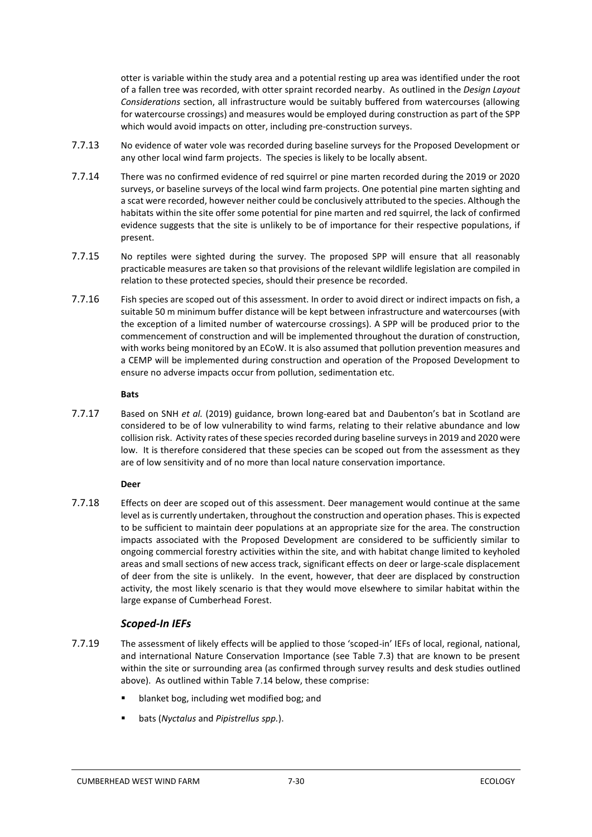otter is variable within the study area and a potential resting up area was identified under the root of a fallen tree was recorded, with otter spraint recorded nearby. As outlined in the *Design Layout Considerations* section, all infrastructure would be suitably buffered from watercourses (allowing for watercourse crossings) and measures would be employed during construction as part of the SPP which would avoid impacts on otter, including pre-construction surveys.

- 7.7.13 No evidence of water vole was recorded during baseline surveys for the Proposed Development or any other local wind farm projects. The species is likely to be locally absent.
- 7.7.14 There was no confirmed evidence of red squirrel or pine marten recorded during the 2019 or 2020 surveys, or baseline surveys of the local wind farm projects. One potential pine marten sighting and a scat were recorded, however neither could be conclusively attributed to the species. Although the habitats within the site offer some potential for pine marten and red squirrel, the lack of confirmed evidence suggests that the site is unlikely to be of importance for their respective populations, if present.
- 7.7.15 No reptiles were sighted during the survey. The proposed SPP will ensure that all reasonably practicable measures are taken so that provisions of the relevant wildlife legislation are compiled in relation to these protected species, should their presence be recorded.
- 7.7.16 Fish species are scoped out of this assessment. In order to avoid direct or indirect impacts on fish, a suitable 50 m minimum buffer distance will be kept between infrastructure and watercourses (with the exception of a limited number of watercourse crossings). A SPP will be produced prior to the commencement of construction and will be implemented throughout the duration of construction, with works being monitored by an ECoW. It is also assumed that pollution prevention measures and a CEMP will be implemented during construction and operation of the Proposed Development to ensure no adverse impacts occur from pollution, sedimentation etc.

#### **Bats**

7.7.17 Based on SNH *et al.* (2019) guidance, brown long-eared bat and Daubenton's bat in Scotland are considered to be of low vulnerability to wind farms, relating to their relative abundance and low collision risk. Activity rates of these species recorded during baseline surveys in 2019 and 2020 were low. It is therefore considered that these species can be scoped out from the assessment as they are of low sensitivity and of no more than local nature conservation importance.

## **Deer**

7.7.18 Effects on deer are scoped out of this assessment. Deer management would continue at the same level as is currently undertaken, throughout the construction and operation phases. This is expected to be sufficient to maintain deer populations at an appropriate size for the area. The construction impacts associated with the Proposed Development are considered to be sufficiently similar to ongoing commercial forestry activities within the site, and with habitat change limited to keyholed areas and small sections of new access track, significant effects on deer or large-scale displacement of deer from the site is unlikely. In the event, however, that deer are displaced by construction activity, the most likely scenario is that they would move elsewhere to similar habitat within the large expanse of Cumberhead Forest.

# *Scoped-In IEFs*

- 7.7.19 The assessment of likely effects will be applied to those 'scoped-in' IEFs of local, regional, national, and international Nature Conservation Importance (see Table 7.3) that are known to be present within the site or surrounding area (as confirmed through survey results and desk studies outlined above). As outlined within Table 7.14 below, these comprise:
	- blanket bog, including wet modified bog; and
	- bats (*Nyctalus* and *Pipistrellus spp.*).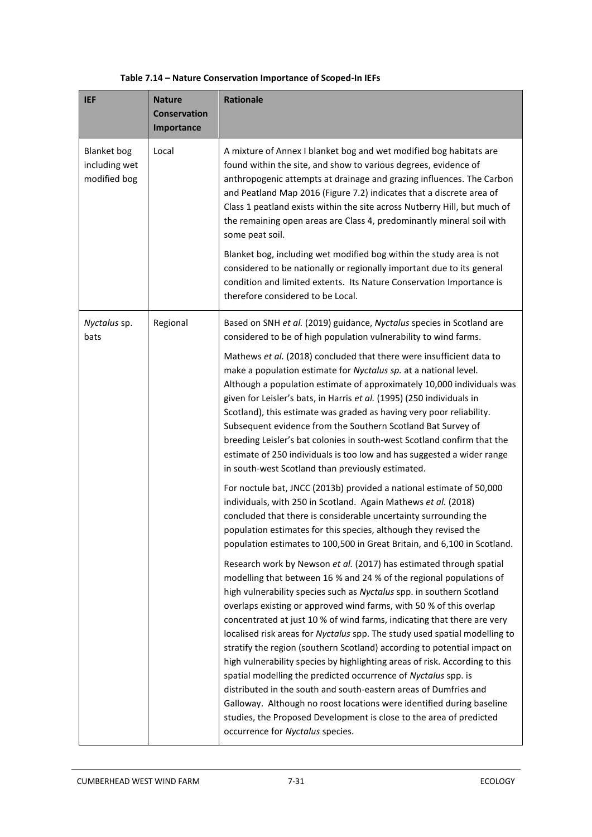| <b>IEF</b>                                          | <b>Nature</b><br><b>Conservation</b><br>Importance | <b>Rationale</b>                                                                                                                                                                                                                                                                                                                                                                                                                                                                                                                                                                                                                                                                                                                                                                                                                                                  |
|-----------------------------------------------------|----------------------------------------------------|-------------------------------------------------------------------------------------------------------------------------------------------------------------------------------------------------------------------------------------------------------------------------------------------------------------------------------------------------------------------------------------------------------------------------------------------------------------------------------------------------------------------------------------------------------------------------------------------------------------------------------------------------------------------------------------------------------------------------------------------------------------------------------------------------------------------------------------------------------------------|
| <b>Blanket</b> bog<br>including wet<br>modified bog | Local                                              | A mixture of Annex I blanket bog and wet modified bog habitats are<br>found within the site, and show to various degrees, evidence of<br>anthropogenic attempts at drainage and grazing influences. The Carbon<br>and Peatland Map 2016 (Figure 7.2) indicates that a discrete area of<br>Class 1 peatland exists within the site across Nutberry Hill, but much of<br>the remaining open areas are Class 4, predominantly mineral soil with<br>some peat soil.                                                                                                                                                                                                                                                                                                                                                                                                   |
|                                                     |                                                    | Blanket bog, including wet modified bog within the study area is not<br>considered to be nationally or regionally important due to its general<br>condition and limited extents. Its Nature Conservation Importance is<br>therefore considered to be Local.                                                                                                                                                                                                                                                                                                                                                                                                                                                                                                                                                                                                       |
| Regional<br>Nyctalus sp.<br>bats                    |                                                    | Based on SNH et al. (2019) guidance, Nyctalus species in Scotland are<br>considered to be of high population vulnerability to wind farms.                                                                                                                                                                                                                                                                                                                                                                                                                                                                                                                                                                                                                                                                                                                         |
|                                                     |                                                    | Mathews et al. (2018) concluded that there were insufficient data to<br>make a population estimate for Nyctalus sp. at a national level.<br>Although a population estimate of approximately 10,000 individuals was<br>given for Leisler's bats, in Harris et al. (1995) (250 individuals in<br>Scotland), this estimate was graded as having very poor reliability.<br>Subsequent evidence from the Southern Scotland Bat Survey of<br>breeding Leisler's bat colonies in south-west Scotland confirm that the<br>estimate of 250 individuals is too low and has suggested a wider range<br>in south-west Scotland than previously estimated.<br>For noctule bat, JNCC (2013b) provided a national estimate of 50,000<br>individuals, with 250 in Scotland. Again Mathews et al. (2018)<br>concluded that there is considerable uncertainty surrounding the       |
|                                                     |                                                    | population estimates for this species, although they revised the<br>population estimates to 100,500 in Great Britain, and 6,100 in Scotland.<br>Research work by Newson et al. (2017) has estimated through spatial                                                                                                                                                                                                                                                                                                                                                                                                                                                                                                                                                                                                                                               |
|                                                     |                                                    | modelling that between 16 % and 24 % of the regional populations of<br>high vulnerability species such as Nyctalus spp. in southern Scotland<br>overlaps existing or approved wind farms, with 50 % of this overlap<br>concentrated at just 10 % of wind farms, indicating that there are very<br>localised risk areas for Nyctalus spp. The study used spatial modelling to<br>stratify the region (southern Scotland) according to potential impact on<br>high vulnerability species by highlighting areas of risk. According to this<br>spatial modelling the predicted occurrence of Nyctalus spp. is<br>distributed in the south and south-eastern areas of Dumfries and<br>Galloway. Although no roost locations were identified during baseline<br>studies, the Proposed Development is close to the area of predicted<br>occurrence for Nyctalus species. |

# **Table 7.14 – Nature Conservation Importance of Scoped-In IEFs**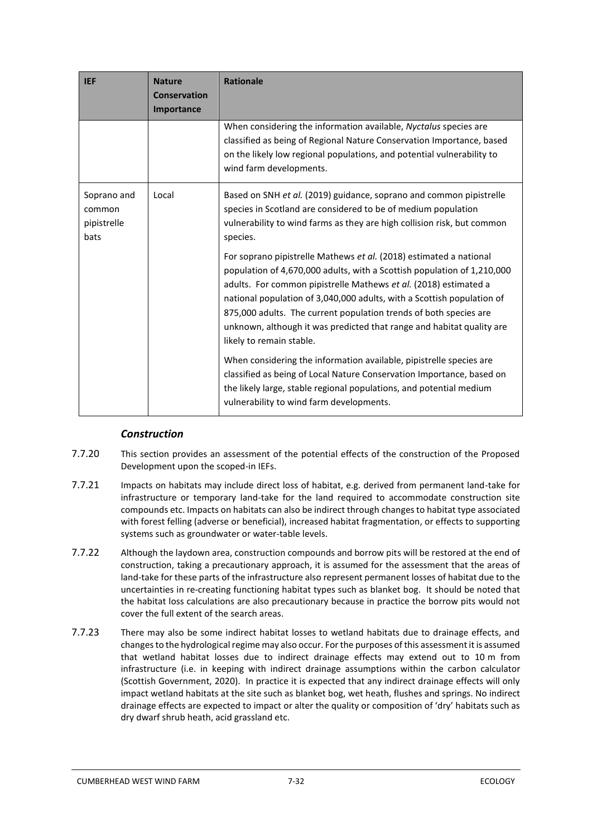| <b>IEF</b>                                   | <b>Nature</b><br><b>Conservation</b><br>Importance | <b>Rationale</b>                                                                                                                                                                                                                                                                                                                                                                                                                                                      |
|----------------------------------------------|----------------------------------------------------|-----------------------------------------------------------------------------------------------------------------------------------------------------------------------------------------------------------------------------------------------------------------------------------------------------------------------------------------------------------------------------------------------------------------------------------------------------------------------|
|                                              |                                                    | When considering the information available, Nyctalus species are<br>classified as being of Regional Nature Conservation Importance, based<br>on the likely low regional populations, and potential vulnerability to<br>wind farm developments.                                                                                                                                                                                                                        |
| Soprano and<br>common<br>pipistrelle<br>bats | Local                                              | Based on SNH et al. (2019) guidance, soprano and common pipistrelle<br>species in Scotland are considered to be of medium population<br>vulnerability to wind farms as they are high collision risk, but common<br>species.                                                                                                                                                                                                                                           |
|                                              |                                                    | For soprano pipistrelle Mathews et al. (2018) estimated a national<br>population of 4,670,000 adults, with a Scottish population of 1,210,000<br>adults. For common pipistrelle Mathews et al. (2018) estimated a<br>national population of 3,040,000 adults, with a Scottish population of<br>875,000 adults. The current population trends of both species are<br>unknown, although it was predicted that range and habitat quality are<br>likely to remain stable. |
|                                              |                                                    | When considering the information available, pipistrelle species are<br>classified as being of Local Nature Conservation Importance, based on<br>the likely large, stable regional populations, and potential medium<br>vulnerability to wind farm developments.                                                                                                                                                                                                       |

# *Construction*

- 7.7.20 This section provides an assessment of the potential effects of the construction of the Proposed Development upon the scoped-in IEFs.
- 7.7.21 Impacts on habitats may include direct loss of habitat, e.g. derived from permanent land-take for infrastructure or temporary land-take for the land required to accommodate construction site compounds etc. Impacts on habitats can also be indirect through changes to habitat type associated with forest felling (adverse or beneficial), increased habitat fragmentation, or effects to supporting systems such as groundwater or water-table levels.
- 7.7.22 Although the laydown area, construction compounds and borrow pits will be restored at the end of construction, taking a precautionary approach, it is assumed for the assessment that the areas of land-take for these parts of the infrastructure also represent permanent losses of habitat due to the uncertainties in re-creating functioning habitat types such as blanket bog. It should be noted that the habitat loss calculations are also precautionary because in practice the borrow pits would not cover the full extent of the search areas.
- 7.7.23 There may also be some indirect habitat losses to wetland habitats due to drainage effects, and changes to the hydrological regime may also occur. For the purposes of this assessment it is assumed that wetland habitat losses due to indirect drainage effects may extend out to 10 m from infrastructure (i.e. in keeping with indirect drainage assumptions within the carbon calculator (Scottish Government, 2020). In practice it is expected that any indirect drainage effects will only impact wetland habitats at the site such as blanket bog, wet heath, flushes and springs. No indirect drainage effects are expected to impact or alter the quality or composition of 'dry' habitats such as dry dwarf shrub heath, acid grassland etc.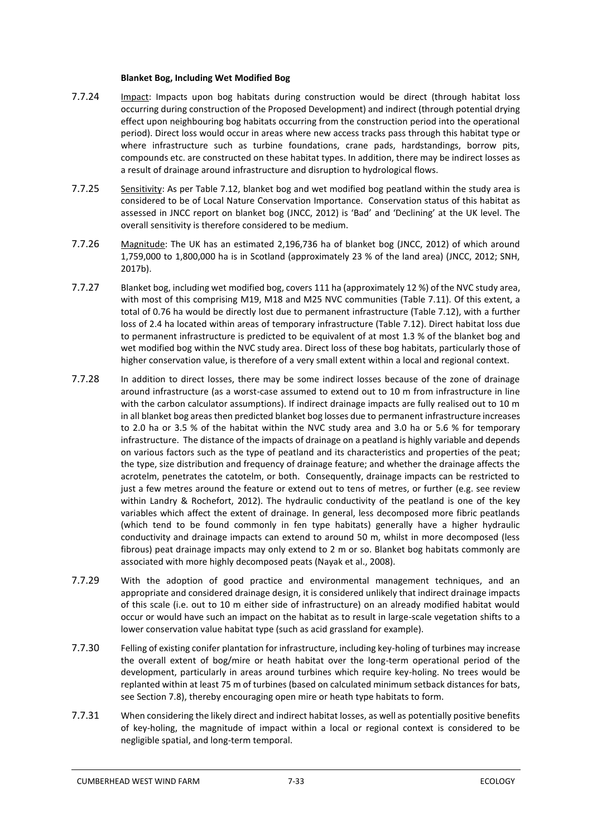#### **Blanket Bog, Including Wet Modified Bog**

- 7.7.24 Impact: Impacts upon bog habitats during construction would be direct (through habitat loss occurring during construction of the Proposed Development) and indirect (through potential drying effect upon neighbouring bog habitats occurring from the construction period into the operational period). Direct loss would occur in areas where new access tracks pass through this habitat type or where infrastructure such as turbine foundations, crane pads, hardstandings, borrow pits, compounds etc. are constructed on these habitat types. In addition, there may be indirect losses as a result of drainage around infrastructure and disruption to hydrological flows.
- 7.7.25 Sensitivity: As per Table 7.12, blanket bog and wet modified bog peatland within the study area is considered to be of Local Nature Conservation Importance. Conservation status of this habitat as assessed in JNCC report on blanket bog (JNCC, 2012) is 'Bad' and 'Declining' at the UK level. The overall sensitivity is therefore considered to be medium.
- 7.7.26 Magnitude: The UK has an estimated 2,196,736 ha of blanket bog (JNCC, 2012) of which around 1,759,000 to 1,800,000 ha is in Scotland (approximately 23 % of the land area) (JNCC, 2012; SNH, 2017b).
- 7.7.27 Blanket bog, including wet modified bog, covers 111 ha (approximately 12 %) of the NVC study area, with most of this comprising M19, M18 and M25 NVC communities (Table 7.11). Of this extent, a total of 0.76 ha would be directly lost due to permanent infrastructure (Table 7.12), with a further loss of 2.4 ha located within areas of temporary infrastructure (Table 7.12). Direct habitat loss due to permanent infrastructure is predicted to be equivalent of at most 1.3 % of the blanket bog and wet modified bog within the NVC study area. Direct loss of these bog habitats, particularly those of higher conservation value, is therefore of a very small extent within a local and regional context.
- 7.7.28 In addition to direct losses, there may be some indirect losses because of the zone of drainage around infrastructure (as a worst-case assumed to extend out to 10 m from infrastructure in line with the carbon calculator assumptions). If indirect drainage impacts are fully realised out to 10 m in all blanket bog areas then predicted blanket bog losses due to permanent infrastructure increases to 2.0 ha or 3.5 % of the habitat within the NVC study area and 3.0 ha or 5.6 % for temporary infrastructure. The distance of the impacts of drainage on a peatland is highly variable and depends on various factors such as the type of peatland and its characteristics and properties of the peat; the type, size distribution and frequency of drainage feature; and whether the drainage affects the acrotelm, penetrates the catotelm, or both. Consequently, drainage impacts can be restricted to just a few metres around the feature or extend out to tens of metres, or further (e.g. see review within Landry & Rochefort, 2012). The hydraulic conductivity of the peatland is one of the key variables which affect the extent of drainage. In general, less decomposed more fibric peatlands (which tend to be found commonly in fen type habitats) generally have a higher hydraulic conductivity and drainage impacts can extend to around 50 m, whilst in more decomposed (less fibrous) peat drainage impacts may only extend to 2 m or so. Blanket bog habitats commonly are associated with more highly decomposed peats (Nayak et al., 2008).
- 7.7.29 With the adoption of good practice and environmental management techniques, and an appropriate and considered drainage design, it is considered unlikely that indirect drainage impacts of this scale (i.e. out to 10 m either side of infrastructure) on an already modified habitat would occur or would have such an impact on the habitat as to result in large-scale vegetation shifts to a lower conservation value habitat type (such as acid grassland for example).
- 7.7.30 Felling of existing conifer plantation for infrastructure, including key-holing of turbines may increase the overall extent of bog/mire or heath habitat over the long-term operational period of the development, particularly in areas around turbines which require key-holing. No trees would be replanted within at least 75 m of turbines (based on calculated minimum setback distances for bats, see Section 7.8), thereby encouraging open mire or heath type habitats to form.
- 7.7.31 When considering the likely direct and indirect habitat losses, as well as potentially positive benefits of key-holing, the magnitude of impact within a local or regional context is considered to be negligible spatial, and long-term temporal.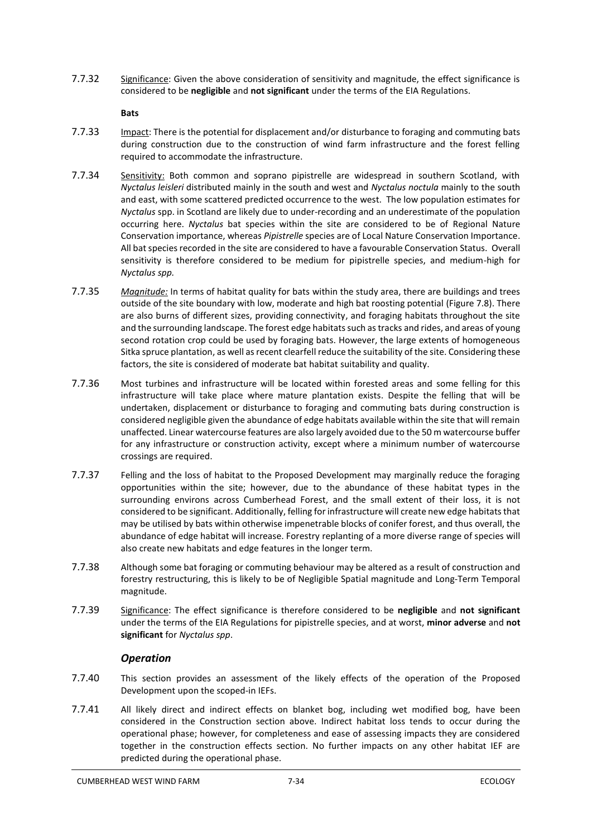7.7.32 Significance: Given the above consideration of sensitivity and magnitude, the effect significance is considered to be **negligible** and **not significant** under the terms of the EIA Regulations.

**Bats**

- 7.7.33 Impact: There is the potential for displacement and/or disturbance to foraging and commuting bats during construction due to the construction of wind farm infrastructure and the forest felling required to accommodate the infrastructure.
- 7.7.34 Sensitivity: Both common and soprano pipistrelle are widespread in southern Scotland, with *Nyctalus leisleri* distributed mainly in the south and west and *Nyctalus noctula* mainly to the south and east, with some scattered predicted occurrence to the west. The low population estimates for *Nyctalus* spp. in Scotland are likely due to under-recording and an underestimate of the population occurring here. *Nyctalus* bat species within the site are considered to be of Regional Nature Conservation importance, whereas *Pipistrelle* species are of Local Nature Conservation Importance. All bat species recorded in the site are considered to have a favourable Conservation Status. Overall sensitivity is therefore considered to be medium for pipistrelle species, and medium-high for *Nyctalus spp.*
- 7.7.35 *Magnitude:* In terms of habitat quality for bats within the study area, there are buildings and trees outside of the site boundary with low, moderate and high bat roosting potential (Figure 7.8). There are also burns of different sizes, providing connectivity, and foraging habitats throughout the site and the surrounding landscape. The forest edge habitats such as tracks and rides, and areas of young second rotation crop could be used by foraging bats. However, the large extents of homogeneous Sitka spruce plantation, as well as recent clearfell reduce the suitability of the site. Considering these factors, the site is considered of moderate bat habitat suitability and quality.
- 7.7.36 Most turbines and infrastructure will be located within forested areas and some felling for this infrastructure will take place where mature plantation exists. Despite the felling that will be undertaken, displacement or disturbance to foraging and commuting bats during construction is considered negligible given the abundance of edge habitats available within the site that will remain unaffected. Linear watercourse features are also largely avoided due to the 50 m watercourse buffer for any infrastructure or construction activity, except where a minimum number of watercourse crossings are required.
- 7.7.37 Felling and the loss of habitat to the Proposed Development may marginally reduce the foraging opportunities within the site; however, due to the abundance of these habitat types in the surrounding environs across Cumberhead Forest, and the small extent of their loss, it is not considered to be significant. Additionally, felling for infrastructure will create new edge habitats that may be utilised by bats within otherwise impenetrable blocks of conifer forest, and thus overall, the abundance of edge habitat will increase. Forestry replanting of a more diverse range of species will also create new habitats and edge features in the longer term.
- 7.7.38 Although some bat foraging or commuting behaviour may be altered as a result of construction and forestry restructuring, this is likely to be of Negligible Spatial magnitude and Long-Term Temporal magnitude.
- 7.7.39 Significance: The effect significance is therefore considered to be **negligible** and **not significant** under the terms of the EIA Regulations for pipistrelle species, and at worst, **minor adverse** and **not significant** for *Nyctalus spp*.

# *Operation*

- 7.7.40 This section provides an assessment of the likely effects of the operation of the Proposed Development upon the scoped-in IEFs.
- 7.7.41 All likely direct and indirect effects on blanket bog, including wet modified bog, have been considered in the Construction section above. Indirect habitat loss tends to occur during the operational phase; however, for completeness and ease of assessing impacts they are considered together in the construction effects section. No further impacts on any other habitat IEF are predicted during the operational phase.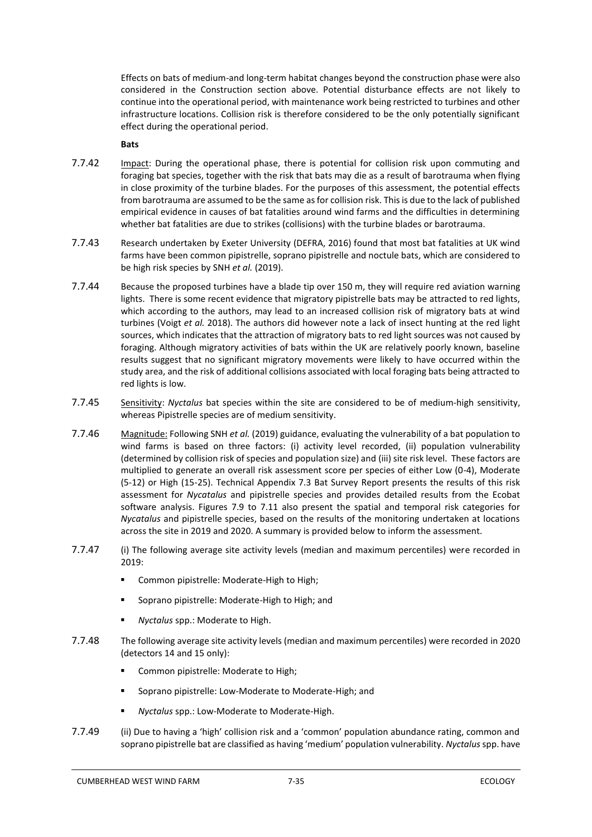Effects on bats of medium-and long-term habitat changes beyond the construction phase were also considered in the Construction section above. Potential disturbance effects are not likely to continue into the operational period, with maintenance work being restricted to turbines and other infrastructure locations. Collision risk is therefore considered to be the only potentially significant effect during the operational period.

**Bats**

- 7.7.42 Impact: During the operational phase, there is potential for collision risk upon commuting and foraging bat species, together with the risk that bats may die as a result of barotrauma when flying in close proximity of the turbine blades. For the purposes of this assessment, the potential effects from barotrauma are assumed to be the same as for collision risk. This is due to the lack of published empirical evidence in causes of bat fatalities around wind farms and the difficulties in determining whether bat fatalities are due to strikes (collisions) with the turbine blades or barotrauma.
- 7.7.43 Research undertaken by Exeter University (DEFRA, 2016) found that most bat fatalities at UK wind farms have been common pipistrelle, soprano pipistrelle and noctule bats, which are considered to be high risk species by SNH *et al.* (2019).
- 7.7.44 Because the proposed turbines have a blade tip over 150 m, they will require red aviation warning lights. There is some recent evidence that migratory pipistrelle bats may be attracted to red lights, which according to the authors, may lead to an increased collision risk of migratory bats at wind turbines (Voigt *et al.* 2018). The authors did however note a lack of insect hunting at the red light sources, which indicates that the attraction of migratory bats to red light sources was not caused by foraging. Although migratory activities of bats within the UK are relatively poorly known, baseline results suggest that no significant migratory movements were likely to have occurred within the study area, and the risk of additional collisions associated with local foraging bats being attracted to red lights is low.
- 7.7.45 Sensitivity: *Nyctalus* bat species within the site are considered to be of medium-high sensitivity, whereas Pipistrelle species are of medium sensitivity.
- 7.7.46 Magnitude: Following SNH *et al.* (2019) guidance, evaluating the vulnerability of a bat population to wind farms is based on three factors: (i) activity level recorded, (ii) population vulnerability (determined by collision risk of species and population size) and (iii) site risk level. These factors are multiplied to generate an overall risk assessment score per species of either Low (0-4), Moderate (5-12) or High (15-25). Technical Appendix 7.3 Bat Survey Report presents the results of this risk assessment for *Nycatalus* and pipistrelle species and provides detailed results from the Ecobat software analysis. Figures 7.9 to 7.11 also present the spatial and temporal risk categories for *Nycatalus* and pipistrelle species, based on the results of the monitoring undertaken at locations across the site in 2019 and 2020. A summary is provided below to inform the assessment.
- 7.7.47 (i) The following average site activity levels (median and maximum percentiles) were recorded in 2019:
	- Common pipistrelle: Moderate-High to High;
	- Soprano pipistrelle: Moderate-High to High; and
	- *Nyctalus* spp.: Moderate to High.
- 7.7.48 The following average site activity levels (median and maximum percentiles) were recorded in 2020 (detectors 14 and 15 only):
	- Common pipistrelle: Moderate to High;
	- Soprano pipistrelle: Low-Moderate to Moderate-High; and
	- *Nyctalus* spp.: Low-Moderate to Moderate-High.
- 7.7.49 (ii) Due to having a 'high' collision risk and a 'common' population abundance rating, common and soprano pipistrelle bat are classified as having 'medium' population vulnerability. *Nyctalus* spp. have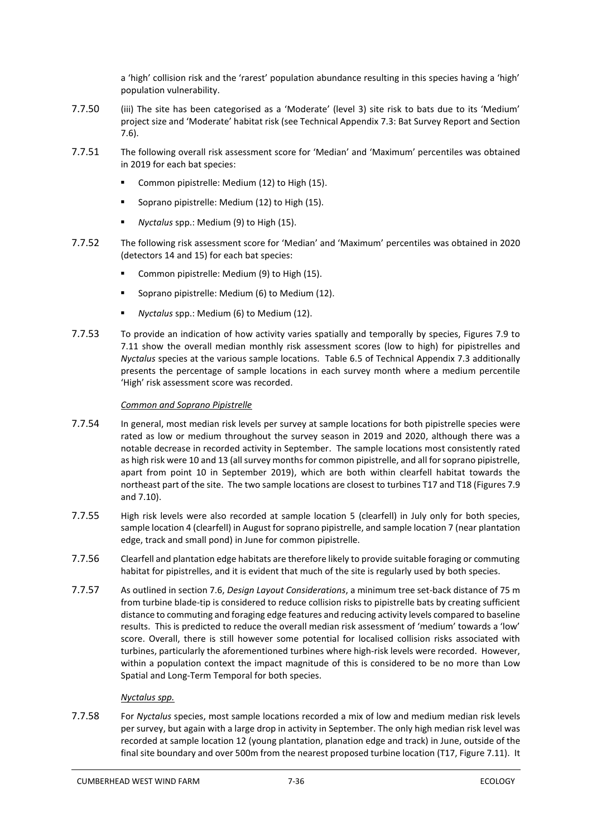a 'high' collision risk and the 'rarest' population abundance resulting in this species having a 'high' population vulnerability.

- 7.7.50 (iii) The site has been categorised as a 'Moderate' (level 3) site risk to bats due to its 'Medium' project size and 'Moderate' habitat risk (see Technical Appendix 7.3: Bat Survey Report and Section 7.6).
- 7.7.51 The following overall risk assessment score for 'Median' and 'Maximum' percentiles was obtained in 2019 for each bat species:
	- Common pipistrelle: Medium (12) to High (15).
	- Soprano pipistrelle: Medium (12) to High (15).
	- *Nyctalus* spp.: Medium (9) to High (15).
- 7.7.52 The following risk assessment score for 'Median' and 'Maximum' percentiles was obtained in 2020 (detectors 14 and 15) for each bat species:
	- Common pipistrelle: Medium (9) to High (15).
	- Soprano pipistrelle: Medium (6) to Medium (12).
	- *Nyctalus* spp.: Medium (6) to Medium (12).
- 7.7.53 To provide an indication of how activity varies spatially and temporally by species, Figures 7.9 to 7.11 show the overall median monthly risk assessment scores (low to high) for pipistrelles and *Nyctalus* species at the various sample locations. Table 6.5 of Technical Appendix 7.3 additionally presents the percentage of sample locations in each survey month where a medium percentile 'High' risk assessment score was recorded.

#### *Common and Soprano Pipistrelle*

- 7.7.54 In general, most median risk levels per survey at sample locations for both pipistrelle species were rated as low or medium throughout the survey season in 2019 and 2020, although there was a notable decrease in recorded activity in September. The sample locations most consistently rated as high risk were 10 and 13 (all survey months for common pipistrelle, and all for soprano pipistrelle, apart from point 10 in September 2019), which are both within clearfell habitat towards the northeast part of the site. The two sample locations are closest to turbines T17 and T18 (Figures 7.9 and 7.10).
- 7.7.55 High risk levels were also recorded at sample location 5 (clearfell) in July only for both species, sample location 4 (clearfell) in August for soprano pipistrelle, and sample location 7 (near plantation edge, track and small pond) in June for common pipistrelle.
- 7.7.56 Clearfell and plantation edge habitats are therefore likely to provide suitable foraging or commuting habitat for pipistrelles, and it is evident that much of the site is regularly used by both species.
- 7.7.57 As outlined in section 7.6, *Design Layout Considerations*, a minimum tree set-back distance of 75 m from turbine blade-tip is considered to reduce collision risks to pipistrelle bats by creating sufficient distance to commuting and foraging edge features and reducing activity levels compared to baseline results. This is predicted to reduce the overall median risk assessment of 'medium' towards a 'low' score. Overall, there is still however some potential for localised collision risks associated with turbines, particularly the aforementioned turbines where high-risk levels were recorded. However, within a population context the impact magnitude of this is considered to be no more than Low Spatial and Long-Term Temporal for both species.

#### *Nyctalus spp.*

7.7.58 For *Nyctalus* species, most sample locations recorded a mix of low and medium median risk levels per survey, but again with a large drop in activity in September. The only high median risk level was recorded at sample location 12 (young plantation, planation edge and track) in June, outside of the final site boundary and over 500m from the nearest proposed turbine location (T17, Figure 7.11). It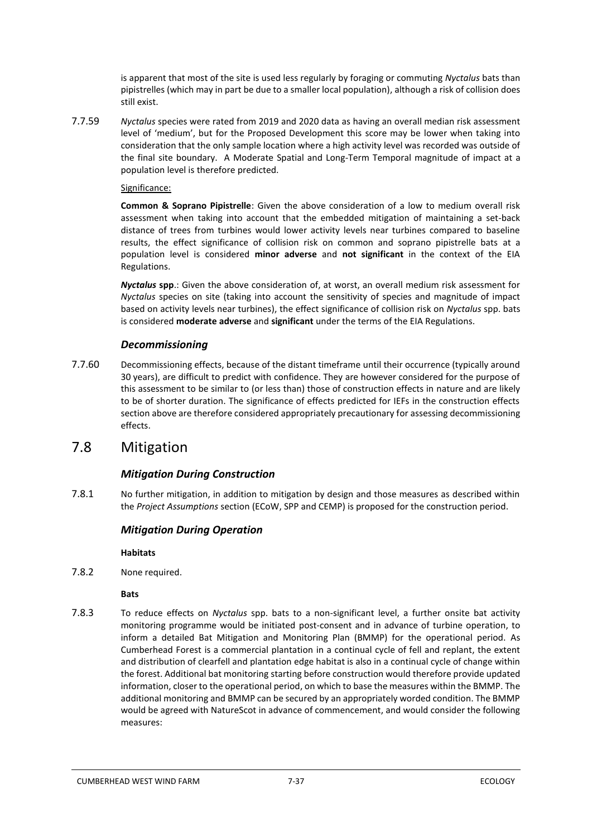is apparent that most of the site is used less regularly by foraging or commuting *Nyctalus* bats than pipistrelles (which may in part be due to a smaller local population), although a risk of collision does still exist.

7.7.59 *Nyctalus* species were rated from 2019 and 2020 data as having an overall median risk assessment level of 'medium', but for the Proposed Development this score may be lower when taking into consideration that the only sample location where a high activity level was recorded was outside of the final site boundary. A Moderate Spatial and Long-Term Temporal magnitude of impact at a population level is therefore predicted.

#### Significance:

**Common & Soprano Pipistrelle**: Given the above consideration of a low to medium overall risk assessment when taking into account that the embedded mitigation of maintaining a set-back distance of trees from turbines would lower activity levels near turbines compared to baseline results, the effect significance of collision risk on common and soprano pipistrelle bats at a population level is considered **minor adverse** and **not significant** in the context of the EIA Regulations.

*Nyctalus* **spp**.: Given the above consideration of, at worst, an overall medium risk assessment for *Nyctalus* species on site (taking into account the sensitivity of species and magnitude of impact based on activity levels near turbines), the effect significance of collision risk on *Nyctalus* spp. bats is considered **moderate adverse** and **significant** under the terms of the EIA Regulations.

## *Decommissioning*

7.7.60 Decommissioning effects, because of the distant timeframe until their occurrence (typically around 30 years), are difficult to predict with confidence. They are however considered for the purpose of this assessment to be similar to (or less than) those of construction effects in nature and are likely to be of shorter duration. The significance of effects predicted for IEFs in the construction effects section above are therefore considered appropriately precautionary for assessing decommissioning effects.

# <span id="page-38-0"></span>7.8 Mitigation

# *Mitigation During Construction*

7.8.1 No further mitigation, in addition to mitigation by design and those measures as described within the *Project Assumptions* section (ECoW, SPP and CEMP) is proposed for the construction period.

# *Mitigation During Operation*

## **Habitats**

7.8.2 None required.

## **Bats**

7.8.3 To reduce effects on *Nyctalus* spp. bats to a non-significant level, a further onsite bat activity monitoring programme would be initiated post-consent and in advance of turbine operation, to inform a detailed Bat Mitigation and Monitoring Plan (BMMP) for the operational period. As Cumberhead Forest is a commercial plantation in a continual cycle of fell and replant, the extent and distribution of clearfell and plantation edge habitat is also in a continual cycle of change within the forest. Additional bat monitoring starting before construction would therefore provide updated information, closer to the operational period, on which to base the measures within the BMMP. The additional monitoring and BMMP can be secured by an appropriately worded condition. The BMMP would be agreed with NatureScot in advance of commencement, and would consider the following measures: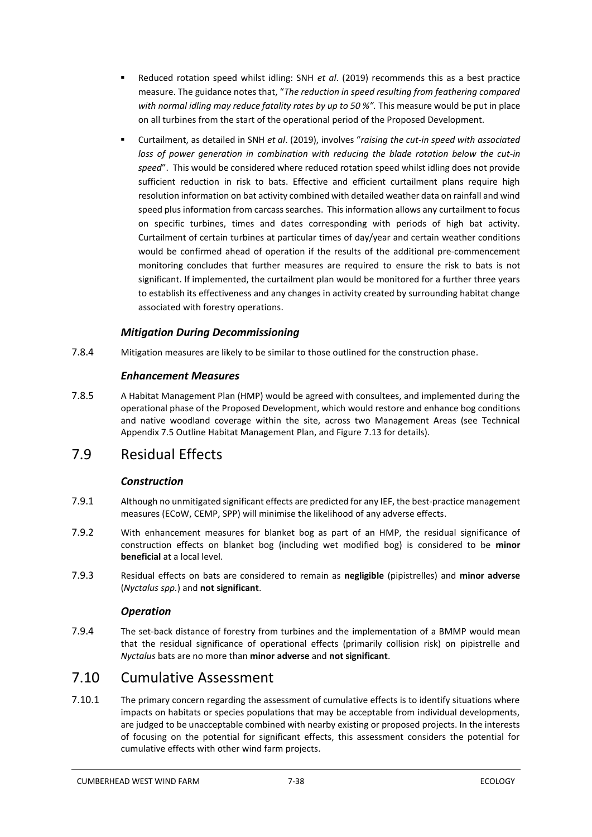- Reduced rotation speed whilst idling: SNH *et al.* (2019) recommends this as a best practice measure. The guidance notes that, "*The reduction in speed resulting from feathering compared with normal idling may reduce fatality rates by up to 50 %".* This measure would be put in place on all turbines from the start of the operational period of the Proposed Development.
- Curtailment, as detailed in SNH *et al*. (2019), involves "*raising the cut-in speed with associated loss of power generation in combination with reducing the blade rotation below the cut-in speed*". This would be considered where reduced rotation speed whilst idling does not provide sufficient reduction in risk to bats. Effective and efficient curtailment plans require high resolution information on bat activity combined with detailed weather data on rainfall and wind speed plus information from carcass searches. This information allows any curtailment to focus on specific turbines, times and dates corresponding with periods of high bat activity. Curtailment of certain turbines at particular times of day/year and certain weather conditions would be confirmed ahead of operation if the results of the additional pre-commencement monitoring concludes that further measures are required to ensure the risk to bats is not significant. If implemented, the curtailment plan would be monitored for a further three years to establish its effectiveness and any changes in activity created by surrounding habitat change associated with forestry operations.

# *Mitigation During Decommissioning*

7.8.4 Mitigation measures are likely to be similar to those outlined for the construction phase.

# *Enhancement Measures*

7.8.5 A Habitat Management Plan (HMP) would be agreed with consultees, and implemented during the operational phase of the Proposed Development, which would restore and enhance bog conditions and native woodland coverage within the site, across two Management Areas (see Technical Appendix 7.5 Outline Habitat Management Plan, and Figure 7.13 for details).

# <span id="page-39-0"></span>7.9 Residual Effects

# *Construction*

- 7.9.1 Although no unmitigated significant effects are predicted for any IEF, the best-practice management measures (ECoW, CEMP, SPP) will minimise the likelihood of any adverse effects.
- 7.9.2 With enhancement measures for blanket bog as part of an HMP, the residual significance of construction effects on blanket bog (including wet modified bog) is considered to be **minor beneficial** at a local level.
- 7.9.3 Residual effects on bats are considered to remain as **negligible** (pipistrelles) and **minor adverse** (*Nyctalus spp.*) and **not significant**.

## *Operation*

7.9.4 The set-back distance of forestry from turbines and the implementation of a BMMP would mean that the residual significance of operational effects (primarily collision risk) on pipistrelle and *Nyctalus* bats are no more than **minor adverse** and **not significant**.

# <span id="page-39-1"></span>7.10 Cumulative Assessment

7.10.1 The primary concern regarding the assessment of cumulative effects is to identify situations where impacts on habitats or species populations that may be acceptable from individual developments, are judged to be unacceptable combined with nearby existing or proposed projects. In the interests of focusing on the potential for significant effects, this assessment considers the potential for cumulative effects with other wind farm projects.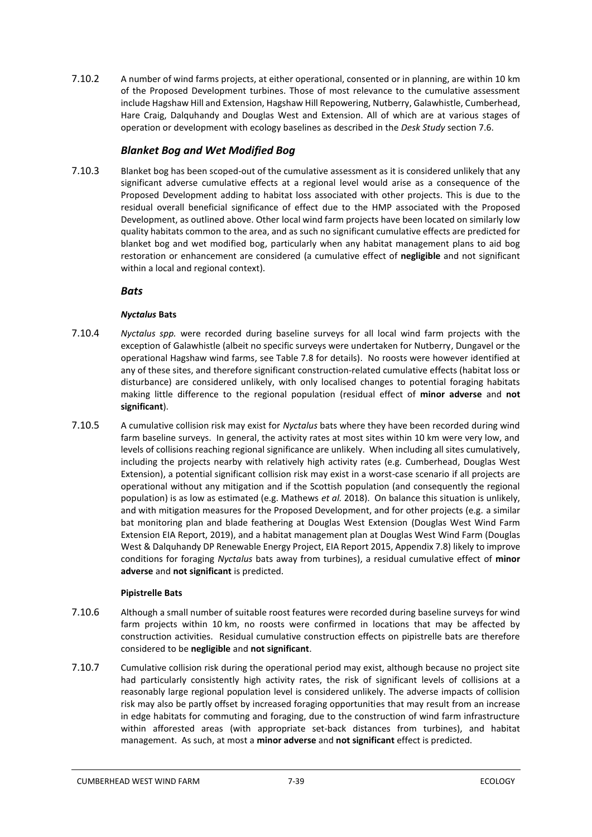7.10.2 A number of wind farms projects, at either operational, consented or in planning, are within 10 km of the Proposed Development turbines. Those of most relevance to the cumulative assessment include Hagshaw Hill and Extension, Hagshaw Hill Repowering, Nutberry, Galawhistle, Cumberhead, Hare Craig, Dalquhandy and Douglas West and Extension. All of which are at various stages of operation or development with ecology baselines as described in the *Desk Study* section 7.6.

# *Blanket Bog and Wet Modified Bog*

7.10.3 Blanket bog has been scoped-out of the cumulative assessment as it is considered unlikely that any significant adverse cumulative effects at a regional level would arise as a consequence of the Proposed Development adding to habitat loss associated with other projects. This is due to the residual overall beneficial significance of effect due to the HMP associated with the Proposed Development, as outlined above. Other local wind farm projects have been located on similarly low quality habitats common to the area, and as such no significant cumulative effects are predicted for blanket bog and wet modified bog, particularly when any habitat management plans to aid bog restoration or enhancement are considered (a cumulative effect of **negligible** and not significant within a local and regional context).

# *Bats*

## *Nyctalus* **Bats**

- 7.10.4 *Nyctalus spp.* were recorded during baseline surveys for all local wind farm projects with the exception of Galawhistle (albeit no specific surveys were undertaken for Nutberry, Dungavel or the operational Hagshaw wind farms, see Table 7.8 for details). No roosts were however identified at any of these sites, and therefore significant construction-related cumulative effects (habitat loss or disturbance) are considered unlikely, with only localised changes to potential foraging habitats making little difference to the regional population (residual effect of **minor adverse** and **not significant**).
- 7.10.5 A cumulative collision risk may exist for *Nyctalus* bats where they have been recorded during wind farm baseline surveys. In general, the activity rates at most sites within 10 km were very low, and levels of collisions reaching regional significance are unlikely. When including all sites cumulatively, including the projects nearby with relatively high activity rates (e.g. Cumberhead, Douglas West Extension), a potential significant collision risk may exist in a worst-case scenario if all projects are operational without any mitigation and if the Scottish population (and consequently the regional population) is as low as estimated (e.g. Mathews *et al.* 2018). On balance this situation is unlikely, and with mitigation measures for the Proposed Development, and for other projects (e.g. a similar bat monitoring plan and blade feathering at Douglas West Extension (Douglas West Wind Farm Extension EIA Report, 2019), and a habitat management plan at Douglas West Wind Farm (Douglas West & Dalquhandy DP Renewable Energy Project, EIA Report 2015, Appendix 7.8) likely to improve conditions for foraging *Nyctalus* bats away from turbines), a residual cumulative effect of **minor adverse** and **not significant** is predicted.

## **Pipistrelle Bats**

- 7.10.6 Although a small number of suitable roost features were recorded during baseline surveys for wind farm projects within 10 km, no roosts were confirmed in locations that may be affected by construction activities. Residual cumulative construction effects on pipistrelle bats are therefore considered to be **negligible** and **not significant**.
- 7.10.7 Cumulative collision risk during the operational period may exist, although because no project site had particularly consistently high activity rates, the risk of significant levels of collisions at a reasonably large regional population level is considered unlikely. The adverse impacts of collision risk may also be partly offset by increased foraging opportunities that may result from an increase in edge habitats for commuting and foraging, due to the construction of wind farm infrastructure within afforested areas (with appropriate set-back distances from turbines), and habitat management. As such, at most a **minor adverse** and **not significant** effect is predicted.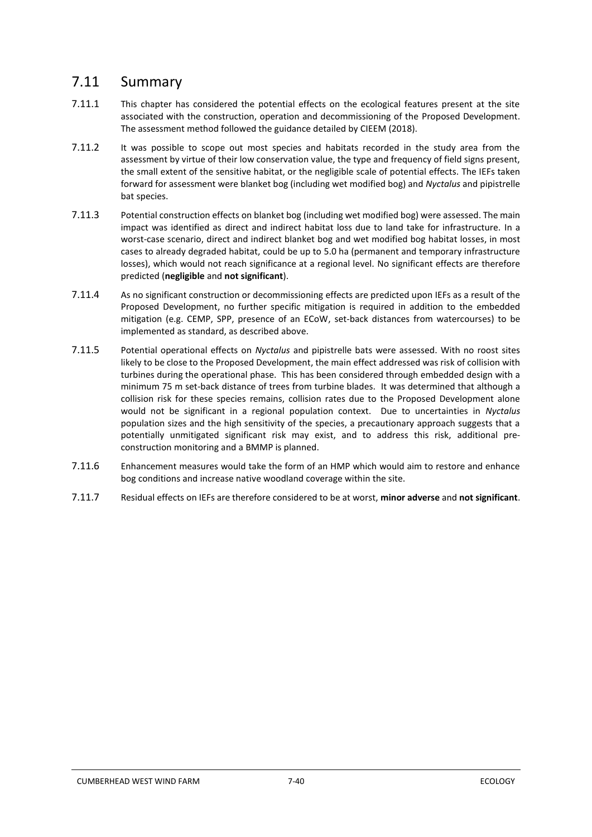# <span id="page-41-0"></span>7.11 Summary

- 7.11.1 This chapter has considered the potential effects on the ecological features present at the site associated with the construction, operation and decommissioning of the Proposed Development. The assessment method followed the guidance detailed by CIEEM (2018).
- 7.11.2 It was possible to scope out most species and habitats recorded in the study area from the assessment by virtue of their low conservation value, the type and frequency of field signs present, the small extent of the sensitive habitat, or the negligible scale of potential effects. The IEFs taken forward for assessment were blanket bog (including wet modified bog) and *Nyctalus* and pipistrelle bat species.
- 7.11.3 Potential construction effects on blanket bog (including wet modified bog) were assessed. The main impact was identified as direct and indirect habitat loss due to land take for infrastructure. In a worst-case scenario, direct and indirect blanket bog and wet modified bog habitat losses, in most cases to already degraded habitat, could be up to 5.0 ha (permanent and temporary infrastructure losses), which would not reach significance at a regional level. No significant effects are therefore predicted (**negligible** and **not significant**).
- 7.11.4 As no significant construction or decommissioning effects are predicted upon IEFs as a result of the Proposed Development, no further specific mitigation is required in addition to the embedded mitigation (e.g. CEMP, SPP, presence of an ECoW, set-back distances from watercourses) to be implemented as standard, as described above.
- 7.11.5 Potential operational effects on *Nyctalus* and pipistrelle bats were assessed. With no roost sites likely to be close to the Proposed Development, the main effect addressed was risk of collision with turbines during the operational phase. This has been considered through embedded design with a minimum 75 m set-back distance of trees from turbine blades. It was determined that although a collision risk for these species remains, collision rates due to the Proposed Development alone would not be significant in a regional population context. Due to uncertainties in *Nyctalus* population sizes and the high sensitivity of the species, a precautionary approach suggests that a potentially unmitigated significant risk may exist, and to address this risk, additional preconstruction monitoring and a BMMP is planned.
- 7.11.6 Enhancement measures would take the form of an HMP which would aim to restore and enhance bog conditions and increase native woodland coverage within the site.
- 7.11.7 Residual effects on IEFs are therefore considered to be at worst, **minor adverse** and **not significant**.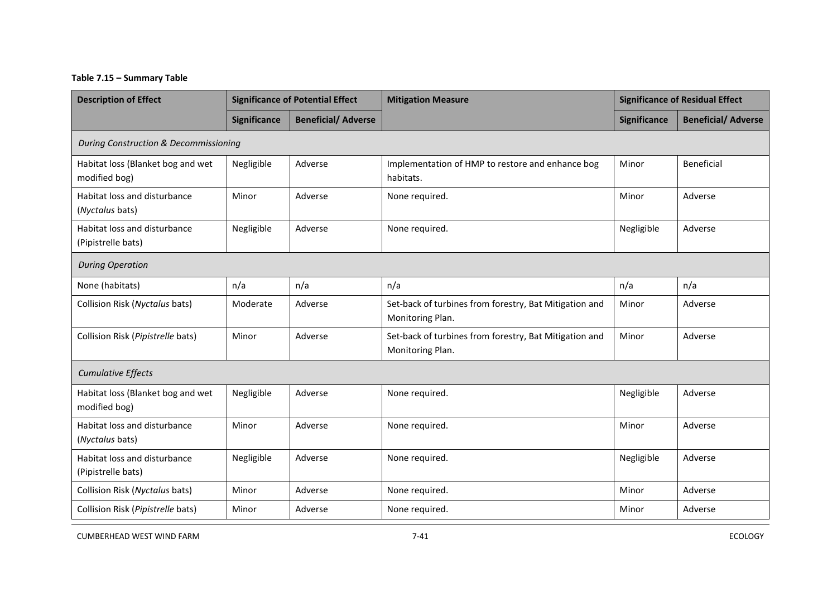#### **Table 7.15 – Summary Table**

| <b>Description of Effect</b>                                                | <b>Significance of Potential Effect</b>           |                | <b>Mitigation Measure</b>                                                  | <b>Significance of Residual Effect</b> |                            |  |  |  |  |
|-----------------------------------------------------------------------------|---------------------------------------------------|----------------|----------------------------------------------------------------------------|----------------------------------------|----------------------------|--|--|--|--|
|                                                                             | <b>Significance</b><br><b>Beneficial/ Adverse</b> |                |                                                                            | <b>Significance</b>                    | <b>Beneficial/ Adverse</b> |  |  |  |  |
| During Construction & Decommissioning                                       |                                                   |                |                                                                            |                                        |                            |  |  |  |  |
| Habitat loss (Blanket bog and wet<br>modified bog)                          | Negligible<br>Adverse                             |                | Implementation of HMP to restore and enhance bog<br>habitats.              | Minor                                  | <b>Beneficial</b>          |  |  |  |  |
| Habitat loss and disturbance<br>(Nyctalus bats)                             | Minor                                             | Adverse        | None required.                                                             | Minor                                  | Adverse                    |  |  |  |  |
| Habitat loss and disturbance<br>(Pipistrelle bats)                          | Negligible                                        | Adverse        | None required.                                                             | Negligible                             | Adverse                    |  |  |  |  |
| <b>During Operation</b>                                                     |                                                   |                |                                                                            |                                        |                            |  |  |  |  |
| None (habitats)                                                             | n/a                                               | n/a            | n/a                                                                        | n/a                                    | n/a                        |  |  |  |  |
| Collision Risk (Nyctalus bats)                                              | Moderate                                          | Adverse        | Set-back of turbines from forestry, Bat Mitigation and<br>Monitoring Plan. | Minor                                  | Adverse                    |  |  |  |  |
| Collision Risk (Pipistrelle bats)                                           | Minor                                             | Adverse        | Set-back of turbines from forestry, Bat Mitigation and<br>Monitoring Plan. | Minor                                  | Adverse                    |  |  |  |  |
| <b>Cumulative Effects</b>                                                   |                                                   |                |                                                                            |                                        |                            |  |  |  |  |
| Habitat loss (Blanket bog and wet<br>modified bog)                          | Negligible                                        | Adverse        | None required.                                                             | Negligible                             | Adverse                    |  |  |  |  |
| Habitat loss and disturbance<br>(Nyctalus bats)                             | Minor                                             | Adverse        | None required.                                                             | Minor                                  | Adverse                    |  |  |  |  |
| Habitat loss and disturbance<br>Negligible<br>Adverse<br>(Pipistrelle bats) |                                                   | None required. | Negligible                                                                 | Adverse                                |                            |  |  |  |  |
| Collision Risk (Nyctalus bats)                                              | Minor                                             | Adverse        | None required.                                                             | Minor                                  | Adverse                    |  |  |  |  |
| Collision Risk (Pipistrelle bats)<br>Minor<br>Adverse                       |                                                   | None required. | Minor                                                                      | Adverse                                |                            |  |  |  |  |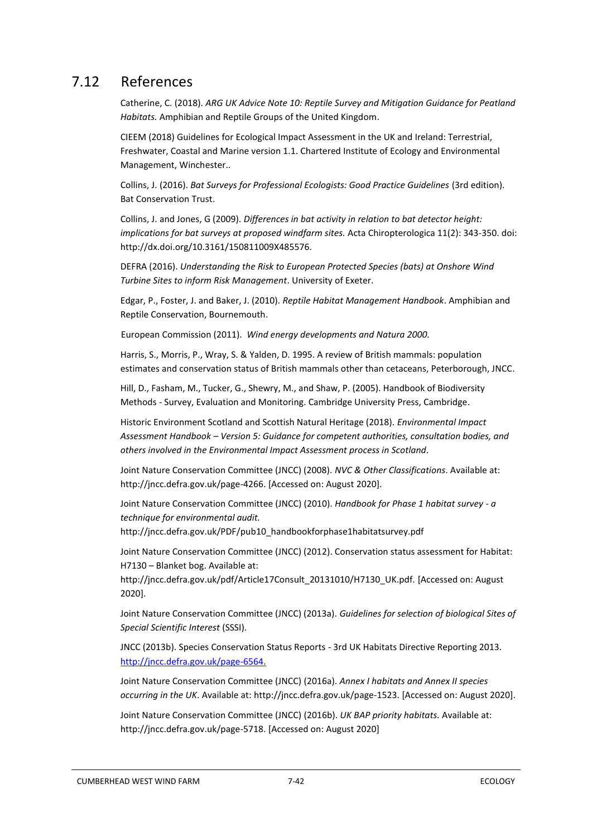# <span id="page-43-0"></span>7.12 References

Catherine, C. (2018). *ARG UK Advice Note 10: Reptile Survey and Mitigation Guidance for Peatland Habitats.* Amphibian and Reptile Groups of the United Kingdom.

CIEEM (2018) Guidelines for Ecological Impact Assessment in the UK and Ireland: Terrestrial, Freshwater, Coastal and Marine version 1.1. Chartered Institute of Ecology and Environmental Management, Winchester..

Collins, J. (2016). *Bat Surveys for Professional Ecologists: Good Practice Guidelines* (3rd edition). Bat Conservation Trust.

Collins, J. and Jones, G (2009). *Differences in bat activity in relation to bat detector height: implications for bat surveys at proposed windfarm sites.* Acta Chiropterologica 11(2): 343-350. doi: http://dx.doi.org/10.3161/150811009X485576.

DEFRA (2016). *Understanding the Risk to European Protected Species (bats) at Onshore Wind Turbine Sites to inform Risk Management*. University of Exeter.

Edgar, P., Foster, J. and Baker, J. (2010). *Reptile Habitat Management Handbook*. Amphibian and Reptile Conservation, Bournemouth.

European Commission (2011). *Wind energy developments and Natura 2000.*

Harris, S., Morris, P., Wray, S. & Yalden, D. 1995. A review of British mammals: population estimates and conservation status of British mammals other than cetaceans, Peterborough, JNCC.

Hill, D., Fasham, M., Tucker, G., Shewry, M., and Shaw, P. (2005). Handbook of Biodiversity Methods - Survey, Evaluation and Monitoring. Cambridge University Press, Cambridge.

Historic Environment Scotland and Scottish Natural Heritage (2018). *Environmental Impact Assessment Handbook – Version 5: Guidance for competent authorities, consultation bodies, and others involved in the Environmental Impact Assessment process in Scotland.*

Joint Nature Conservation Committee (JNCC) (2008). *NVC & Other Classifications*. Available at: http://jncc.defra.gov.uk/page-4266. [Accessed on: August 2020].

Joint Nature Conservation Committee (JNCC) (2010). *Handbook for Phase 1 habitat survey - a technique for environmental audit.*

http://jncc.defra.gov.uk/PDF/pub10\_handbookforphase1habitatsurvey.pdf

Joint Nature Conservation Committee (JNCC) (2012). Conservation status assessment for Habitat: H7130 – Blanket bog. Available at:

http://jncc.defra.gov.uk/pdf/Article17Consult\_20131010/H7130\_UK.pdf. [Accessed on: August 2020].

Joint Nature Conservation Committee (JNCC) (2013a). *Guidelines for selection of biological Sites of Special Scientific Interest* (SSSI).

JNCC (2013b). Species Conservation Status Reports - 3rd UK Habitats Directive Reporting 2013. [http://jncc.defra.gov.uk/page-6564.](http://jncc.defra.gov.uk/page-6564)

Joint Nature Conservation Committee (JNCC) (2016a). *Annex I habitats and Annex II species occurring in the UK*. Available at: http://jncc.defra.gov.uk/page-1523. [Accessed on: August 2020].

Joint Nature Conservation Committee (JNCC) (2016b). *UK BAP priority habitats.* Available at: http://jncc.defra.gov.uk/page-5718. [Accessed on: August 2020]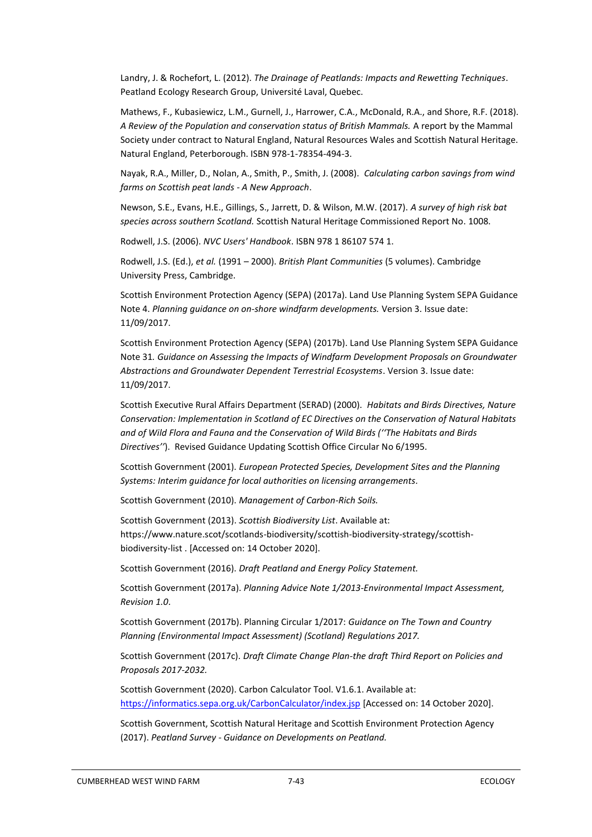Landry, J. & Rochefort, L. (2012). *The Drainage of Peatlands: Impacts and Rewetting Techniques*. Peatland Ecology Research Group, Université Laval, Quebec.

Mathews, F., Kubasiewicz, L.M., Gurnell, J., Harrower, C.A., McDonald, R.A., and Shore, R.F. (2018). *A Review of the Population and conservation status of British Mammals.* A report by the Mammal Society under contract to Natural England, Natural Resources Wales and Scottish Natural Heritage. Natural England, Peterborough. ISBN 978-1-78354-494-3.

Nayak, R.A., Miller, D., Nolan, A., Smith, P., Smith, J. (2008). *Calculating carbon savings from wind farms on Scottish peat lands - A New Approach*.

Newson, S.E., Evans, H.E., Gillings, S., Jarrett, D. & Wilson, M.W. (2017). *A survey of high risk bat species across southern Scotland.* Scottish Natural Heritage Commissioned Report No. 1008.

Rodwell, J.S. (2006). *NVC Users' Handbook*. ISBN 978 1 86107 574 1.

Rodwell, J.S. (Ed.), *et al.* (1991 – 2000). *British Plant Communities* (5 volumes). Cambridge University Press, Cambridge.

Scottish Environment Protection Agency (SEPA) (2017a). Land Use Planning System SEPA Guidance Note 4. *Planning guidance on on-shore windfarm developments.* Version 3. Issue date: 11/09/2017.

Scottish Environment Protection Agency (SEPA) (2017b). Land Use Planning System SEPA Guidance Note 31*. Guidance on Assessing the Impacts of Windfarm Development Proposals on Groundwater Abstractions and Groundwater Dependent Terrestrial Ecosystems*. Version 3. Issue date: 11/09/2017.

Scottish Executive Rural Affairs Department (SERAD) (2000). *Habitats and Birds Directives, Nature Conservation: Implementation in Scotland of EC Directives on the Conservation of Natural Habitats and of Wild Flora and Fauna and the Conservation of Wild Birds (''The Habitats and Birds Directives''*). Revised Guidance Updating Scottish Office Circular No 6/1995.

Scottish Government (2001). *European Protected Species, Development Sites and the Planning Systems: Interim guidance for local authorities on licensing arrangements.*

Scottish Government (2010). *Management of Carbon-Rich Soils.*

Scottish Government (2013). *Scottish Biodiversity List*. Available at: https://www.nature.scot/scotlands-biodiversity/scottish-biodiversity-strategy/scottishbiodiversity-list . [Accessed on: 14 October 2020].

Scottish Government (2016). *Draft Peatland and Energy Policy Statement.*

Scottish Government (2017a). *Planning Advice Note 1/2013-Environmental Impact Assessment, Revision 1.0*.

Scottish Government (2017b). Planning Circular 1/2017: *Guidance on The Town and Country Planning (Environmental Impact Assessment) (Scotland) Regulations 2017.*

Scottish Government (2017c). *Draft Climate Change Plan-the draft Third Report on Policies and Proposals 2017-2032.*

Scottish Government (2020). Carbon Calculator Tool. V1.6.1. Available at: <https://informatics.sepa.org.uk/CarbonCalculator/index.jsp> [Accessed on: 14 October 2020].

Scottish Government, Scottish Natural Heritage and Scottish Environment Protection Agency (2017). *Peatland Survey - Guidance on Developments on Peatland.*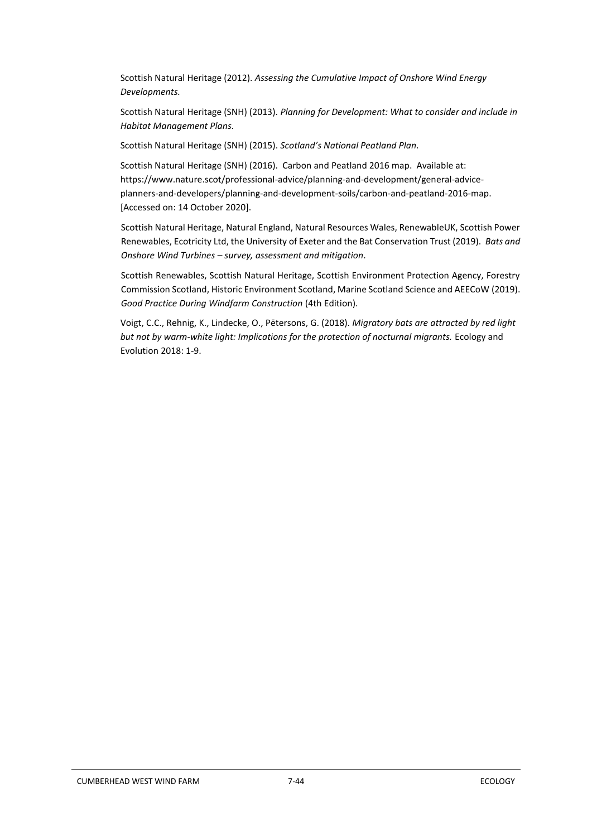Scottish Natural Heritage (2012). *Assessing the Cumulative Impact of Onshore Wind Energy Developments.*

Scottish Natural Heritage (SNH) (2013). *Planning for Development: What to consider and include in Habitat Management Plans.*

Scottish Natural Heritage (SNH) (2015). *Scotland's National Peatland Plan.*

Scottish Natural Heritage (SNH) (2016). Carbon and Peatland 2016 map. Available at: https://www.nature.scot/professional-advice/planning-and-development/general-adviceplanners-and-developers/planning-and-development-soils/carbon-and-peatland-2016-map. [Accessed on: 14 October 2020].

Scottish Natural Heritage, Natural England, Natural Resources Wales, RenewableUK, Scottish Power Renewables, Ecotricity Ltd, the University of Exeter and the Bat Conservation Trust (2019). *Bats and Onshore Wind Turbines – survey, assessment and mitigation*.

Scottish Renewables, Scottish Natural Heritage, Scottish Environment Protection Agency, Forestry Commission Scotland, Historic Environment Scotland, Marine Scotland Science and AEECoW (2019). *Good Practice During Windfarm Construction* (4th Edition).

Voigt, C.C., Rehnig, K., Lindecke, O., Pētersons, G. (2018). *Migratory bats are attracted by red light but not by warm-white light: Implications for the protection of nocturnal migrants.* Ecology and Evolution 2018: 1-9.